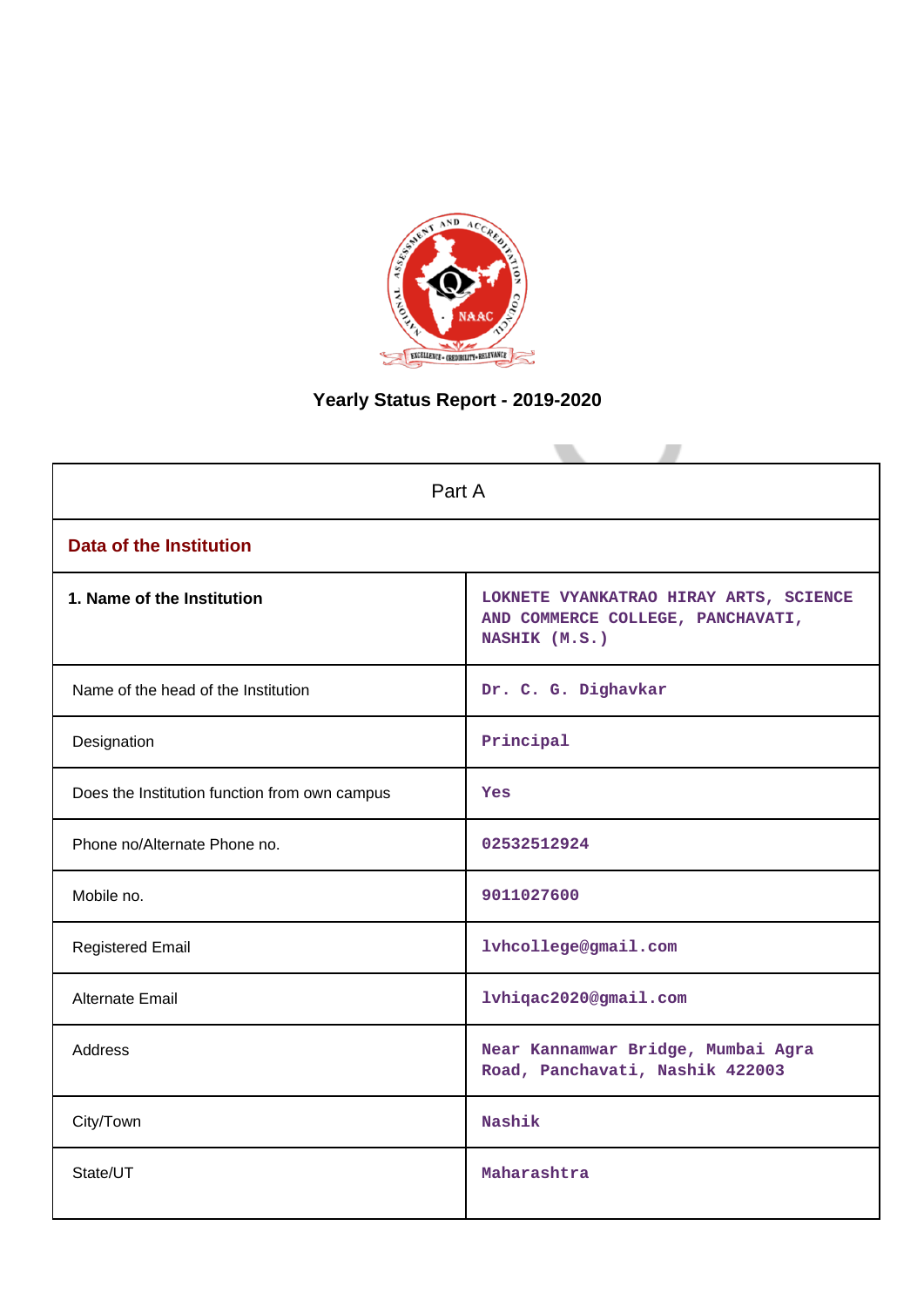

# **Yearly Status Report - 2019-2020**

| Part A                                        |                                                                                              |  |  |
|-----------------------------------------------|----------------------------------------------------------------------------------------------|--|--|
| <b>Data of the Institution</b>                |                                                                                              |  |  |
| 1. Name of the Institution                    | LOKNETE VYANKATRAO HIRAY ARTS, SCIENCE<br>AND COMMERCE COLLEGE, PANCHAVATI,<br>NASHIK (M.S.) |  |  |
| Name of the head of the Institution           | Dr. C. G. Dighavkar                                                                          |  |  |
| Designation                                   | Principal                                                                                    |  |  |
| Does the Institution function from own campus | <b>Yes</b>                                                                                   |  |  |
| Phone no/Alternate Phone no.                  | 02532512924                                                                                  |  |  |
| Mobile no.                                    | 9011027600                                                                                   |  |  |
| <b>Registered Email</b>                       | lvhcollege@gmail.com                                                                         |  |  |
| Alternate Email                               | lvhiqac2020@gmail.com                                                                        |  |  |
| <b>Address</b>                                | Near Kannamwar Bridge, Mumbai Agra<br>Road, Panchavati, Nashik 422003                        |  |  |
| City/Town                                     | Nashik                                                                                       |  |  |
| State/UT                                      | Maharashtra                                                                                  |  |  |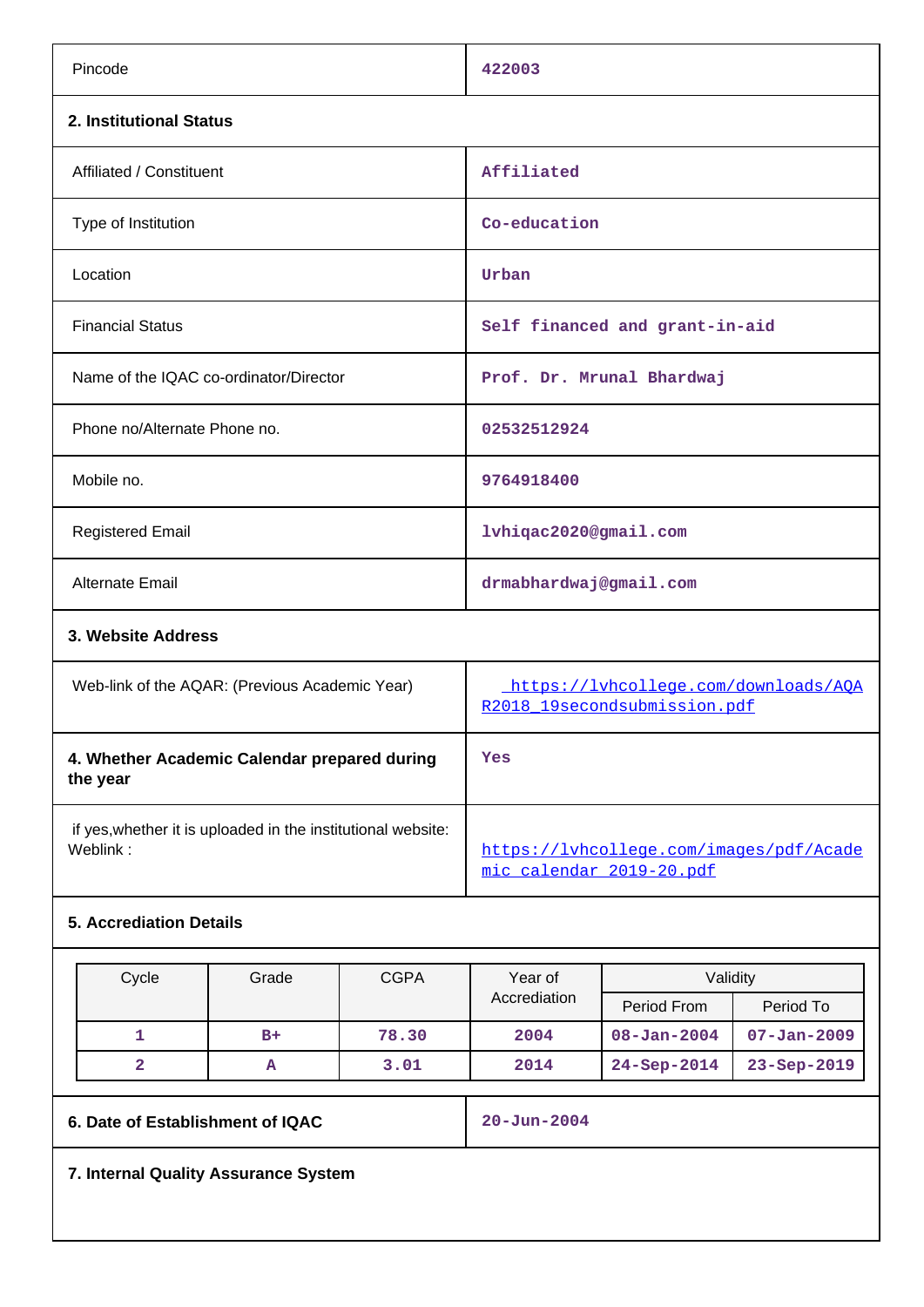| Pincode                                                                  | 422003                                                               |
|--------------------------------------------------------------------------|----------------------------------------------------------------------|
| 2. Institutional Status                                                  |                                                                      |
| Affiliated / Constituent                                                 | Affiliated                                                           |
| Type of Institution                                                      | Co-education                                                         |
| Location                                                                 | Urban                                                                |
| <b>Financial Status</b>                                                  | Self financed and grant-in-aid                                       |
| Name of the IQAC co-ordinator/Director                                   | Prof. Dr. Mrunal Bhardwaj                                            |
| Phone no/Alternate Phone no.                                             | 02532512924                                                          |
| Mobile no.                                                               | 9764918400                                                           |
| <b>Registered Email</b>                                                  | lvhiqac2020@gmail.com                                                |
| <b>Alternate Email</b>                                                   | drmabhardwaj@gmail.com                                               |
| 3. Website Address                                                       |                                                                      |
| Web-link of the AQAR: (Previous Academic Year)                           | https://lvhcollege.com/downloads/AOA<br>R2018_19secondsubmission.pdf |
| 4. Whether Academic Calendar prepared during<br>the year                 | Yes                                                                  |
| if yes, whether it is uploaded in the institutional website:<br>Weblink: | https://lvhcollege.com/images/pdf/Acade<br>mic_calendar_2019-20.pdf  |

## **5. Accrediation Details**

| Cycle | Grade | <b>CGPA</b> | Year of      | Validity          |                   |
|-------|-------|-------------|--------------|-------------------|-------------------|
|       |       |             | Accrediation | Period From       | Period To         |
|       | $B+$  | 78.30       | 2004         | $08 - Jan - 2004$ | $07 - Jan - 2009$ |
| 2     | А     | 3.01        | 2014         | $24 - Sep-2014$   | $23 - Sep - 2019$ |

**6. Date of Establishment of IQAC** 20-Jun-2004

**7. Internal Quality Assurance System**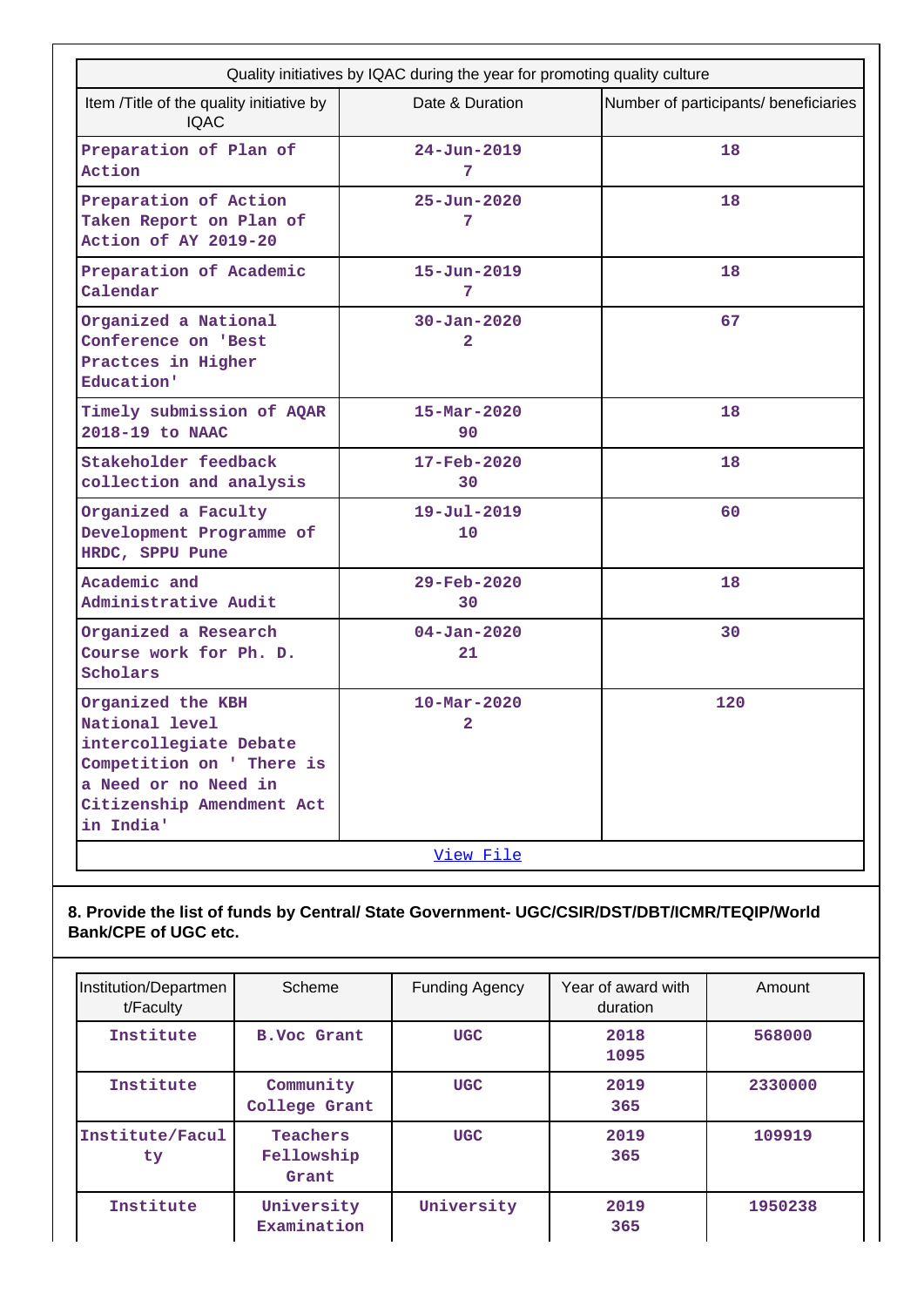| Quality initiatives by IQAC during the year for promoting quality culture                                                                                    |                                            |                                       |  |  |
|--------------------------------------------------------------------------------------------------------------------------------------------------------------|--------------------------------------------|---------------------------------------|--|--|
| Item /Title of the quality initiative by<br><b>IQAC</b>                                                                                                      | Date & Duration                            | Number of participants/ beneficiaries |  |  |
| Preparation of Plan of<br>Action                                                                                                                             | $24 - Jun - 2019$<br>7                     | 18                                    |  |  |
| Preparation of Action<br>Taken Report on Plan of<br>Action of AY 2019-20                                                                                     | $25 - Jun - 2020$<br>7                     | 18                                    |  |  |
| Preparation of Academic<br>Calendar                                                                                                                          | $15 - Jun - 2019$<br>7                     | 18                                    |  |  |
| Organized a National<br>Conference on 'Best<br>Practces in Higher<br>Education'                                                                              | $30 - Jan - 2020$<br>$\overline{2}$        | 67                                    |  |  |
| Timely submission of AQAR<br>2018-19 to NAAC                                                                                                                 | $15 - \text{Mar} - 2020$<br>90             | 18                                    |  |  |
| Stakeholder feedback<br>collection and analysis                                                                                                              | $17 - \text{Feb} - 2020$<br>30             | 18                                    |  |  |
| Organized a Faculty<br>Development Programme of<br>HRDC, SPPU Pune                                                                                           | $19 - Ju1 - 2019$<br>10                    | 60                                    |  |  |
| Academic and<br>Administrative Audit                                                                                                                         | 29-Feb-2020<br>30                          | 18                                    |  |  |
| Organized a Research<br>Course work for Ph. D.<br>Scholars                                                                                                   | $04 - Jan - 2020$<br>21                    | 30                                    |  |  |
| Organized the KBH<br>National level<br>intercollegiate Debate<br>Competition on ' There is<br>a Need or no Need in<br>Citizenship Amendment Act<br>in India' | $10 - \text{Mar} - 2020$<br>$\overline{a}$ | 120                                   |  |  |
|                                                                                                                                                              | <u>View File</u>                           |                                       |  |  |

## **8. Provide the list of funds by Central/ State Government- UGC/CSIR/DST/DBT/ICMR/TEQIP/World Bank/CPE of UGC etc.**

| Institution/Departmen<br>t/Faculty | Scheme                          | <b>Funding Agency</b> | Year of award with<br>duration | Amount  |
|------------------------------------|---------------------------------|-----------------------|--------------------------------|---------|
| Institute                          | <b>B.Voc Grant</b>              | <b>UGC</b>            | 2018<br>1095                   | 568000  |
| Institute                          | Community<br>College Grant      | <b>UGC</b>            | 2019<br>365                    | 2330000 |
| Institute/Facul<br>ty              | Teachers<br>Fellowship<br>Grant | <b>UGC</b>            | 2019<br>365                    | 109919  |
| Institute                          | University<br>Examination       | University            | 2019<br>365                    | 1950238 |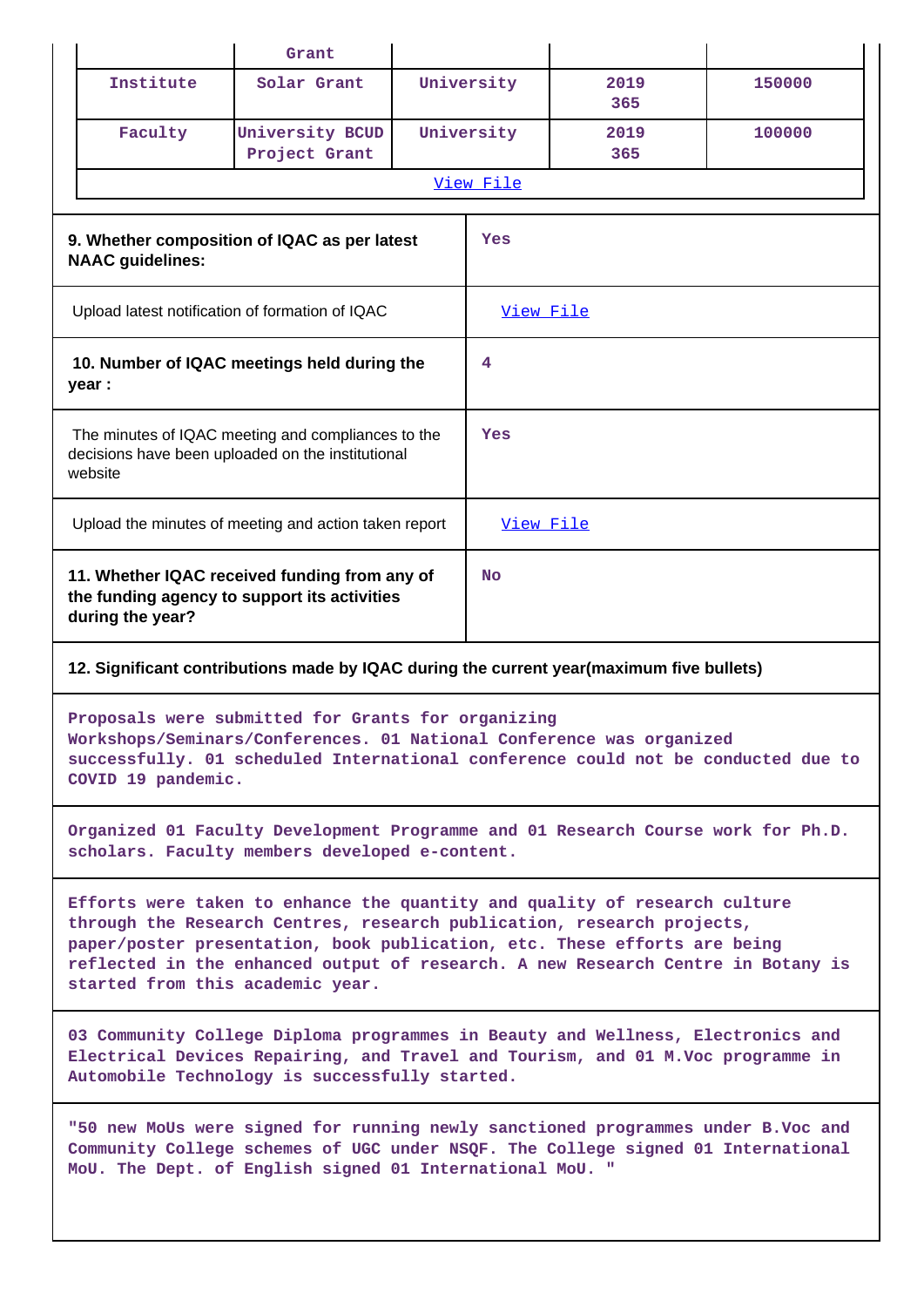|                         | Grant                                                                                                                                                                                                                                                                                                                                                     |            |             |        |
|-------------------------|-----------------------------------------------------------------------------------------------------------------------------------------------------------------------------------------------------------------------------------------------------------------------------------------------------------------------------------------------------------|------------|-------------|--------|
| Institute               | Solar Grant                                                                                                                                                                                                                                                                                                                                               | University | 2019<br>365 | 150000 |
| Faculty                 | University BCUD<br>Project Grant                                                                                                                                                                                                                                                                                                                          | University | 2019<br>365 | 100000 |
|                         |                                                                                                                                                                                                                                                                                                                                                           | View File  |             |        |
| <b>NAAC</b> guidelines: | 9. Whether composition of IQAC as per latest                                                                                                                                                                                                                                                                                                              | Yes        |             |        |
|                         | Upload latest notification of formation of IQAC                                                                                                                                                                                                                                                                                                           | View File  |             |        |
| year :                  | 10. Number of IQAC meetings held during the                                                                                                                                                                                                                                                                                                               | 4          |             |        |
| website                 | The minutes of IQAC meeting and compliances to the<br>decisions have been uploaded on the institutional                                                                                                                                                                                                                                                   | Yes        |             |        |
|                         | Upload the minutes of meeting and action taken report                                                                                                                                                                                                                                                                                                     | View File  |             |        |
| during the year?        | 11. Whether IQAC received funding from any of<br>the funding agency to support its activities                                                                                                                                                                                                                                                             | No         |             |        |
|                         | 12. Significant contributions made by IQAC during the current year(maximum five bullets)                                                                                                                                                                                                                                                                  |            |             |        |
| COVID 19 pandemic.      | Proposals were submitted for Grants for organizing<br>Workshops/Seminars/Conferences. 01 National Conference was organized<br>successfully. 01 scheduled International conference could not be conducted due to                                                                                                                                           |            |             |        |
|                         | Organized 01 Faculty Development Programme and 01 Research Course work for Ph.D.<br>scholars. Faculty members developed e-content.                                                                                                                                                                                                                        |            |             |        |
|                         | Efforts were taken to enhance the quantity and quality of research culture<br>through the Research Centres, research publication, research projects,<br>paper/poster presentation, book publication, etc. These efforts are being<br>reflected in the enhanced output of research. A new Research Centre in Botany is<br>started from this academic year. |            |             |        |
|                         | 03 Community College Diploma programmes in Beauty and Wellness, Electronics and<br>Electrical Devices Repairing, and Travel and Tourism, and 01 M.Voc programme in<br>Automobile Technology is successfully started.                                                                                                                                      |            |             |        |
|                         | "50 new MoUs were signed for running newly sanctioned programmes under B.Voc and<br>Community College schemes of UGC under NSQF. The College signed 01 International<br>MoU. The Dept. of English signed 01 International MoU. "                                                                                                                          |            |             |        |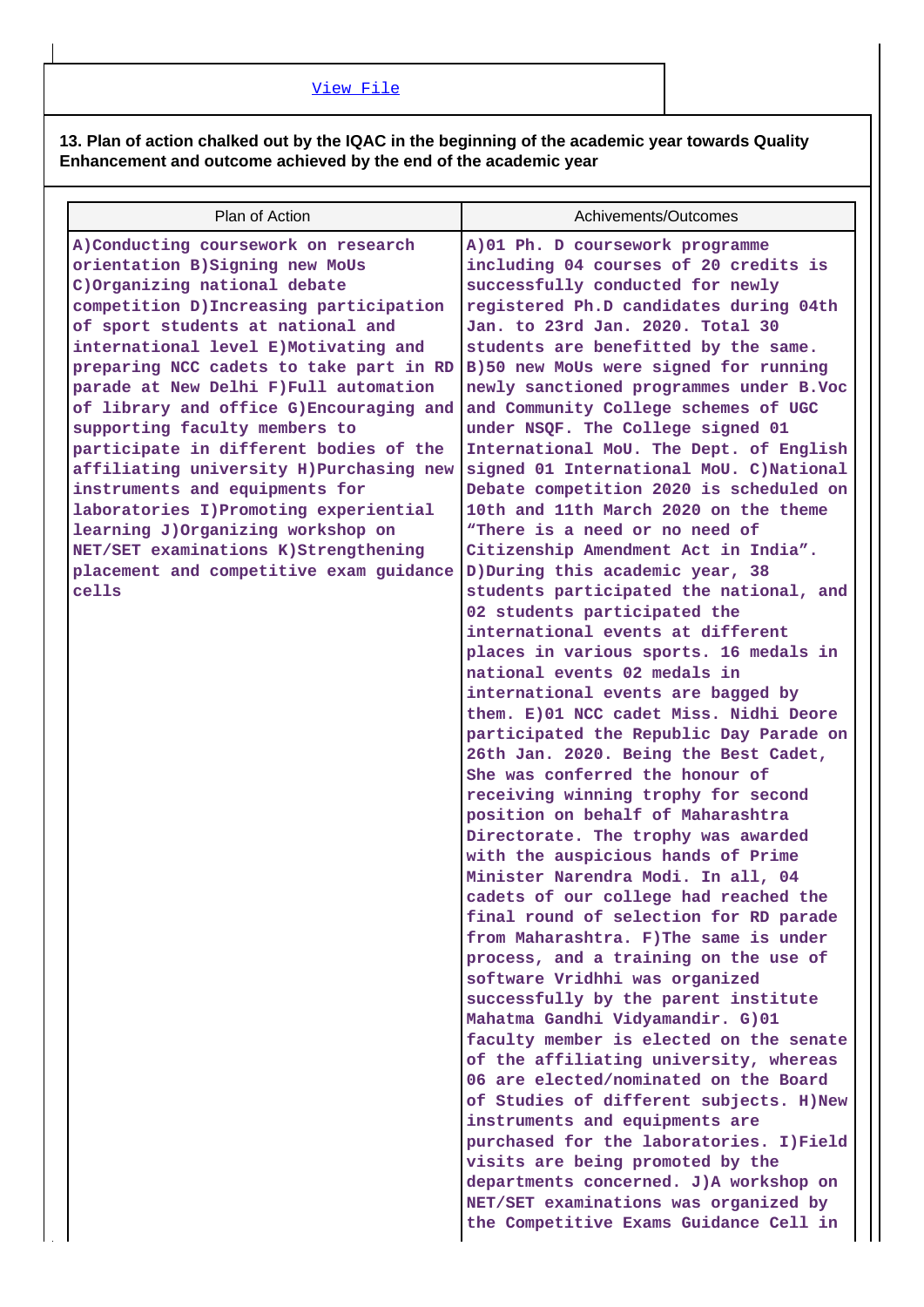## [View File](https://assessmentonline.naac.gov.in/public/Postacc/Contribution/8175_Contribution.xlsx)

**13. Plan of action chalked out by the IQAC in the beginning of the academic year towards Quality Enhancement and outcome achieved by the end of the academic year**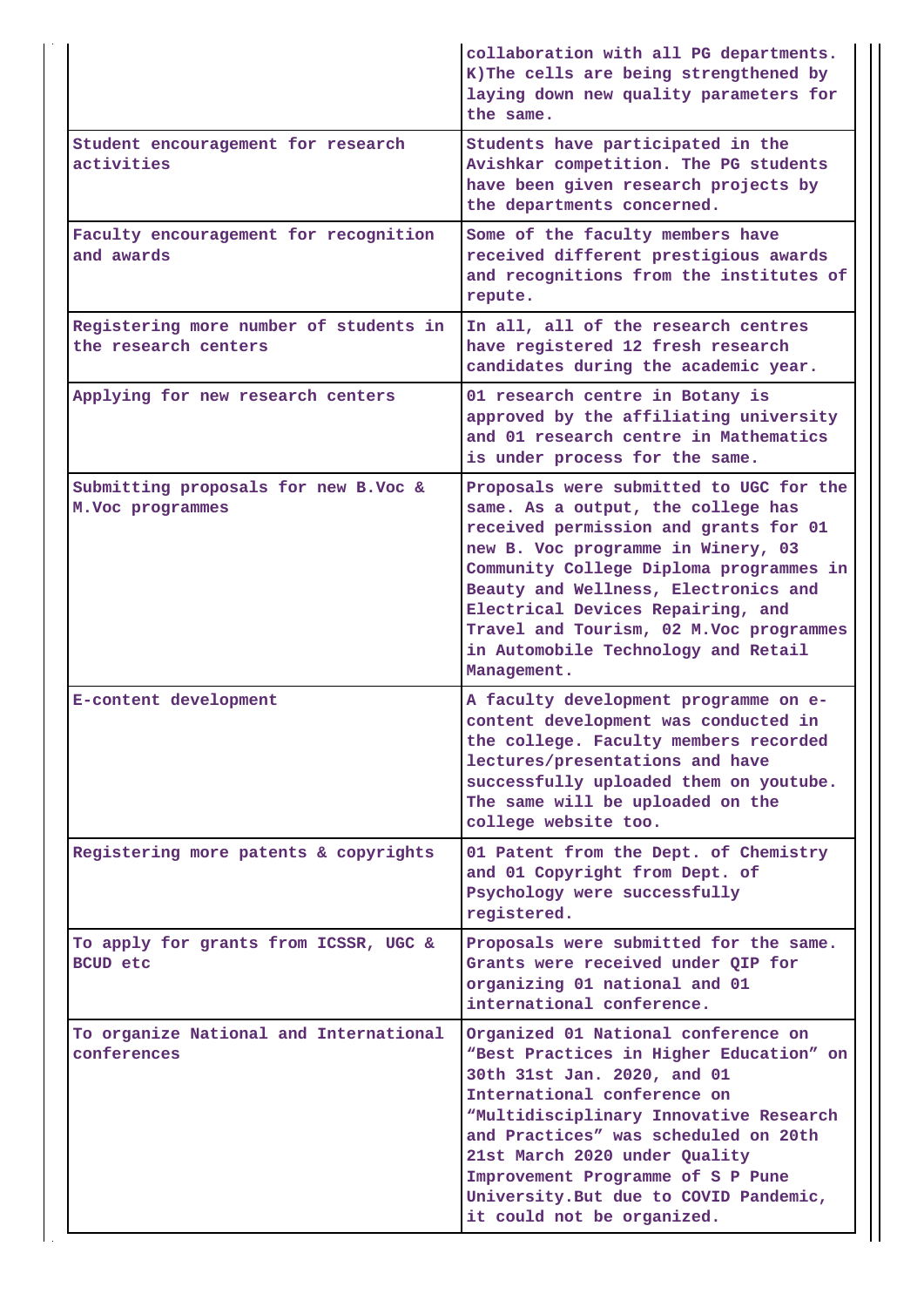|                                                                | collaboration with all PG departments.<br>K) The cells are being strengthened by<br>laying down new quality parameters for<br>the same.                                                                                                                                                                                                                                               |
|----------------------------------------------------------------|---------------------------------------------------------------------------------------------------------------------------------------------------------------------------------------------------------------------------------------------------------------------------------------------------------------------------------------------------------------------------------------|
| Student encouragement for research<br>activities               | Students have participated in the<br>Avishkar competition. The PG students<br>have been given research projects by<br>the departments concerned.                                                                                                                                                                                                                                      |
| Faculty encouragement for recognition<br>and awards            | Some of the faculty members have<br>received different prestigious awards<br>and recognitions from the institutes of<br>repute.                                                                                                                                                                                                                                                       |
| Registering more number of students in<br>the research centers | In all, all of the research centres<br>have registered 12 fresh research<br>candidates during the academic year.                                                                                                                                                                                                                                                                      |
| Applying for new research centers                              | 01 research centre in Botany is<br>approved by the affiliating university<br>and 01 research centre in Mathematics<br>is under process for the same.                                                                                                                                                                                                                                  |
| Submitting proposals for new B.Voc &<br>M. Voc programmes      | Proposals were submitted to UGC for the<br>same. As a output, the college has<br>received permission and grants for 01<br>new B. Voc programme in Winery, 03<br>Community College Diploma programmes in<br>Beauty and Wellness, Electronics and<br>Electrical Devices Repairing, and<br>Travel and Tourism, 02 M.Voc programmes<br>in Automobile Technology and Retail<br>Management. |
| E-content development                                          | A faculty development programme on e-<br>content development was conducted in<br>the college. Faculty members recorded<br>lectures/presentations and have<br>successfully uploaded them on youtube.<br>The same will be uploaded on the<br>college website too.                                                                                                                       |
| Registering more patents & copyrights                          | 01 Patent from the Dept. of Chemistry<br>and 01 Copyright from Dept. of<br>Psychology were successfully<br>registered.                                                                                                                                                                                                                                                                |
| To apply for grants from ICSSR, UGC &<br><b>BCUD</b> etc       | Proposals were submitted for the same.<br>Grants were received under QIP for<br>organizing 01 national and 01<br>international conference.                                                                                                                                                                                                                                            |
| To organize National and International<br>conferences          | Organized 01 National conference on<br>"Best Practices in Higher Education" on<br>30th 31st Jan. 2020, and 01<br>International conference on<br>"Multidisciplinary Innovative Research<br>and Practices" was scheduled on 20th<br>21st March 2020 under Quality<br>Improvement Programme of S P Pune<br>University. But due to COVID Pandemic,<br>it could not be organized.          |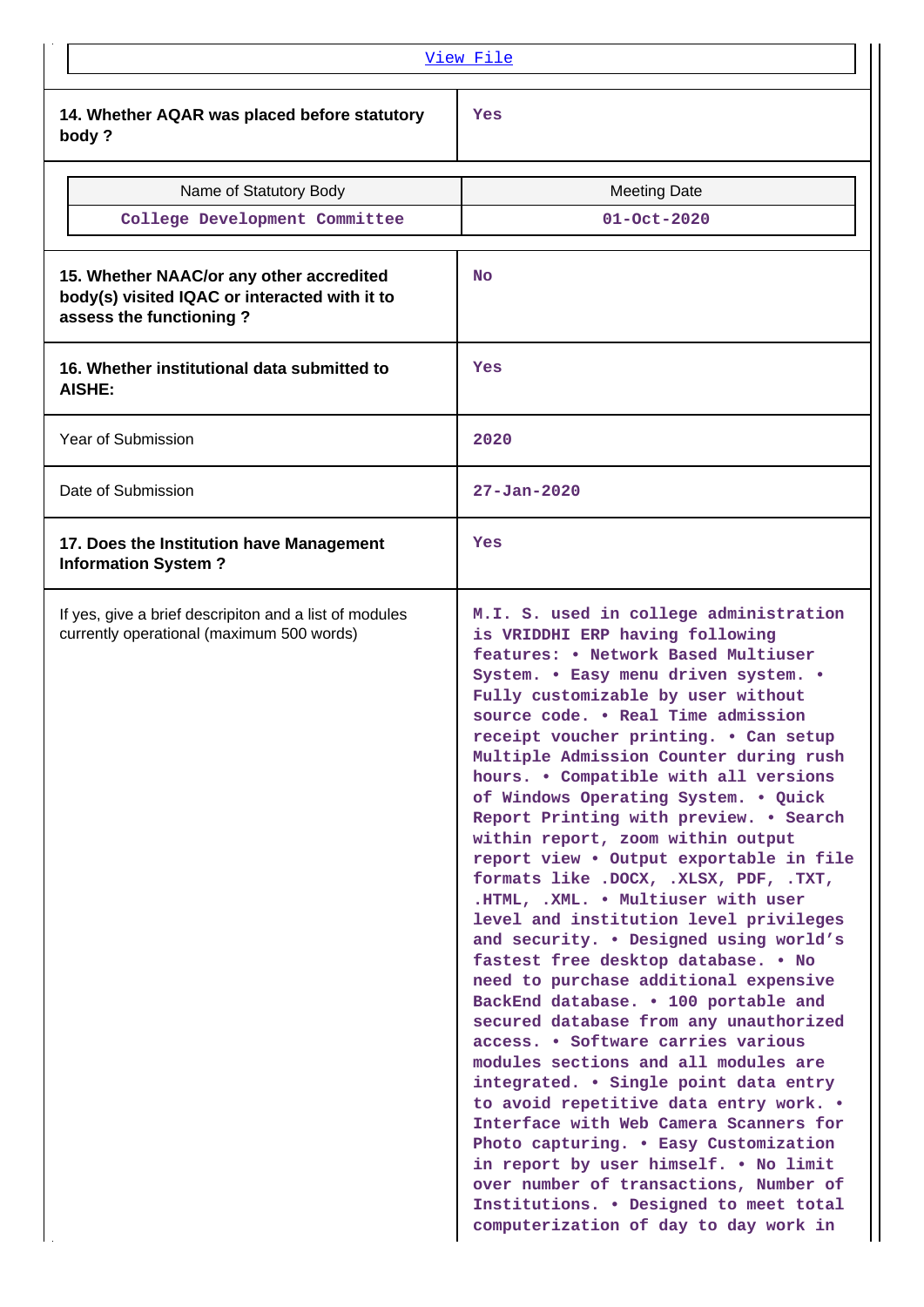| View File                                                                                                            |                                                                                                                                                                                                                                                                                                                                                                                                                                                                                                                                                                                                                                                                                                                                                                                                                                                                                                                                                                                                                                                                                                                                                                                                                                                                                                      |  |  |
|----------------------------------------------------------------------------------------------------------------------|------------------------------------------------------------------------------------------------------------------------------------------------------------------------------------------------------------------------------------------------------------------------------------------------------------------------------------------------------------------------------------------------------------------------------------------------------------------------------------------------------------------------------------------------------------------------------------------------------------------------------------------------------------------------------------------------------------------------------------------------------------------------------------------------------------------------------------------------------------------------------------------------------------------------------------------------------------------------------------------------------------------------------------------------------------------------------------------------------------------------------------------------------------------------------------------------------------------------------------------------------------------------------------------------------|--|--|
| 14. Whether AQAR was placed before statutory<br>body?                                                                | Yes                                                                                                                                                                                                                                                                                                                                                                                                                                                                                                                                                                                                                                                                                                                                                                                                                                                                                                                                                                                                                                                                                                                                                                                                                                                                                                  |  |  |
| Name of Statutory Body                                                                                               | <b>Meeting Date</b>                                                                                                                                                                                                                                                                                                                                                                                                                                                                                                                                                                                                                                                                                                                                                                                                                                                                                                                                                                                                                                                                                                                                                                                                                                                                                  |  |  |
| College Development Committee                                                                                        | $01 - Oct - 2020$                                                                                                                                                                                                                                                                                                                                                                                                                                                                                                                                                                                                                                                                                                                                                                                                                                                                                                                                                                                                                                                                                                                                                                                                                                                                                    |  |  |
| 15. Whether NAAC/or any other accredited<br>body(s) visited IQAC or interacted with it to<br>assess the functioning? | <b>No</b>                                                                                                                                                                                                                                                                                                                                                                                                                                                                                                                                                                                                                                                                                                                                                                                                                                                                                                                                                                                                                                                                                                                                                                                                                                                                                            |  |  |
| 16. Whether institutional data submitted to<br><b>AISHE:</b>                                                         | Yes                                                                                                                                                                                                                                                                                                                                                                                                                                                                                                                                                                                                                                                                                                                                                                                                                                                                                                                                                                                                                                                                                                                                                                                                                                                                                                  |  |  |
| Year of Submission                                                                                                   | 2020                                                                                                                                                                                                                                                                                                                                                                                                                                                                                                                                                                                                                                                                                                                                                                                                                                                                                                                                                                                                                                                                                                                                                                                                                                                                                                 |  |  |
| Date of Submission                                                                                                   | $27 - Jan - 2020$                                                                                                                                                                                                                                                                                                                                                                                                                                                                                                                                                                                                                                                                                                                                                                                                                                                                                                                                                                                                                                                                                                                                                                                                                                                                                    |  |  |
| 17. Does the Institution have Management<br><b>Information System?</b>                                               | Yes                                                                                                                                                                                                                                                                                                                                                                                                                                                                                                                                                                                                                                                                                                                                                                                                                                                                                                                                                                                                                                                                                                                                                                                                                                                                                                  |  |  |
| If yes, give a brief descripiton and a list of modules<br>currently operational (maximum 500 words)                  | M.I. S. used in college administration<br>is VRIDDHI ERP having following<br>features: • Network Based Multiuser<br>System. . Easy menu driven system. .<br>Fully customizable by user without<br>source code. . Real Time admission<br>receipt voucher printing. . Can setup<br>Multiple Admission Counter during rush<br>hours. . Compatible with all versions<br>of Windows Operating System. . Quick<br>Report Printing with preview. . Search<br>within report, zoom within output<br>report view . Output exportable in file<br>formats like . DOCX, . XLSX, PDF, . TXT,<br>.HTML, .XML. . Multiuser with user<br>level and institution level privileges<br>and security. . Designed using world's<br>fastest free desktop database. . No<br>need to purchase additional expensive<br>BackEnd database. . 100 portable and<br>secured database from any unauthorized<br>access. • Software carries various<br>modules sections and all modules are<br>integrated. . Single point data entry<br>to avoid repetitive data entry work. .<br>Interface with Web Camera Scanners for<br>Photo capturing. . Easy Customization<br>in report by user himself. . No limit<br>over number of transactions, Number of<br>Institutions. . Designed to meet total<br>computerization of day to day work in |  |  |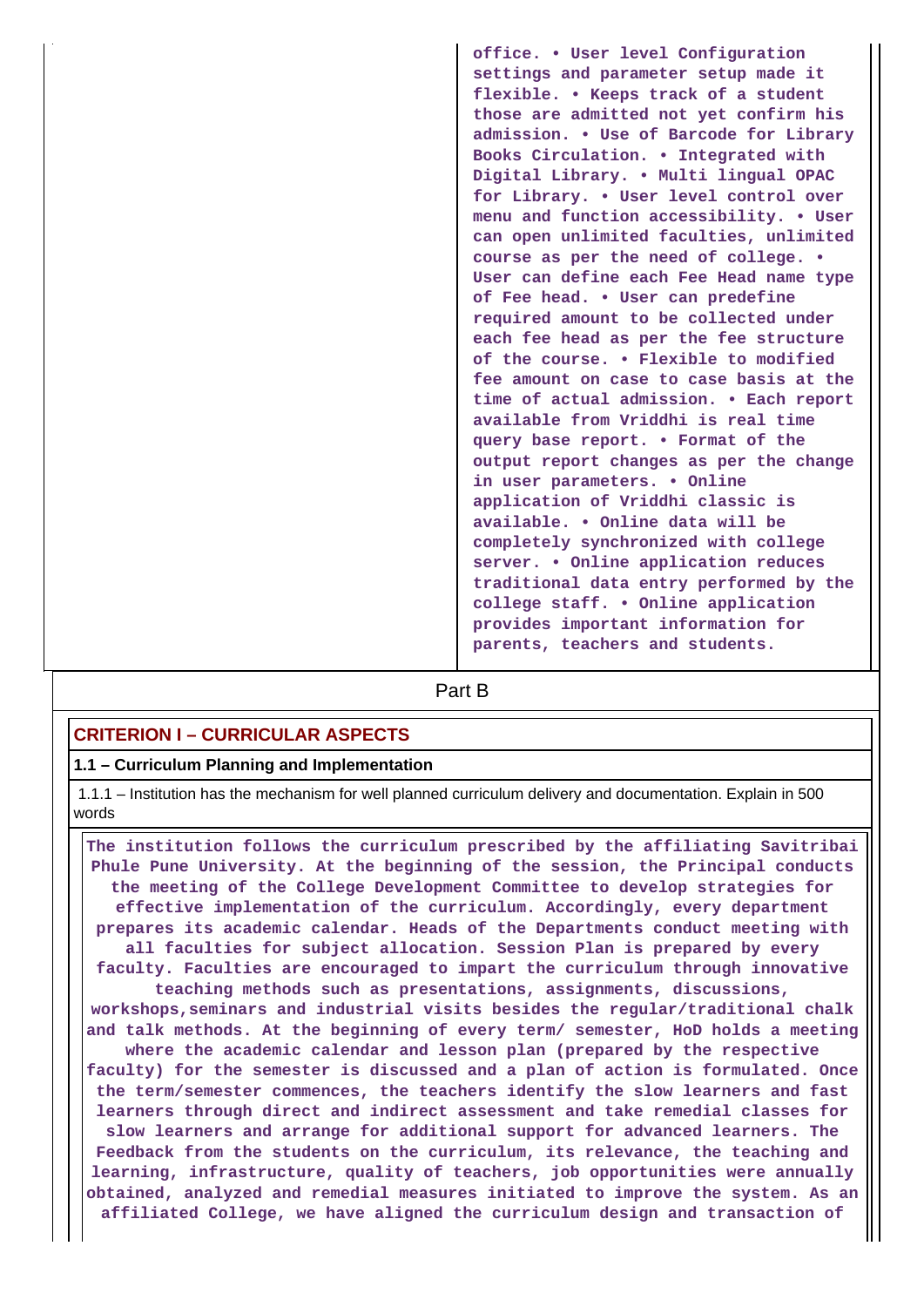**office. • User level Configuration settings and parameter setup made it flexible. • Keeps track of a student those are admitted not yet confirm his admission. • Use of Barcode for Library Books Circulation. • Integrated with Digital Library. • Multi lingual OPAC for Library. • User level control over menu and function accessibility. • User can open unlimited faculties, unlimited course as per the need of college. • User can define each Fee Head name type of Fee head. • User can predefine required amount to be collected under each fee head as per the fee structure of the course. • Flexible to modified fee amount on case to case basis at the time of actual admission. • Each report available from Vriddhi is real time query base report. • Format of the output report changes as per the change in user parameters. • Online application of Vriddhi classic is available. • Online data will be completely synchronized with college server. • Online application reduces traditional data entry performed by the college staff. • Online application provides important information for parents, teachers and students.**

**Part B** 

## **CRITERION I – CURRICULAR ASPECTS**

### **1.1 – Curriculum Planning and Implementation**

 1.1.1 – Institution has the mechanism for well planned curriculum delivery and documentation. Explain in 500 words

 **The institution follows the curriculum prescribed by the affiliating Savitribai Phule Pune University. At the beginning of the session, the Principal conducts the meeting of the College Development Committee to develop strategies for effective implementation of the curriculum. Accordingly, every department prepares its academic calendar. Heads of the Departments conduct meeting with all faculties for subject allocation. Session Plan is prepared by every faculty. Faculties are encouraged to impart the curriculum through innovative teaching methods such as presentations, assignments, discussions, workshops,seminars and industrial visits besides the regular/traditional chalk and talk methods. At the beginning of every term/ semester, HoD holds a meeting where the academic calendar and lesson plan (prepared by the respective faculty) for the semester is discussed and a plan of action is formulated. Once the term/semester commences, the teachers identify the slow learners and fast learners through direct and indirect assessment and take remedial classes for slow learners and arrange for additional support for advanced learners. The Feedback from the students on the curriculum, its relevance, the teaching and learning, infrastructure, quality of teachers, job opportunities were annually obtained, analyzed and remedial measures initiated to improve the system. As an affiliated College, we have aligned the curriculum design and transaction of**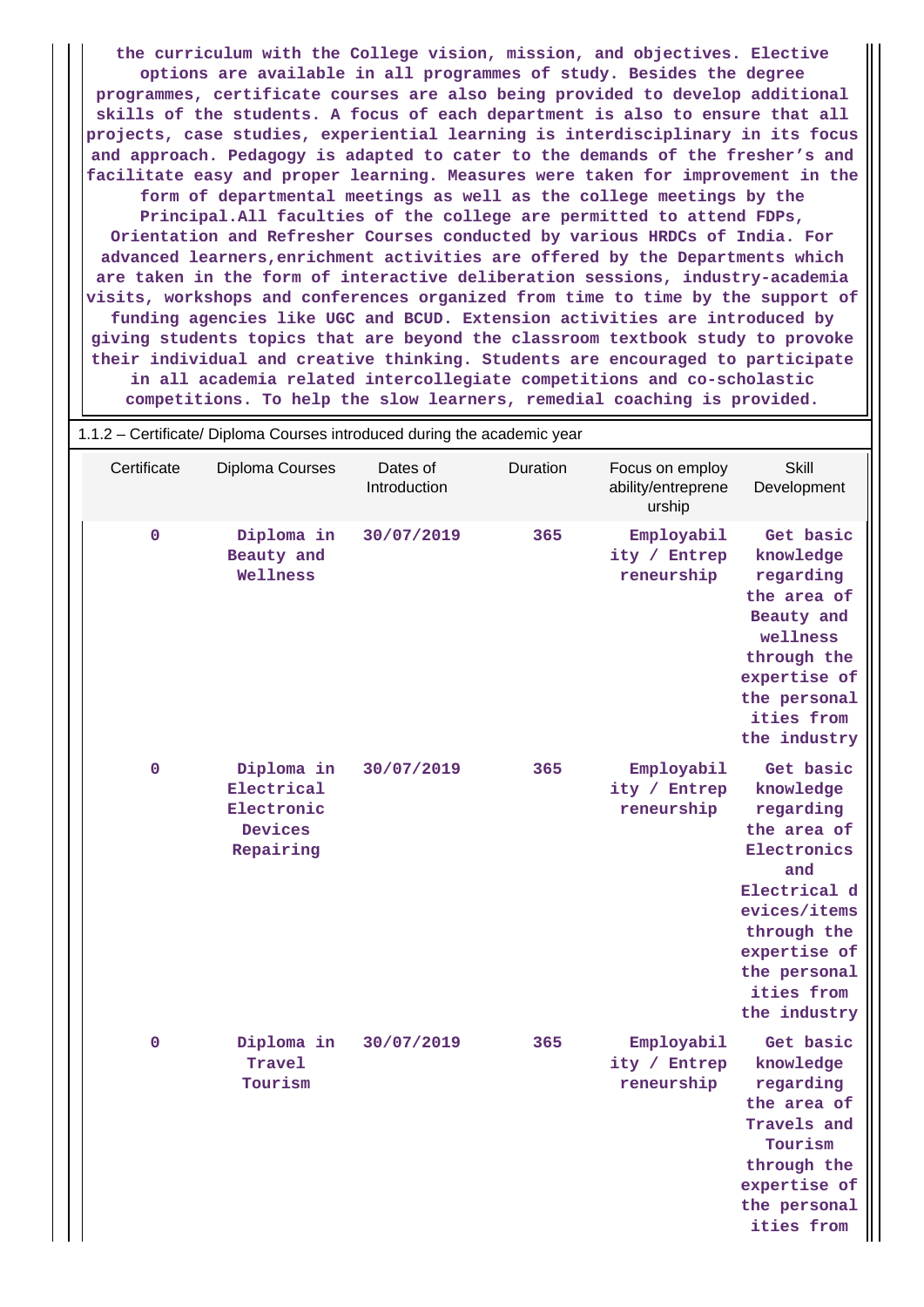**the curriculum with the College vision, mission, and objectives. Elective options are available in all programmes of study. Besides the degree programmes, certificate courses are also being provided to develop additional skills of the students. A focus of each department is also to ensure that all projects, case studies, experiential learning is interdisciplinary in its focus and approach. Pedagogy is adapted to cater to the demands of the fresher's and facilitate easy and proper learning. Measures were taken for improvement in the form of departmental meetings as well as the college meetings by the Principal.All faculties of the college are permitted to attend FDPs, Orientation and Refresher Courses conducted by various HRDCs of India. For advanced learners,enrichment activities are offered by the Departments which are taken in the form of interactive deliberation sessions, industry-academia visits, workshops and conferences organized from time to time by the support of funding agencies like UGC and BCUD. Extension activities are introduced by giving students topics that are beyond the classroom textbook study to provoke their individual and creative thinking. Students are encouraged to participate in all academia related intercollegiate competitions and co-scholastic competitions. To help the slow learners, remedial coaching is provided.**

| 1.1.2 – Certificate/ Diploma Courses introduced during the academic year |                                                                |                          |          |                                                 |                                                                                                                                                                                       |  |
|--------------------------------------------------------------------------|----------------------------------------------------------------|--------------------------|----------|-------------------------------------------------|---------------------------------------------------------------------------------------------------------------------------------------------------------------------------------------|--|
| Certificate                                                              | Diploma Courses                                                | Dates of<br>Introduction | Duration | Focus on employ<br>ability/entreprene<br>urship | Skill<br>Development                                                                                                                                                                  |  |
| $\mathbf 0$                                                              | Diploma in<br>Beauty and<br>Wellness                           | 30/07/2019               | 365      | Employabil<br>ity / Entrep<br>reneurship        | Get basic<br>knowledge<br>regarding<br>the area of<br>Beauty and<br>wellness<br>through the<br>expertise of<br>the personal<br>ities from<br>the industry                             |  |
| $\mathbf 0$                                                              | Diploma in<br>Electrical<br>Electronic<br>Devices<br>Repairing | 30/07/2019               | 365      | Employabil<br>ity / Entrep<br>reneurship        | Get basic<br>knowledge<br>regarding<br>the area of<br>Electronics<br>and<br>Electrical d<br>evices/items<br>through the<br>expertise of<br>the personal<br>ities from<br>the industry |  |
| 0                                                                        | Diploma in<br>Travel<br>Tourism                                | 30/07/2019               | 365      | Employabil<br>ity / Entrep<br>reneurship        | Get basic<br>knowledge<br>regarding<br>the area of<br>Travels and<br>Tourism<br>through the<br>expertise of<br>the personal<br>ities from                                             |  |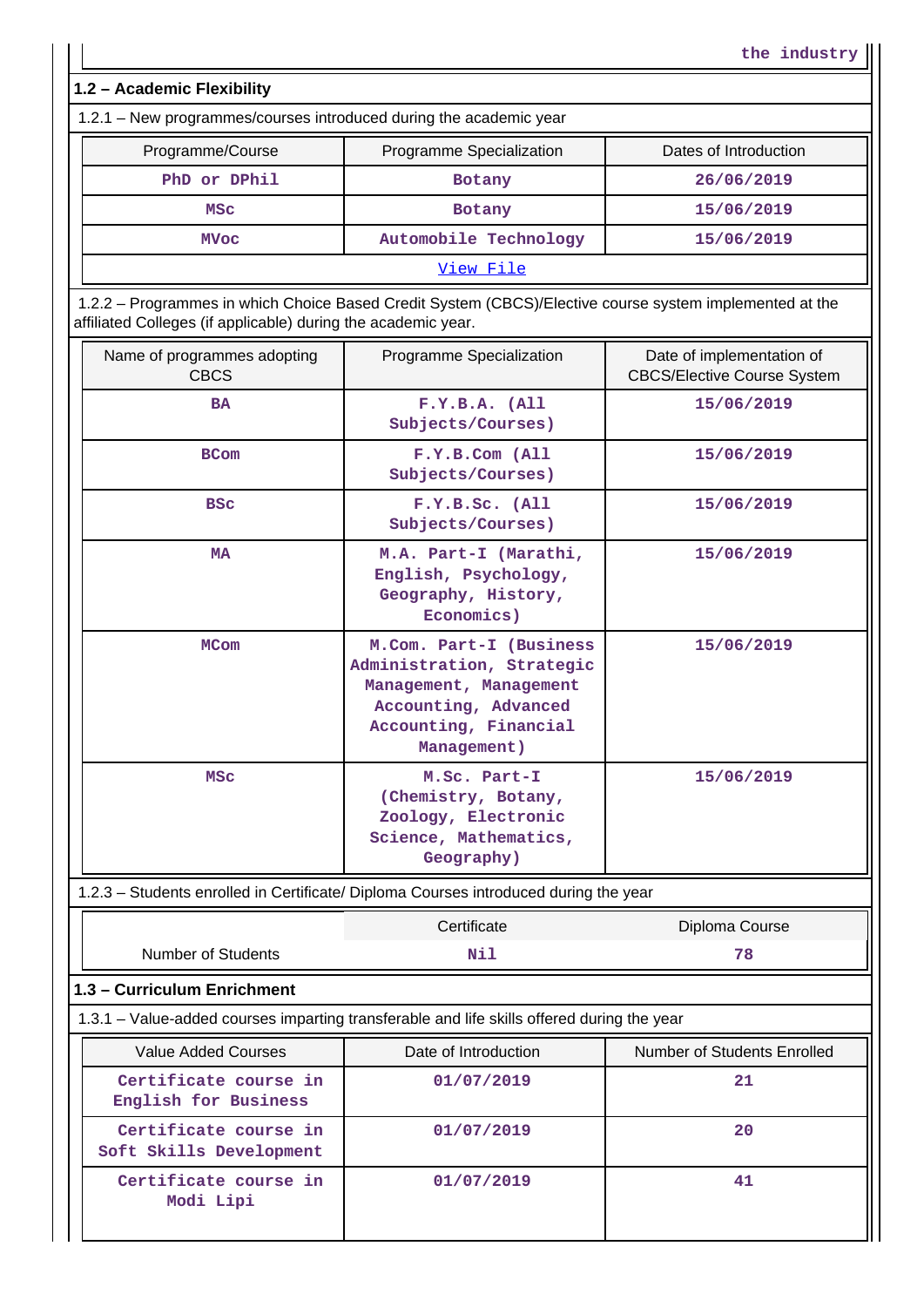**1.2 – Academic Flexibility**

| 1.2.1 – New programmes/courses introduced during the academic year |                          |                       |  |  |
|--------------------------------------------------------------------|--------------------------|-----------------------|--|--|
| Programme/Course                                                   | Programme Specialization | Dates of Introduction |  |  |
| PhD or DPhil                                                       | <b>Botany</b>            | 26/06/2019            |  |  |
| MSC                                                                | <b>Botany</b>            | 15/06/2019            |  |  |
| Automobile Technology<br>15/06/2019<br>MVoc                        |                          |                       |  |  |
| View File                                                          |                          |                       |  |  |

**the industry**

 1.2.2 – Programmes in which Choice Based Credit System (CBCS)/Elective course system implemented at the affiliated Colleges (if applicable) during the academic year.

|                                                  | Name of programmes adopting                                                                     | Programme Specialization                                                                                                                       | Date of implementation of          |
|--------------------------------------------------|-------------------------------------------------------------------------------------------------|------------------------------------------------------------------------------------------------------------------------------------------------|------------------------------------|
|                                                  | <b>CBCS</b>                                                                                     |                                                                                                                                                | <b>CBCS/Elective Course System</b> |
|                                                  | <b>BA</b>                                                                                       | F.Y.B.A. (All)<br>Subjects/Courses)                                                                                                            | 15/06/2019                         |
|                                                  | <b>BCom</b>                                                                                     | F.Y.B.Com (All<br>Subjects/Courses)                                                                                                            | 15/06/2019                         |
|                                                  | <b>BSC</b>                                                                                      | F.Y.B.Sc. (All<br>Subjects/Courses)                                                                                                            | 15/06/2019                         |
|                                                  | M.A. Part-I (Marathi,<br><b>MA</b><br>English, Psychology,<br>Geography, History,<br>Economics) |                                                                                                                                                | 15/06/2019                         |
|                                                  | <b>MCom</b>                                                                                     | M.Com. Part-I (Business<br>Administration, Strategic<br>Management, Management<br>Accounting, Advanced<br>Accounting, Financial<br>Management) | 15/06/2019                         |
|                                                  | <b>MSC</b>                                                                                      | M.Sc. Part-I<br>(Chemistry, Botany,<br>Zoology, Electronic<br>Science, Mathematics,<br>Geography)                                              | 15/06/2019                         |
|                                                  | 1.2.3 - Students enrolled in Certificate/ Diploma Courses introduced during the year            |                                                                                                                                                |                                    |
|                                                  |                                                                                                 | Certificate                                                                                                                                    | Diploma Course                     |
|                                                  | <b>Number of Students</b>                                                                       | Nil                                                                                                                                            | 78                                 |
|                                                  | 1.3 - Curriculum Enrichment                                                                     |                                                                                                                                                |                                    |
|                                                  | 1.3.1 - Value-added courses imparting transferable and life skills offered during the year      |                                                                                                                                                |                                    |
|                                                  | Value Added Courses                                                                             | Date of Introduction                                                                                                                           | <b>Number of Students Enrolled</b> |
|                                                  | Certificate course in<br>English for Business                                                   | 01/07/2019                                                                                                                                     | 21                                 |
|                                                  | Certificate course in<br>Soft Skills Development                                                | 01/07/2019                                                                                                                                     | 20                                 |
| Certificate course in<br>01/07/2019<br>Modi Lipi |                                                                                                 |                                                                                                                                                | 41                                 |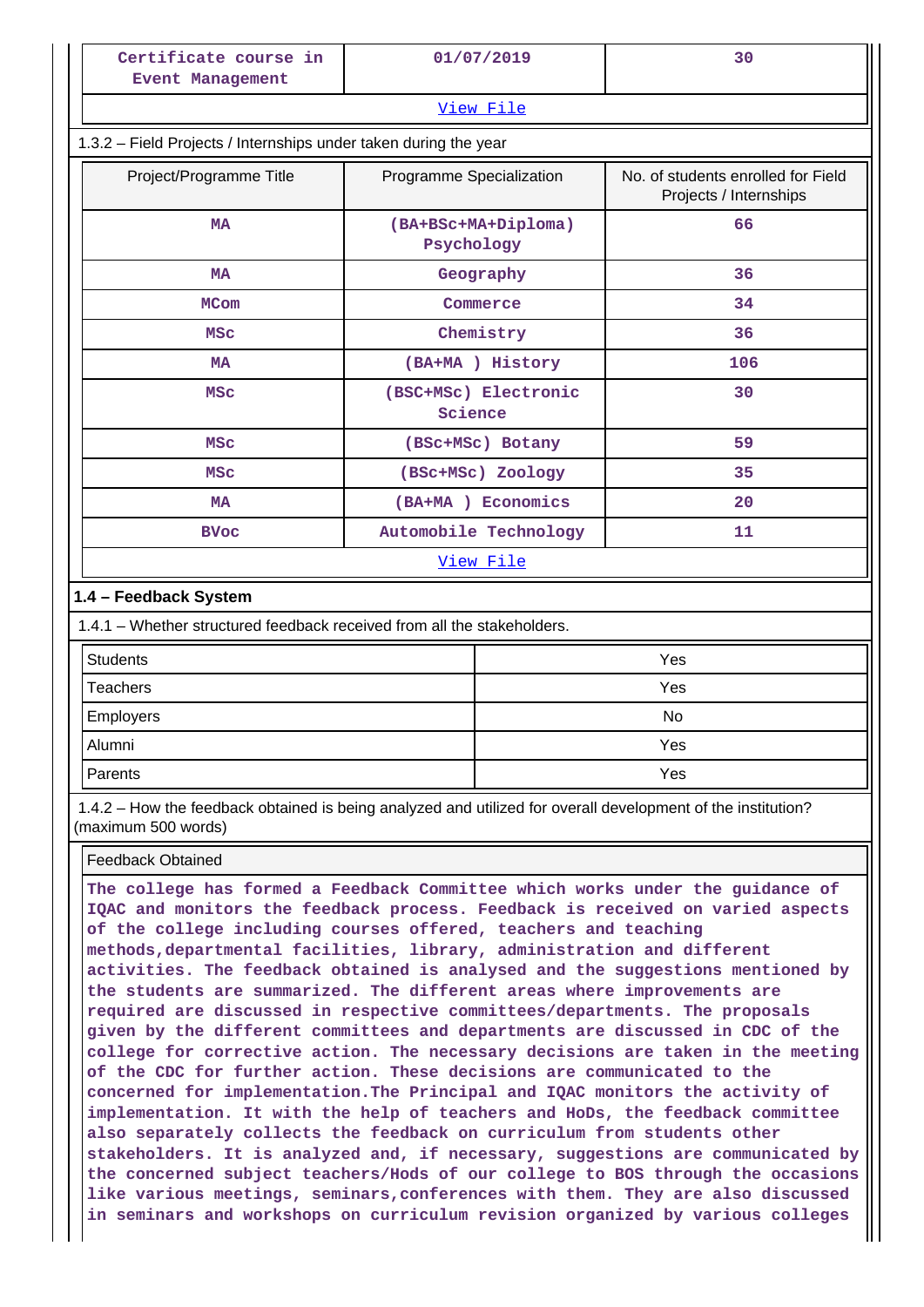| Certificate course in<br><b>Event Management</b>                                                                                    | 01/07/2019                        | 30                                                           |  |  |  |
|-------------------------------------------------------------------------------------------------------------------------------------|-----------------------------------|--------------------------------------------------------------|--|--|--|
|                                                                                                                                     | View File                         |                                                              |  |  |  |
| 1.3.2 - Field Projects / Internships under taken during the year                                                                    |                                   |                                                              |  |  |  |
| Project/Programme Title                                                                                                             | Programme Specialization          | No. of students enrolled for Field<br>Projects / Internships |  |  |  |
| <b>MA</b>                                                                                                                           | (BA+BSc+MA+Diploma)<br>Psychology | 66                                                           |  |  |  |
| <b>MA</b>                                                                                                                           | Geography                         | 36                                                           |  |  |  |
| <b>MCom</b>                                                                                                                         | Commerce                          | 34                                                           |  |  |  |
| <b>MSC</b>                                                                                                                          | Chemistry                         | 36                                                           |  |  |  |
| <b>MA</b>                                                                                                                           | (BA+MA) History                   | 106                                                          |  |  |  |
| <b>MSC</b>                                                                                                                          | (BSC+MSc) Electronic<br>Science   | 30                                                           |  |  |  |
| <b>MSC</b>                                                                                                                          | (BSC+MSc) Botany                  | 59                                                           |  |  |  |
| <b>MSC</b>                                                                                                                          | (BSC+MSC) Zoology                 | 35                                                           |  |  |  |
| <b>MA</b>                                                                                                                           | (BA+MA) Economics                 | 20                                                           |  |  |  |
| <b>BVoc</b>                                                                                                                         | Automobile Technology             | 11                                                           |  |  |  |
|                                                                                                                                     | View File                         |                                                              |  |  |  |
| 1.4 - Feedback System                                                                                                               |                                   |                                                              |  |  |  |
| 1.4.1 – Whether structured feedback received from all the stakeholders.                                                             |                                   |                                                              |  |  |  |
| <b>Students</b>                                                                                                                     |                                   | Yes                                                          |  |  |  |
| <b>Teachers</b>                                                                                                                     |                                   | Yes                                                          |  |  |  |
| Employers                                                                                                                           |                                   | No                                                           |  |  |  |
| Alumni                                                                                                                              |                                   | Yes                                                          |  |  |  |
| Parents                                                                                                                             |                                   | Yes                                                          |  |  |  |
| 1.4.2 - How the feedback obtained is being analyzed and utilized for overall development of the institution?<br>(maximum 500 words) |                                   |                                                              |  |  |  |
| <b>Feedback Obtained</b>                                                                                                            |                                   |                                                              |  |  |  |

**The college has formed a Feedback Committee which works under the guidance of IQAC and monitors the feedback process. Feedback is received on varied aspects of the college including courses offered, teachers and teaching methods,departmental facilities, library, administration and different activities. The feedback obtained is analysed and the suggestions mentioned by the students are summarized. The different areas where improvements are required are discussed in respective committees/departments. The proposals given by the different committees and departments are discussed in CDC of the college for corrective action. The necessary decisions are taken in the meeting of the CDC for further action. These decisions are communicated to the concerned for implementation.The Principal and IQAC monitors the activity of implementation. It with the help of teachers and HoDs, the feedback committee also separately collects the feedback on curriculum from students other stakeholders. It is analyzed and, if necessary, suggestions are communicated by the concerned subject teachers/Hods of our college to BOS through the occasions like various meetings, seminars,conferences with them. They are also discussed in seminars and workshops on curriculum revision organized by various colleges**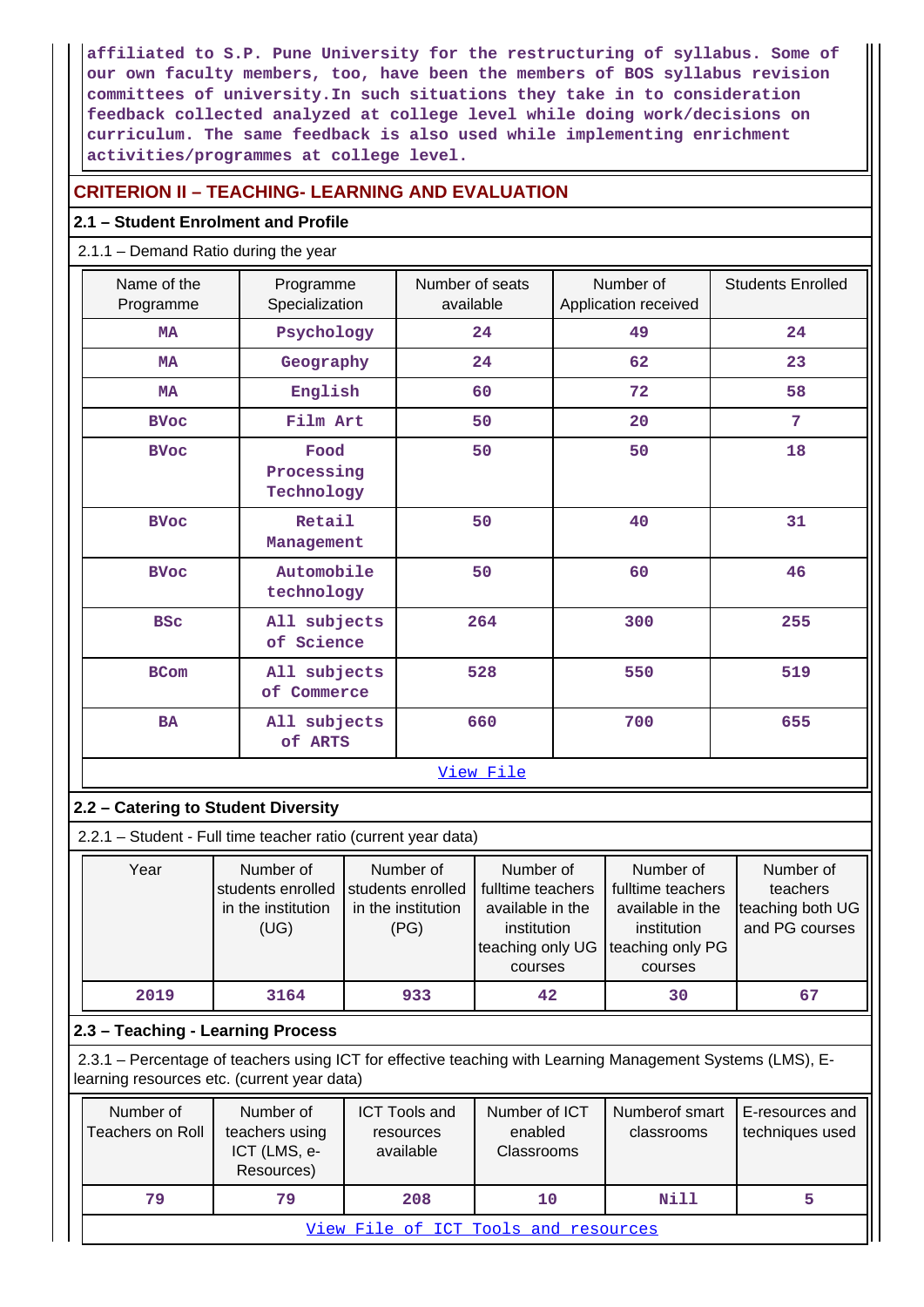**affiliated to S.P. Pune University for the restructuring of syllabus. Some of our own faculty members, too, have been the members of BOS syllabus revision committees of university.In such situations they take in to consideration feedback collected analyzed at college level while doing work/decisions on curriculum. The same feedback is also used while implementing enrichment activities/programmes at college level.**

## **CRITERION II – TEACHING- LEARNING AND EVALUATION**

## **2.1 – Student Enrolment and Profile**

## 2.1.1 – Demand Ratio during the year

| Name of the<br>Programme                                                                               |                                                              | Programme<br>Specialization |                                                              | Number of seats<br>available                                                                     |  | Number of<br>Application received                                                                | <b>Students Enrolled</b>                                    |
|--------------------------------------------------------------------------------------------------------|--------------------------------------------------------------|-----------------------------|--------------------------------------------------------------|--------------------------------------------------------------------------------------------------|--|--------------------------------------------------------------------------------------------------|-------------------------------------------------------------|
| <b>MA</b>                                                                                              |                                                              | Psychology                  |                                                              | 24                                                                                               |  | 49                                                                                               | 24                                                          |
| <b>MA</b>                                                                                              | Geography                                                    |                             |                                                              | 24                                                                                               |  | 62                                                                                               | 23                                                          |
| <b>MA</b>                                                                                              | English                                                      |                             |                                                              | 60                                                                                               |  | 72                                                                                               | 58                                                          |
| <b>BVoc</b>                                                                                            | Film Art                                                     |                             |                                                              | 50                                                                                               |  | 20                                                                                               | 7                                                           |
| <b>BVoc</b>                                                                                            | Food<br>Processing<br>Technology                             |                             | 50                                                           |                                                                                                  |  | 50                                                                                               | 18                                                          |
| <b>BVoc</b>                                                                                            | Retail<br>Management                                         |                             |                                                              | 50                                                                                               |  | 40                                                                                               | 31                                                          |
| <b>BVoc</b>                                                                                            | Automobile<br>technology                                     |                             |                                                              | 50                                                                                               |  | 60                                                                                               | 46                                                          |
| <b>BSC</b>                                                                                             | All subjects<br>of Science                                   |                             |                                                              | 264                                                                                              |  | 300                                                                                              | 255                                                         |
| <b>BCom</b>                                                                                            | All subjects<br>of Commerce                                  |                             |                                                              | 528                                                                                              |  | 550                                                                                              | 519                                                         |
| <b>BA</b>                                                                                              | All subjects<br>of ARTS                                      |                             | 660                                                          |                                                                                                  |  | 700                                                                                              | 655                                                         |
|                                                                                                        |                                                              |                             |                                                              | View File                                                                                        |  |                                                                                                  |                                                             |
| 2.2 - Catering to Student Diversity                                                                    |                                                              |                             |                                                              |                                                                                                  |  |                                                                                                  |                                                             |
| 2.2.1 - Student - Full time teacher ratio (current year data)                                          |                                                              |                             |                                                              |                                                                                                  |  |                                                                                                  |                                                             |
| Year                                                                                                   | Number of<br>students enrolled<br>in the institution<br>(UG) |                             | Number of<br>students enrolled<br>in the institution<br>(PG) | Number of<br>fulltime teachers<br>available in the<br>institution<br>teaching only UG<br>courses |  | Number of<br>fulltime teachers<br>available in the<br>institution<br>teaching only PG<br>courses | Number of<br>teachers<br>teaching both UG<br>and PG courses |
| 2019                                                                                                   | 3164                                                         |                             | 933                                                          | 42                                                                                               |  | 30                                                                                               | 67                                                          |
| 2.3 - Teaching - Learning Process                                                                      |                                                              |                             |                                                              |                                                                                                  |  |                                                                                                  |                                                             |
| 2.2.1 Perceptage of togebors using ICT for offective togebing with Learning Management Systems (LMS) E |                                                              |                             |                                                              |                                                                                                  |  |                                                                                                  |                                                             |

 2.3.1 – Percentage of teachers using ICT for effective teaching with Learning Management Systems (LMS), Elearning resources etc. (current year data)

| Number of<br>Teachers on Roll        | Number of<br>teachers using<br>ICT (LMS, e-<br>Resources) | <b>ICT Tools and</b><br>resources<br>available | Number of ICT<br>enabled<br><b>Classrooms</b> | Numberof smart<br>classrooms | E-resources and<br>techniques used |  |
|--------------------------------------|-----------------------------------------------------------|------------------------------------------------|-----------------------------------------------|------------------------------|------------------------------------|--|
| 79                                   | 79                                                        | 208                                            | 10                                            | Nill                         |                                    |  |
| View File of ICT Tools and resources |                                                           |                                                |                                               |                              |                                    |  |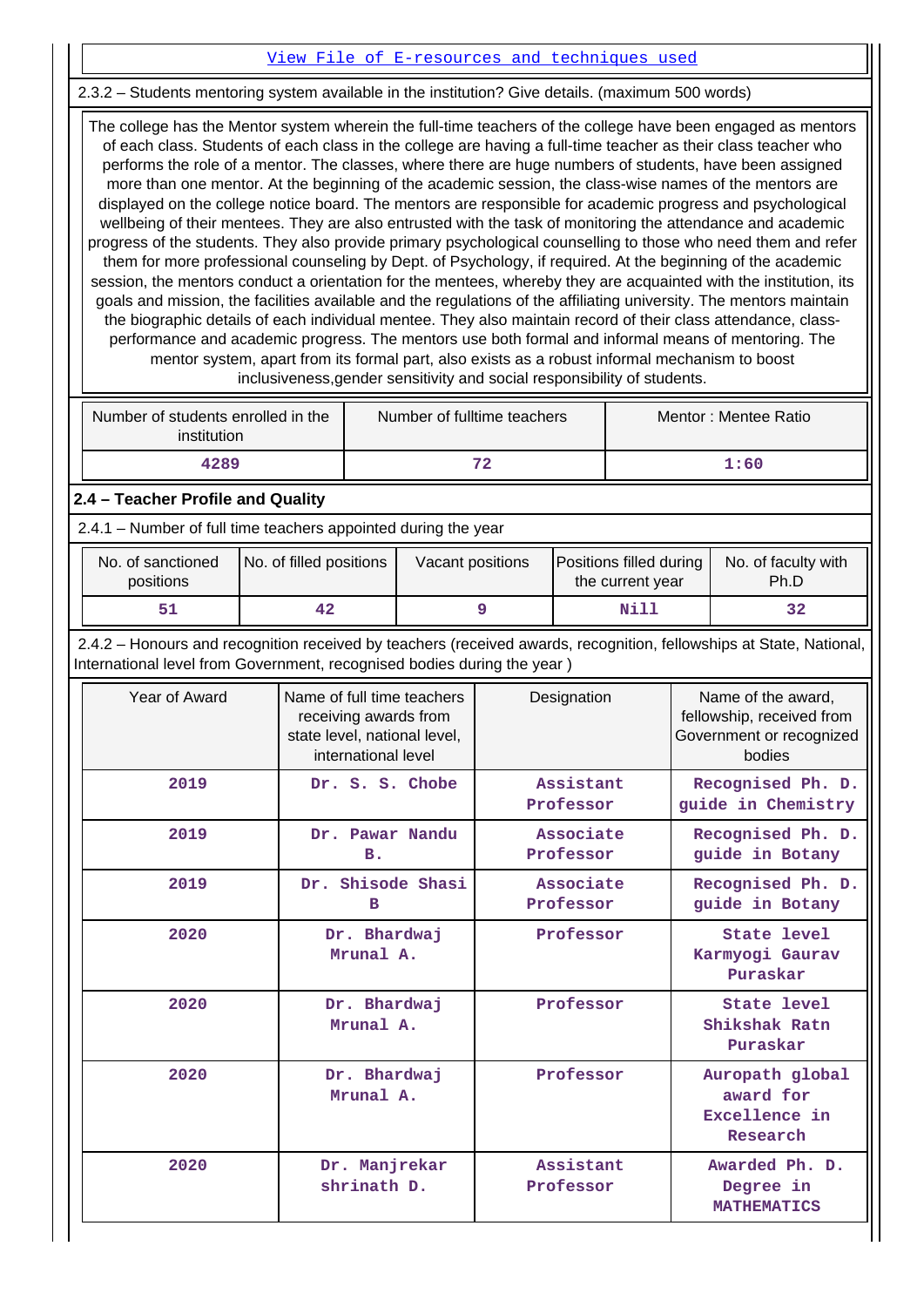## [View File of E-resources and techniques used](https://assessmentonline.naac.gov.in/public/Postacc/e_resource/8175_e_resource_1607583474.xlsx)

## 2.3.2 – Students mentoring system available in the institution? Give details. (maximum 500 words)

 The college has the Mentor system wherein the full-time teachers of the college have been engaged as mentors of each class. Students of each class in the college are having a full-time teacher as their class teacher who performs the role of a mentor. The classes, where there are huge numbers of students, have been assigned more than one mentor. At the beginning of the academic session, the class-wise names of the mentors are displayed on the college notice board. The mentors are responsible for academic progress and psychological wellbeing of their mentees. They are also entrusted with the task of monitoring the attendance and academic progress of the students. They also provide primary psychological counselling to those who need them and refer them for more professional counseling by Dept. of Psychology, if required. At the beginning of the academic session, the mentors conduct a orientation for the mentees, whereby they are acquainted with the institution, its goals and mission, the facilities available and the regulations of the affiliating university. The mentors maintain the biographic details of each individual mentee. They also maintain record of their class attendance, classperformance and academic progress. The mentors use both formal and informal means of mentoring. The mentor system, apart from its formal part, also exists as a robust informal mechanism to boost inclusiveness,gender sensitivity and social responsibility of students.

| Number of students enrolled in the<br>institution | Number of fulltime teachers | Mentor: Mentee Ratio |
|---------------------------------------------------|-----------------------------|----------------------|
| 4289                                              | 72                          | 1:60                 |

## **2.4 – Teacher Profile and Quality**

2.4.1 – Number of full time teachers appointed during the year

| No. of sanctioned<br>positions | No. of filled positions | Vacant positions | <b>Positions filled during</b><br>the current year | No. of faculty with<br>Ph.D |
|--------------------------------|-------------------------|------------------|----------------------------------------------------|-----------------------------|
| 51                             | 42                      |                  | Nill                                               | 32                          |

 2.4.2 – Honours and recognition received by teachers (received awards, recognition, fellowships at State, National, International level from Government, recognised bodies during the year )

| Year of Award | Name of full time teachers<br>receiving awards from<br>state level, national level,<br>international level | Designation            | Name of the award,<br>fellowship, received from<br>Government or recognized<br>bodies |
|---------------|------------------------------------------------------------------------------------------------------------|------------------------|---------------------------------------------------------------------------------------|
| 2019          | Dr. S. S. Chobe                                                                                            | Assistant<br>Professor | Recognised Ph. D.<br>guide in Chemistry                                               |
| 2019          | Dr. Pawar Nandu<br>в.                                                                                      | Associate<br>Professor | Recognised Ph. D.<br>guide in Botany                                                  |
| 2019          | Dr. Shisode Shasi<br>в                                                                                     | Associate<br>Professor | Recognised Ph. D.<br>guide in Botany                                                  |
| 2020          | Dr. Bhardwaj<br>Mrunal A.                                                                                  | Professor              | State level<br>Karmyogi Gaurav<br>Puraskar                                            |
| 2020          | Dr. Bhardwaj<br>Mrunal A.                                                                                  | Professor              | State level<br>Shikshak Ratn<br>Puraskar                                              |
| 2020          | Dr. Bhardwaj<br>Mrunal A.                                                                                  | Professor              | Auropath global<br>award for<br>Excellence in<br>Research                             |
| 2020          | Dr. Manjrekar<br>shrinath D.                                                                               | Assistant<br>Professor | Awarded Ph. D.<br>Degree in<br><b>MATHEMATICS</b>                                     |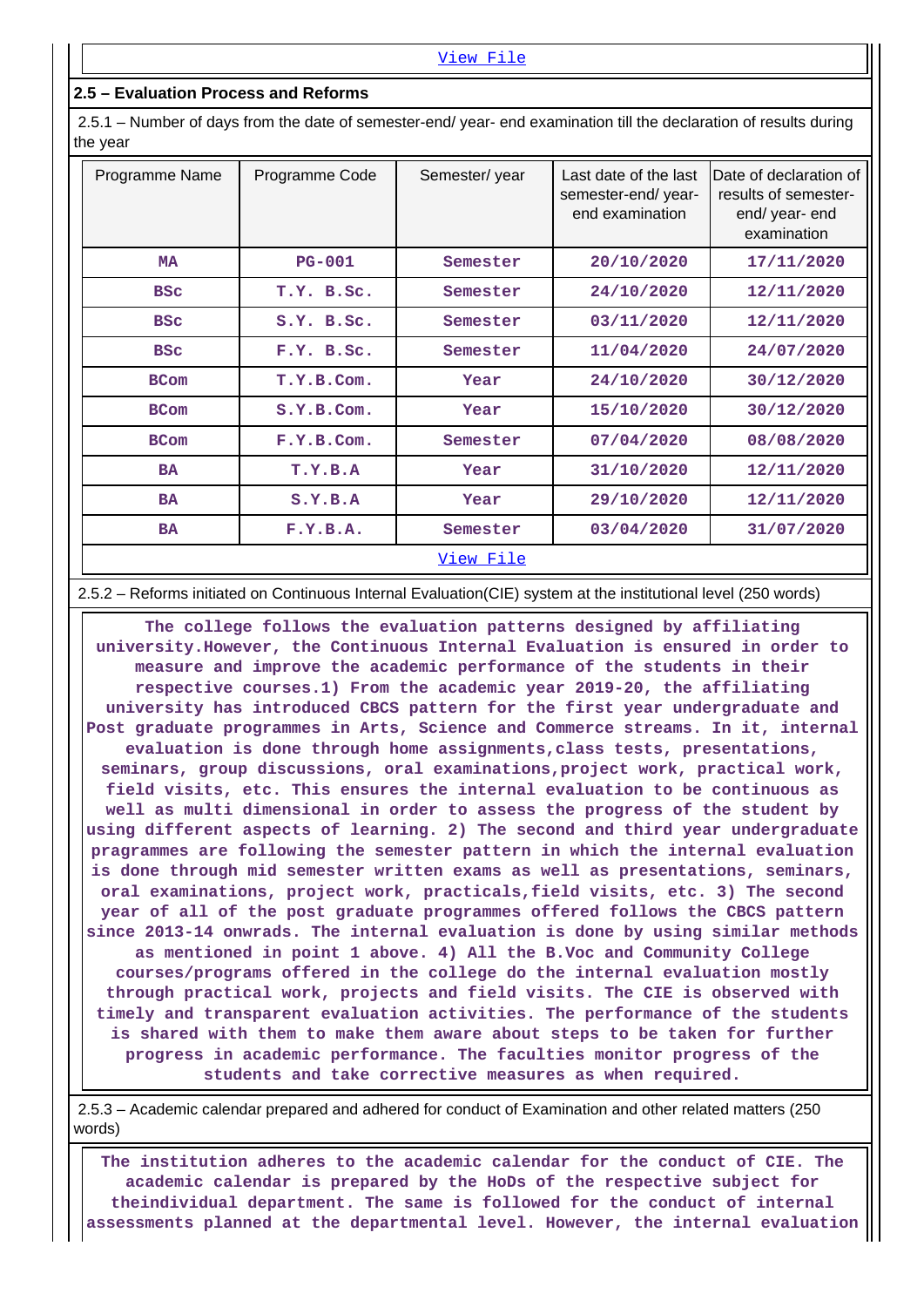#### **2.5 – Evaluation Process and Reforms**

 2.5.1 – Number of days from the date of semester-end/ year- end examination till the declaration of results during the year

| Programme Name | Programme Code | Semester/year    | Last date of the last<br>semester-end/year-<br>end examination | IDate of declaration of<br>results of semester-<br>end/ year- end<br>examination |
|----------------|----------------|------------------|----------------------------------------------------------------|----------------------------------------------------------------------------------|
| <b>MA</b>      | $PG-001$       | Semester         | 20/10/2020                                                     | 17/11/2020                                                                       |
| <b>BSC</b>     | T.Y. B.Sc.     | Semester         | 24/10/2020                                                     | 12/11/2020                                                                       |
| <b>BSC</b>     | S.Y. B.Sc.     | Semester         | 03/11/2020                                                     | 12/11/2020                                                                       |
| <b>BSC</b>     | F.Y. B.SC.     | Semester         | 11/04/2020                                                     | 24/07/2020                                                                       |
| <b>BCom</b>    | T.Y.B.Com.     | Year             | 24/10/2020                                                     | 30/12/2020                                                                       |
| <b>BCom</b>    | S.Y.B.Com.     | Year             | 15/10/2020                                                     | 30/12/2020                                                                       |
| <b>BCom</b>    | F.Y.B.Com.     | Semester         | 07/04/2020                                                     | 08/08/2020                                                                       |
| <b>BA</b>      | T.Y.B.A        | Year             | 31/10/2020                                                     | 12/11/2020                                                                       |
| <b>BA</b>      | S.Y.B.A        | Year             | 29/10/2020                                                     | 12/11/2020                                                                       |
| <b>BA</b>      | F.Y.B.A.       | Semester         | 03/04/2020                                                     | 31/07/2020                                                                       |
|                |                | <u>View File</u> |                                                                |                                                                                  |

#### 2.5.2 – Reforms initiated on Continuous Internal Evaluation(CIE) system at the institutional level (250 words)

 **The college follows the evaluation patterns designed by affiliating university.However, the Continuous Internal Evaluation is ensured in order to measure and improve the academic performance of the students in their respective courses.1) From the academic year 2019-20, the affiliating university has introduced CBCS pattern for the first year undergraduate and Post graduate programmes in Arts, Science and Commerce streams. In it, internal evaluation is done through home assignments,class tests, presentations, seminars, group discussions, oral examinations,project work, practical work, field visits, etc. This ensures the internal evaluation to be continuous as well as multi dimensional in order to assess the progress of the student by using different aspects of learning. 2) The second and third year undergraduate pragrammes are following the semester pattern in which the internal evaluation is done through mid semester written exams as well as presentations, seminars, oral examinations, project work, practicals,field visits, etc. 3) The second year of all of the post graduate programmes offered follows the CBCS pattern since 2013-14 onwrads. The internal evaluation is done by using similar methods as mentioned in point 1 above. 4) All the B.Voc and Community College courses/programs offered in the college do the internal evaluation mostly through practical work, projects and field visits. The CIE is observed with timely and transparent evaluation activities. The performance of the students is shared with them to make them aware about steps to be taken for further progress in academic performance. The faculties monitor progress of the students and take corrective measures as when required.**

 2.5.3 – Academic calendar prepared and adhered for conduct of Examination and other related matters (250 words)

 **The institution adheres to the academic calendar for the conduct of CIE. The academic calendar is prepared by the HoDs of the respective subject for theindividual department. The same is followed for the conduct of internal assessments planned at the departmental level. However, the internal evaluation**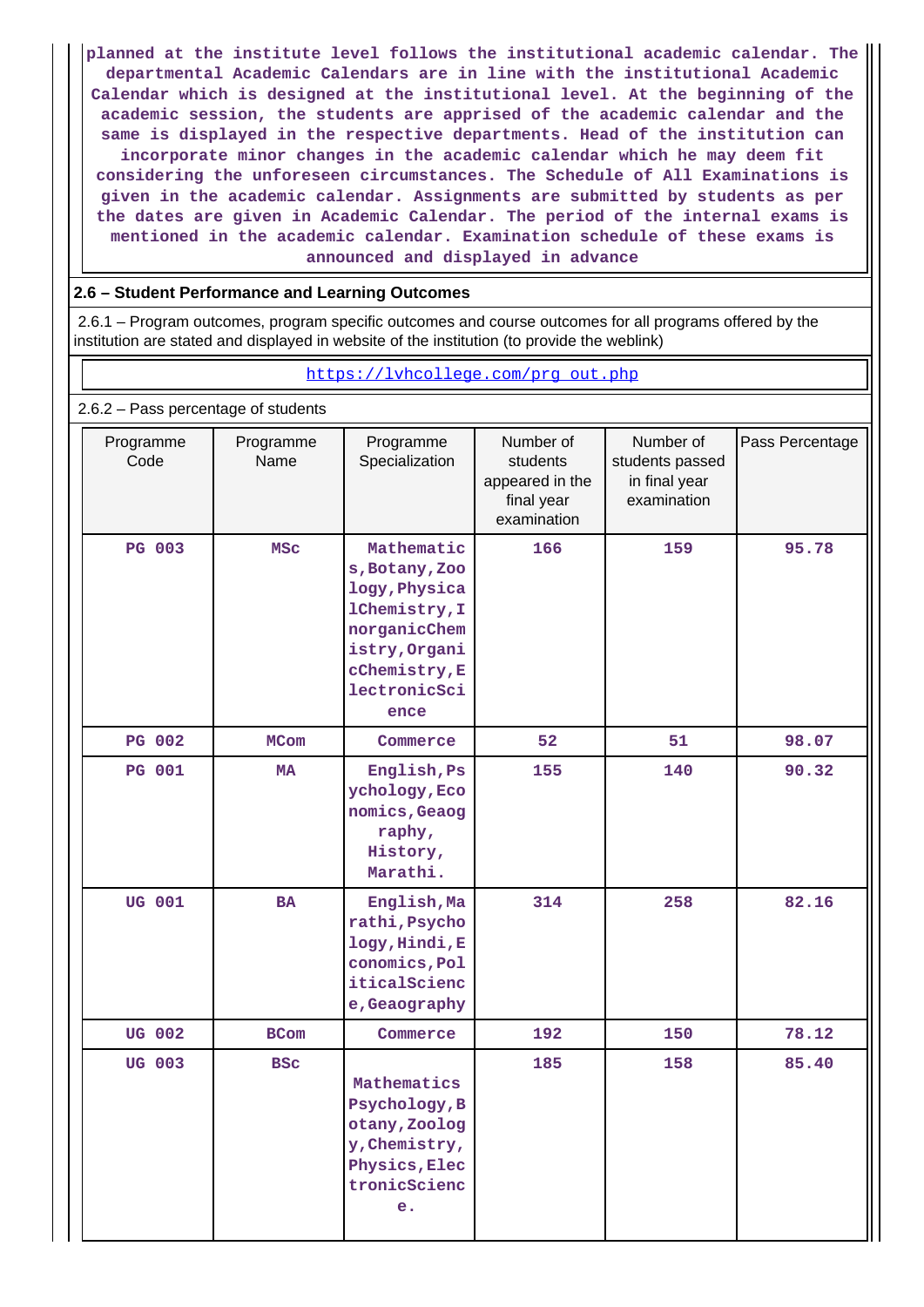**planned at the institute level follows the institutional academic calendar. The departmental Academic Calendars are in line with the institutional Academic Calendar which is designed at the institutional level. At the beginning of the academic session, the students are apprised of the academic calendar and the same is displayed in the respective departments. Head of the institution can incorporate minor changes in the academic calendar which he may deem fit considering the unforeseen circumstances. The Schedule of All Examinations is given in the academic calendar. Assignments are submitted by students as per the dates are given in Academic Calendar. The period of the internal exams is mentioned in the academic calendar. Examination schedule of these exams is announced and displayed in advance**

## **2.6 – Student Performance and Learning Outcomes**

 2.6.1 – Program outcomes, program specific outcomes and course outcomes for all programs offered by the institution are stated and displayed in website of the institution (to provide the weblink)

| https://lvhcollege.com/prg_out.php  |                   |                                                                                                                                          |                                                                       |                                                              |                 |  |  |  |
|-------------------------------------|-------------------|------------------------------------------------------------------------------------------------------------------------------------------|-----------------------------------------------------------------------|--------------------------------------------------------------|-----------------|--|--|--|
| 2.6.2 - Pass percentage of students |                   |                                                                                                                                          |                                                                       |                                                              |                 |  |  |  |
| Programme<br>Code                   | Programme<br>Name | Programme<br>Specialization                                                                                                              | Number of<br>students<br>appeared in the<br>final year<br>examination | Number of<br>students passed<br>in final year<br>examination | Pass Percentage |  |  |  |
| <b>PG 003</b>                       | <b>MSC</b>        | Mathematic<br>s, Botany, Zoo<br>logy, Physica<br>1Chemistry, I<br>norganicChem<br>istry, Organi<br>cChemistry, E<br>lectronicSci<br>ence | 166                                                                   | 159                                                          | 95.78           |  |  |  |
| <b>PG 002</b>                       | <b>MCom</b>       | Commerce                                                                                                                                 | 52                                                                    | 51                                                           | 98.07           |  |  |  |
| <b>PG 001</b>                       | <b>MA</b>         | English, Ps<br>ychology, Eco<br>nomics, Geaog<br>raphy,<br>History,<br>Marathi.                                                          | 155                                                                   | 140                                                          | 90.32           |  |  |  |
| <b>UG 001</b>                       | <b>BA</b>         | English, Ma<br>rathi, Psycho<br>logy, Hindi, E<br>conomics, Pol<br>iticalScienc<br>e, Geaography                                         | 314                                                                   | 258                                                          | 82.16           |  |  |  |
| <b>UG 002</b>                       | <b>BCom</b>       | Commerce                                                                                                                                 | 192                                                                   | 150                                                          | 78.12           |  |  |  |
| UG 003                              | <b>BSC</b>        | Mathematics<br>Psychology, B<br>otany, Zoolog<br>y, Chemistry,<br>Physics, Elec<br>tronicScienc<br>e <sub>1</sub>                        | 185                                                                   | 158                                                          | 85.40           |  |  |  |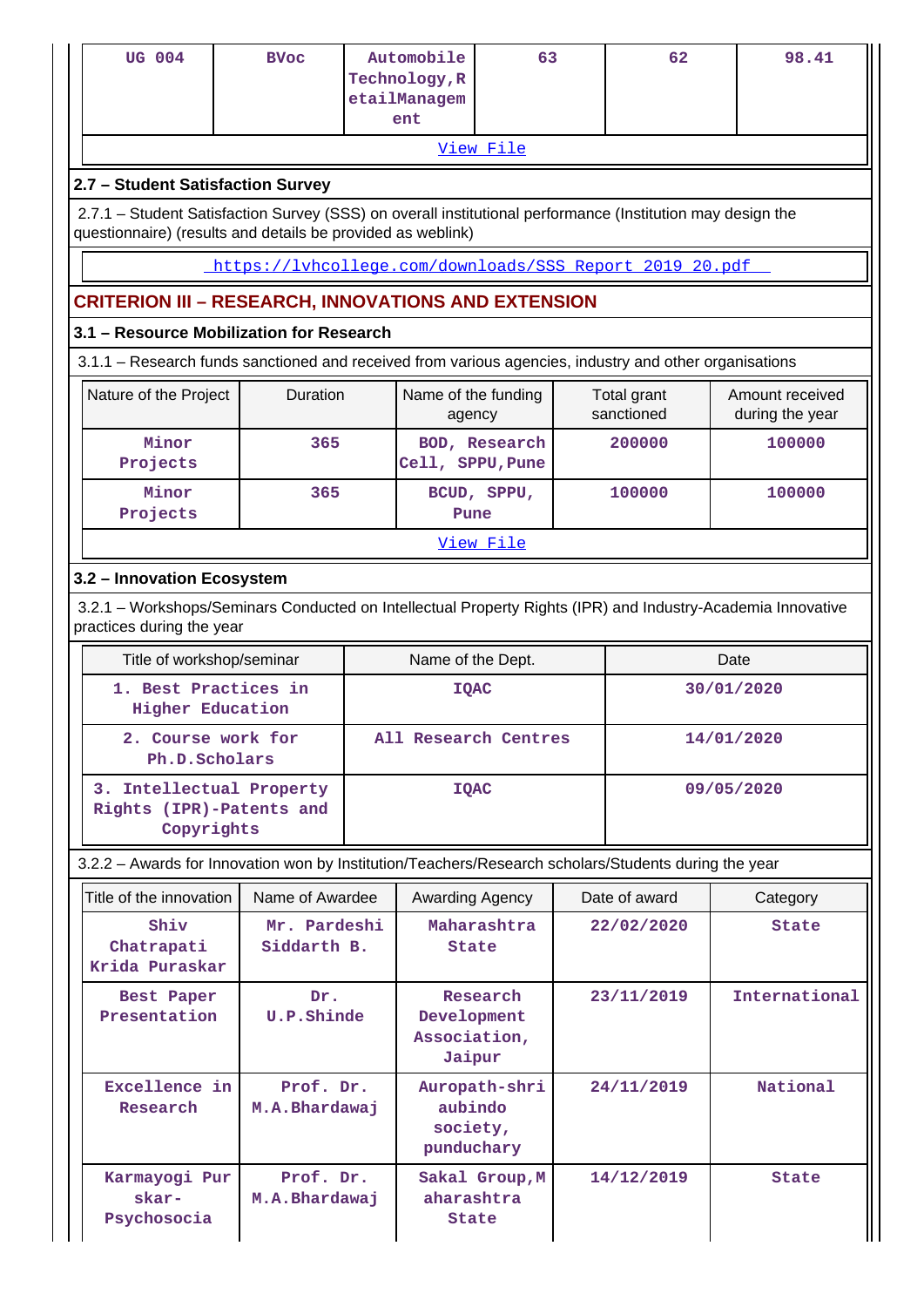| UG 004                                                                                                                                                                    | <b>BVoc</b>                                             |  | Automobile<br>Technology, R           | 63                   |  | 62                        | 98.41                              |  |
|---------------------------------------------------------------------------------------------------------------------------------------------------------------------------|---------------------------------------------------------|--|---------------------------------------|----------------------|--|---------------------------|------------------------------------|--|
|                                                                                                                                                                           |                                                         |  | etailManagem<br>ent                   |                      |  |                           |                                    |  |
| View File                                                                                                                                                                 |                                                         |  |                                       |                      |  |                           |                                    |  |
| 2.7 - Student Satisfaction Survey                                                                                                                                         |                                                         |  |                                       |                      |  |                           |                                    |  |
| 2.7.1 – Student Satisfaction Survey (SSS) on overall institutional performance (Institution may design the<br>questionnaire) (results and details be provided as weblink) |                                                         |  |                                       |                      |  |                           |                                    |  |
|                                                                                                                                                                           | https://lyhcollege.com/downloads/SSS Report 2019 20.pdf |  |                                       |                      |  |                           |                                    |  |
| <b>CRITERION III - RESEARCH, INNOVATIONS AND EXTENSION</b>                                                                                                                |                                                         |  |                                       |                      |  |                           |                                    |  |
| 3.1 - Resource Mobilization for Research                                                                                                                                  |                                                         |  |                                       |                      |  |                           |                                    |  |
| 3.1.1 – Research funds sanctioned and received from various agencies, industry and other organisations                                                                    |                                                         |  |                                       |                      |  |                           |                                    |  |
| Nature of the Project                                                                                                                                                     | Duration                                                |  | Name of the funding<br>agency         |                      |  | Total grant<br>sanctioned | Amount received<br>during the year |  |
| Minor<br>Projects                                                                                                                                                         | 365                                                     |  | Cell, SPPU, Pune                      | BOD, Research        |  | 200000                    | 100000                             |  |
| Minor<br>Projects                                                                                                                                                         | 365                                                     |  | Pune                                  | BCUD, SPPU,          |  | 100000                    | 100000                             |  |
|                                                                                                                                                                           |                                                         |  |                                       | View File            |  |                           |                                    |  |
| 3.2 - Innovation Ecosystem                                                                                                                                                |                                                         |  |                                       |                      |  |                           |                                    |  |
| 3.2.1 – Workshops/Seminars Conducted on Intellectual Property Rights (IPR) and Industry-Academia Innovative<br>practices during the year                                  |                                                         |  |                                       |                      |  |                           |                                    |  |
| Title of workshop/seminar                                                                                                                                                 |                                                         |  |                                       |                      |  |                           |                                    |  |
|                                                                                                                                                                           |                                                         |  | Name of the Dept.                     |                      |  |                           | Date                               |  |
| 1. Best Practices in<br><b>Higher Education</b>                                                                                                                           |                                                         |  | <b>IQAC</b>                           |                      |  |                           | 30/01/2020                         |  |
| 2. Course work for<br>Ph.D.Scholars                                                                                                                                       |                                                         |  |                                       | All Research Centres |  |                           | 14/01/2020                         |  |
| 3. Intellectual Property<br>Rights (IPR)-Patents and<br>Copyrights                                                                                                        |                                                         |  | <b>IQAC</b>                           |                      |  |                           | 09/05/2020                         |  |
| 3.2.2 - Awards for Innovation won by Institution/Teachers/Research scholars/Students during the year                                                                      |                                                         |  |                                       |                      |  |                           |                                    |  |
| Title of the innovation                                                                                                                                                   | Name of Awardee                                         |  | Awarding Agency                       |                      |  | Date of award             | Category                           |  |
| Shiv<br>Chatrapati<br>Krida Puraskar                                                                                                                                      | Mr. Pardeshi<br>Siddarth B.                             |  | State                                 | Maharashtra          |  | 22/02/2020                | State                              |  |
| Best Paper<br>Presentation                                                                                                                                                | Dr.<br>U.P.Shinde                                       |  | Development<br>Association,<br>Jaipur | Research             |  | 23/11/2019                | International                      |  |
| Excellence in<br>Research                                                                                                                                                 | Prof. Dr.<br>M.A.Bhardawaj                              |  | aubindo<br>society,<br>punduchary     | Auropath-shri        |  | 24/11/2019                | National                           |  |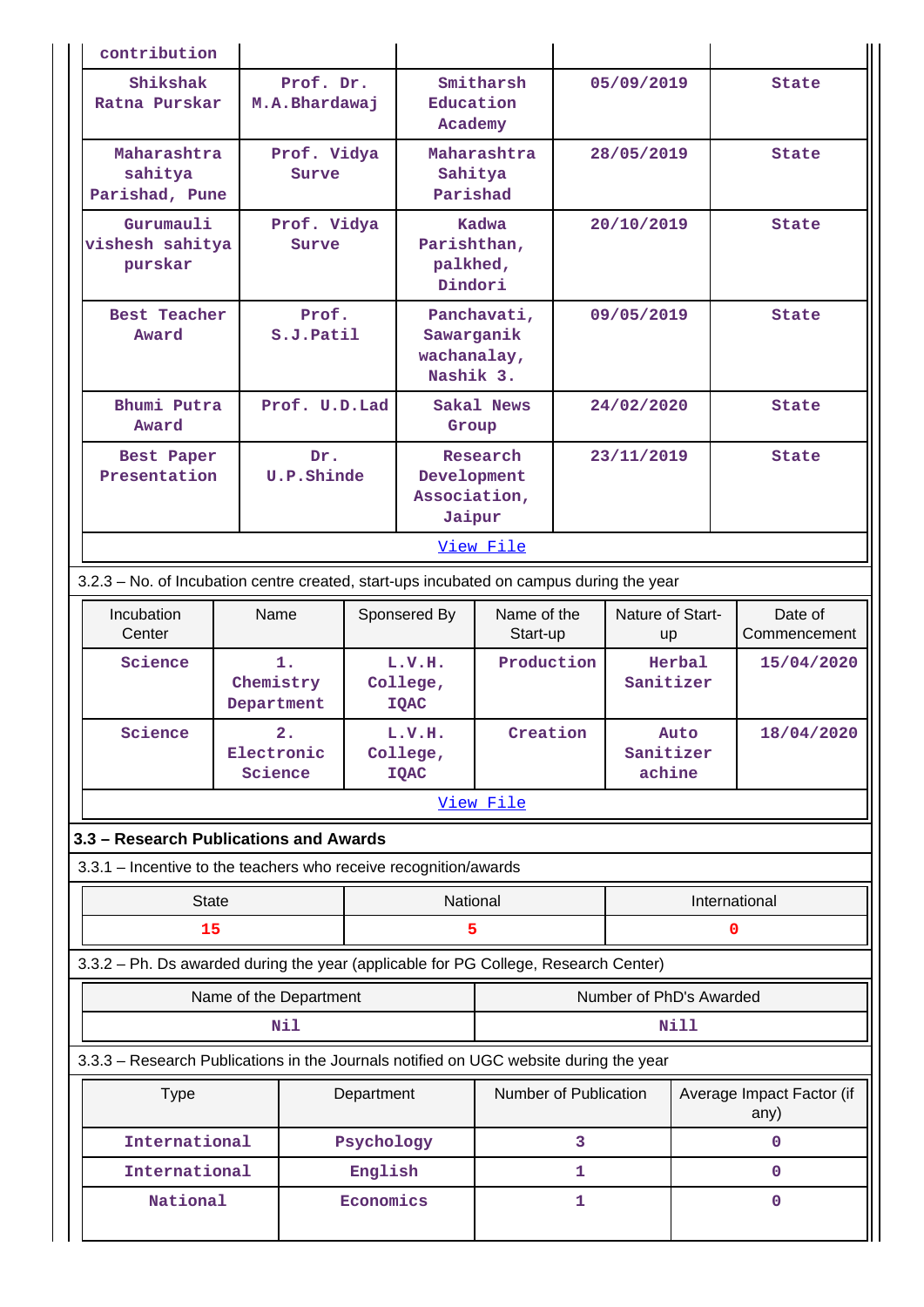|                           | contribution                                                                            |                                                                        |                        |                                             |                                        |                         |              |                                   |        |                         |
|---------------------------|-----------------------------------------------------------------------------------------|------------------------------------------------------------------------|------------------------|---------------------------------------------|----------------------------------------|-------------------------|--------------|-----------------------------------|--------|-------------------------|
|                           | Shikshak<br>Ratna Purskar                                                               | Prof. Dr.<br>M.A.Bhardawaj                                             |                        |                                             | Education<br>Academy                   | Smitharsh               |              | 05/09/2019                        |        | State                   |
|                           | Maharashtra<br>sahitya<br>Parishad, Pune                                                |                                                                        | Prof. Vidya<br>Surve   |                                             | Maharashtra<br>Sahitya<br>Parishad     |                         |              | 28/05/2019                        |        | State                   |
|                           | Gurumauli<br>vishesh sahitya<br>purskar                                                 |                                                                        | Prof. Vidya<br>Surve   | Kadwa<br>Parishthan,<br>palkhed,<br>Dindori |                                        |                         | 20/10/2019   |                                   |        | State                   |
|                           | <b>Best Teacher</b><br>Award                                                            |                                                                        | Prof.<br>S.J.Patil     |                                             | Sawarganik<br>wachanalay,<br>Nashik 3. | Panchavati,             | 09/05/2019   |                                   |        | State                   |
|                           | Bhumi Putra<br>Award                                                                    |                                                                        | Prof. U.D.Lad          |                                             | Group                                  | Sakal News              |              | 24/02/2020                        |        | <b>State</b>            |
|                           | Best Paper<br>Presentation                                                              | Dr.<br>Research<br>U.P.Shinde<br>Development<br>Association,<br>Jaipur |                        | 23/11/2019                                  |                                        | State                   |              |                                   |        |                         |
|                           |                                                                                         |                                                                        |                        |                                             |                                        | View File               |              |                                   |        |                         |
|                           | 3.2.3 - No. of Incubation centre created, start-ups incubated on campus during the year |                                                                        |                        |                                             |                                        |                         |              |                                   |        |                         |
|                           | Incubation<br>Center                                                                    | Name                                                                   |                        |                                             | Sponsered By                           | Name of the<br>Start-up |              | Nature of Start-<br>up            |        | Date of<br>Commencement |
|                           | Science                                                                                 | Chemistry<br>Department                                                | 1.                     |                                             | L.V.H.<br>College,<br><b>IQAC</b>      | Production              |              | Sanitizer                         | Herbal | 15/04/2020              |
|                           | Science                                                                                 | Electronic<br>Science                                                  | 2.                     |                                             | L.V.H.<br>College,<br><b>IQAC</b>      | Creation                |              | Sanitizer<br>achine               | Auto   | 18/04/2020              |
|                           |                                                                                         |                                                                        |                        |                                             |                                        | View File               |              |                                   |        |                         |
|                           | 3.3 - Research Publications and Awards                                                  |                                                                        |                        |                                             |                                        |                         |              |                                   |        |                         |
|                           | 3.3.1 - Incentive to the teachers who receive recognition/awards                        |                                                                        |                        |                                             |                                        |                         |              |                                   |        |                         |
|                           | <b>State</b>                                                                            |                                                                        |                        |                                             | National                               |                         |              | International                     |        |                         |
|                           | 15                                                                                      |                                                                        |                        |                                             | 5                                      |                         |              |                                   |        | 0                       |
|                           | 3.3.2 - Ph. Ds awarded during the year (applicable for PG College, Research Center)     |                                                                        |                        |                                             |                                        |                         |              |                                   |        |                         |
|                           |                                                                                         |                                                                        | Name of the Department |                                             |                                        |                         |              | Number of PhD's Awarded           |        |                         |
|                           |                                                                                         |                                                                        | Nil                    |                                             |                                        |                         |              |                                   | Nill   |                         |
|                           | 3.3.3 - Research Publications in the Journals notified on UGC website during the year   |                                                                        |                        |                                             |                                        |                         |              |                                   |        |                         |
| <b>Type</b><br>Department |                                                                                         |                                                                        |                        | Number of Publication                       |                                        |                         |              | Average Impact Factor (if<br>any) |        |                         |
|                           | International                                                                           |                                                                        |                        | Psychology                                  |                                        |                         | 3            |                                   |        | 0                       |
|                           | International                                                                           |                                                                        |                        | English                                     |                                        |                         | 1            |                                   |        | 0                       |
|                           | National                                                                                |                                                                        |                        | Economics                                   |                                        |                         | $\mathbf{1}$ |                                   |        | 0                       |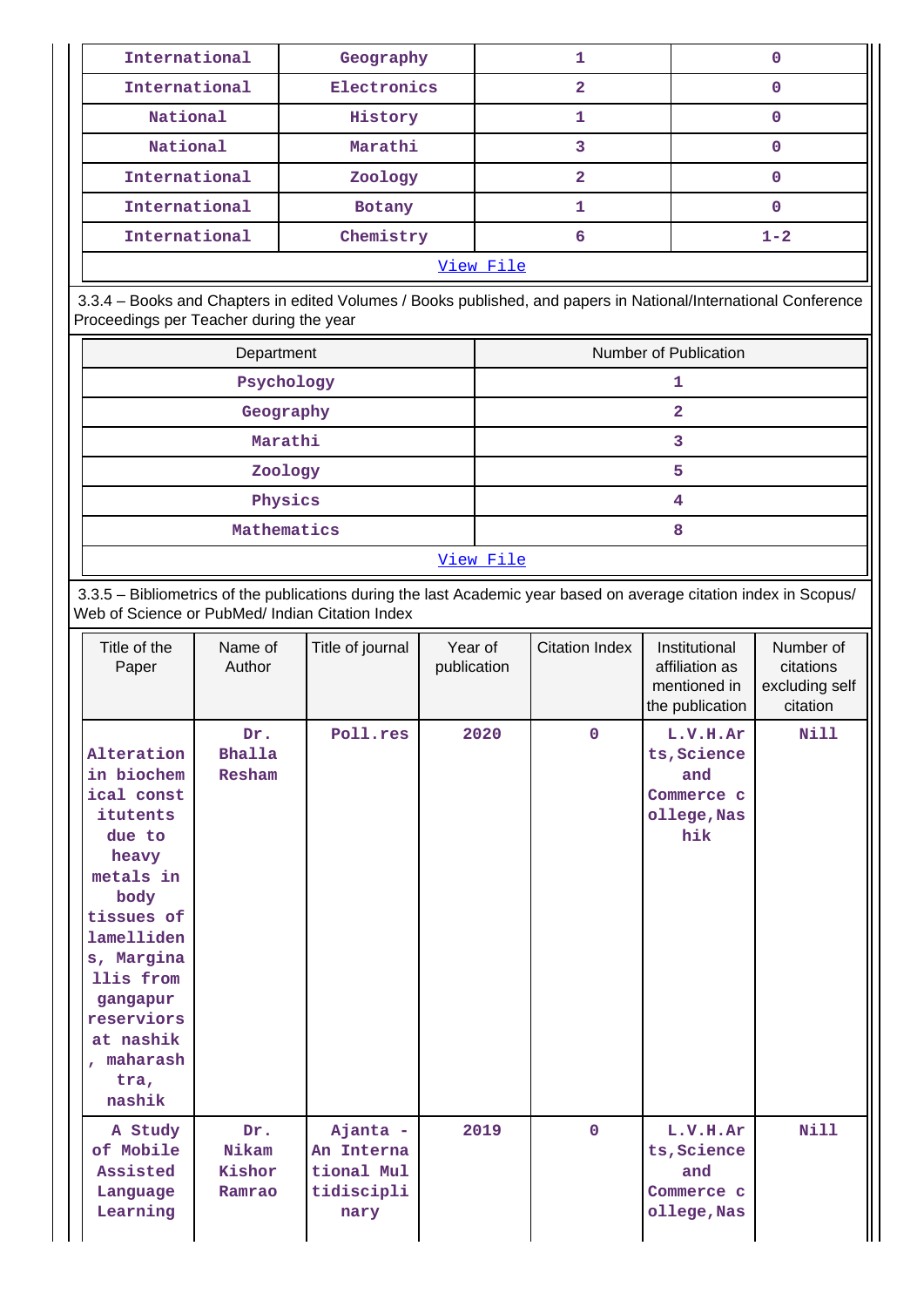| International | Geography                                                                                                       |  |   |  |  |  |  |
|---------------|-----------------------------------------------------------------------------------------------------------------|--|---|--|--|--|--|
| International | Electronics                                                                                                     |  |   |  |  |  |  |
| National      | History                                                                                                         |  |   |  |  |  |  |
| National      | Marathi                                                                                                         |  |   |  |  |  |  |
| International | Zoology                                                                                                         |  | 0 |  |  |  |  |
| International | <b>Botany</b>                                                                                                   |  | O |  |  |  |  |
| International | $1 - 2$                                                                                                         |  |   |  |  |  |  |
| View File     |                                                                                                                 |  |   |  |  |  |  |
|               | 3.3.4 – Books and Chapters in edited Volumes / Books published, and papers in National/International Conference |  |   |  |  |  |  |

Proceedings per Teacher during the year

| Department  | Number of Publication |  |
|-------------|-----------------------|--|
| Psychology  |                       |  |
| Geography   | ົ                     |  |
| Marathi     | ิว                    |  |
| Zoology     | 5                     |  |
| Physics     | 4                     |  |
| Mathematics | 8                     |  |
|             | View File             |  |

 3.3.5 – Bibliometrics of the publications during the last Academic year based on average citation index in Scopus/ Web of Science or PubMed/ Indian Citation Index

| Title of the<br>Paper                                                                                                                                                                                                    | Name of<br>Author                | Title of journal                                           | Year of<br>publication | <b>Citation Index</b> | Institutional<br>affiliation as<br>mentioned in<br>the publication | Number of<br>citations<br>excluding self<br>citation |
|--------------------------------------------------------------------------------------------------------------------------------------------------------------------------------------------------------------------------|----------------------------------|------------------------------------------------------------|------------------------|-----------------------|--------------------------------------------------------------------|------------------------------------------------------|
| Alteration<br>in biochem<br>ical const<br>itutents<br>due to<br>heavy<br>metals in<br>body<br>tissues of<br>lamelliden<br>s, Margina<br>llis from<br>gangapur<br>reserviors<br>at nashik<br>, maharash<br>tra,<br>nashik | Dr.<br><b>Bhalla</b><br>Resham   | Poll.res                                                   | 2020                   | $\mathbf 0$           | L.V.H.Ar<br>ts, Science<br>and<br>Commerce c<br>ollege, Nas<br>hik | <b>Nill</b>                                          |
| A Study<br>of Mobile<br>Assisted<br>Language<br>Learning                                                                                                                                                                 | Dr.<br>Nikam<br>Kishor<br>Ramrao | Ajanta -<br>An Interna<br>tional Mul<br>tidiscipli<br>nary | 2019                   | $\mathbf 0$           | L.V.H.Ar<br>ts, Science<br>and<br>Commerce c<br>ollege, Nas        | <b>Nill</b>                                          |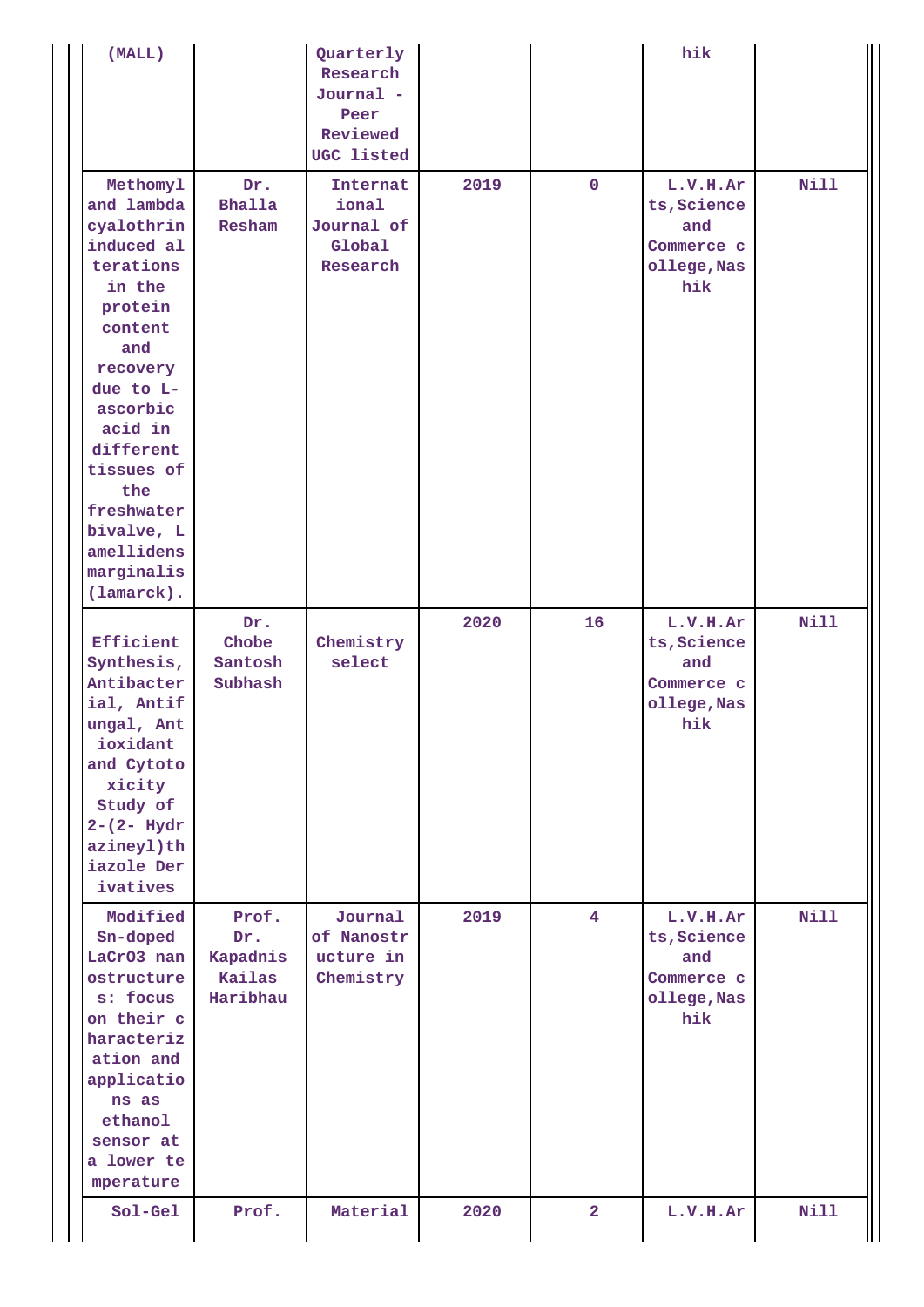| (MALL)                                                                                                                                                                                                                                                           |                                                | Quarterly<br>Research<br>Journal -<br>Peer<br>Reviewed<br>UGC listed |      |                | hik                                                                |             |
|------------------------------------------------------------------------------------------------------------------------------------------------------------------------------------------------------------------------------------------------------------------|------------------------------------------------|----------------------------------------------------------------------|------|----------------|--------------------------------------------------------------------|-------------|
| Methomyl<br>and lambda<br>cyalothrin<br>induced al<br>terations<br>in the<br>protein<br>content<br>and<br>recovery<br>due to $L-$<br>ascorbic<br>acid in<br>different<br>tissues of<br>the<br>freshwater<br>bivalve, L<br>amellidens<br>marginalis<br>(lamarck). | Dr.<br><b>Bhalla</b><br>Resham                 | Internat<br>ional<br>Journal of<br>Global<br>Research                | 2019 | $\mathbf 0$    | L.V.H.Ar<br>ts, Science<br>and<br>Commerce c<br>ollege, Nas<br>hik | <b>Nill</b> |
| Efficient<br>Synthesis,<br>Antibacter<br>ial, Antif<br>ungal, Ant<br>ioxidant<br>and Cytoto<br>xicity<br>Study of<br>$2 - (2 - Hydr)$<br>azineyl)th<br>iazole Der<br>ivatives                                                                                    | Dr.<br>Chobe<br>Santosh<br>Subhash             | Chemistry<br>select                                                  | 2020 | 16             | L.V.H.Ar<br>ts, Science<br>and<br>Commerce c<br>ollege, Nas<br>hik | <b>Nill</b> |
| Modified<br>Sn-doped<br>LaCrO3 nan<br>ostructure<br>s: focus<br>on their c<br>haracteriz<br>ation and<br>applicatio<br>ns as<br>ethanol<br>sensor at<br>a lower te<br>mperature                                                                                  | Prof.<br>Dr.<br>Kapadnis<br>Kailas<br>Haribhau | Journal<br>of Nanostr<br>ucture in<br>Chemistry                      | 2019 | $\overline{4}$ | L.V.H.Ar<br>ts, Science<br>and<br>Commerce c<br>ollege, Nas<br>hik | <b>Nill</b> |
| Sol-Gel                                                                                                                                                                                                                                                          | Prof.                                          | Material                                                             | 2020 | $\overline{2}$ | L.V.H.Ar                                                           | <b>Nill</b> |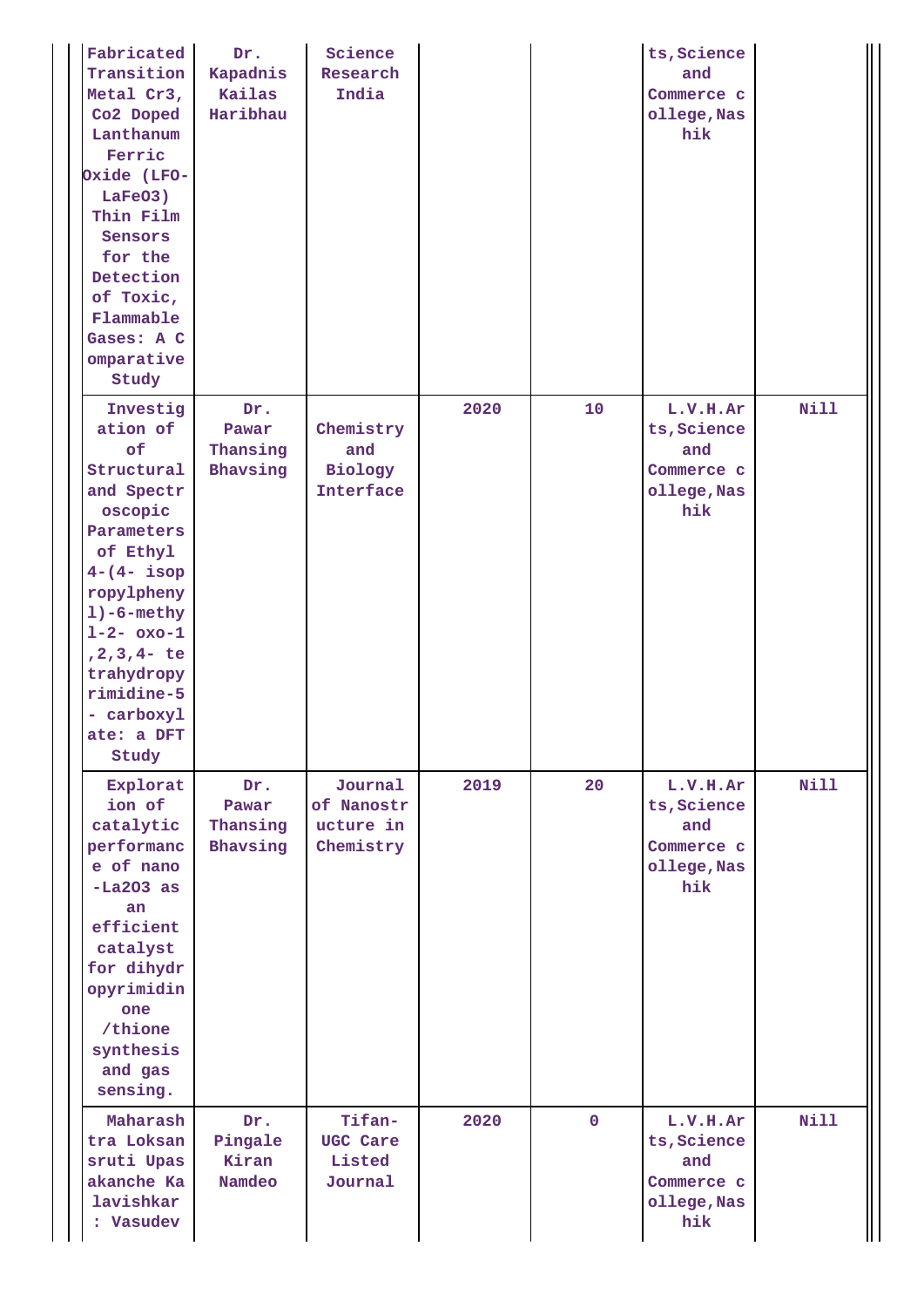| Fabricated<br>Transition<br>Metal Cr3,<br>Co2 Doped<br>Lanthanum<br>Ferric<br>Oxide (LFO-<br>LaFeO3)<br>Thin Film<br>Sensors<br>for the<br>Detection<br>of Toxic,<br>Flammable<br>Gases: A C<br>omparative<br>Study                                     | Dr.<br>Kapadnis<br>Kailas<br>Haribhau | Science<br>Research<br>India                    |      |              | ts, Science<br>and<br>Commerce c<br>ollege, Nas<br>hik             |             |
|---------------------------------------------------------------------------------------------------------------------------------------------------------------------------------------------------------------------------------------------------------|---------------------------------------|-------------------------------------------------|------|--------------|--------------------------------------------------------------------|-------------|
| Investig<br>ation of<br>of<br>Structural<br>and Spectr<br>oscopic<br>Parameters<br>of Ethyl<br>$4 - (4 - i)$ sop<br>ropylpheny<br>$1)-6$ -methy<br>$1 - 2 - 0x - 1$<br>$, 2, 3, 4-$ te<br>trahydropy<br>rimidine-5<br>- carboxyl<br>ate: a DFT<br>Study | Dr.<br>Pawar<br>Thansing<br>Bhavsing  | Chemistry<br>and<br>Biology<br><b>Interface</b> | 2020 | 10           | L.V.H.Ar<br>ts, Science<br>and<br>Commerce c<br>ollege, Nas<br>hik | <b>Nill</b> |
| Explorat<br>ion of<br>catalytic<br>performanc<br>e of nano<br>$-La203 as$<br>an<br>efficient<br>catalyst<br>for dihydr<br>opyrimidin<br>one<br>/thione<br>synthesis<br>and gas<br>sensing.                                                              | Dr.<br>Pawar<br>Thansing<br>Bhavsing  | Journal<br>of Nanostr<br>ucture in<br>Chemistry | 2019 | 20           | L.V.H.Ar<br>ts, Science<br>and<br>Commerce c<br>ollege, Nas<br>hik | <b>Nill</b> |
| Maharash<br>tra Loksan<br>sruti Upas<br>akanche Ka<br>lavishkar<br>: Vasudev                                                                                                                                                                            | Dr.<br>Pingale<br>Kiran<br>Namdeo     | Tifan-<br>UGC Care<br>Listed<br>Journal         | 2020 | $\mathbf{0}$ | L.V.H.Ar<br>ts, Science<br>and<br>Commerce c<br>ollege, Nas<br>hik | <b>Nill</b> |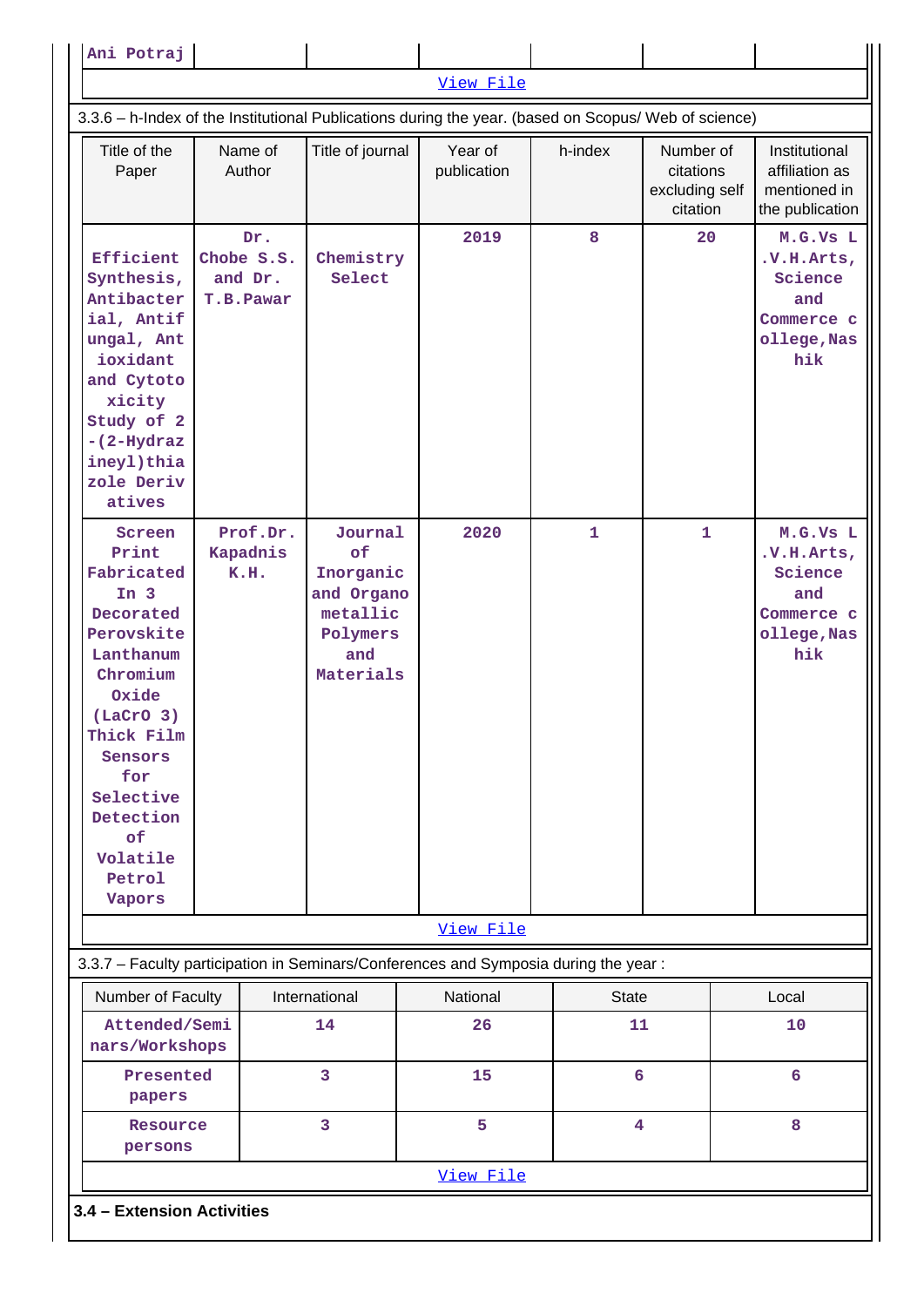| Ani Potraj                                                                                                                                                                                                                             |  |                                           |                                                                                      |                                                                                     |                 |                                                      |  |                                                                               |  |  |
|----------------------------------------------------------------------------------------------------------------------------------------------------------------------------------------------------------------------------------------|--|-------------------------------------------|--------------------------------------------------------------------------------------|-------------------------------------------------------------------------------------|-----------------|------------------------------------------------------|--|-------------------------------------------------------------------------------|--|--|
|                                                                                                                                                                                                                                        |  |                                           |                                                                                      | View File                                                                           |                 |                                                      |  |                                                                               |  |  |
| 3.3.6 - h-Index of the Institutional Publications during the year. (based on Scopus/ Web of science)                                                                                                                                   |  |                                           |                                                                                      |                                                                                     |                 |                                                      |  |                                                                               |  |  |
| Title of the<br>Paper                                                                                                                                                                                                                  |  | Name of<br>Author                         | Title of journal                                                                     | Year of<br>publication                                                              | h-index         | Number of<br>citations<br>excluding self<br>citation |  | Institutional<br>affiliation as<br>mentioned in<br>the publication            |  |  |
| Efficient<br>Synthesis,<br>Antibacter<br>ial, Antif<br>ungal, Ant<br>ioxidant<br>and Cytoto<br>xicity<br>Study of 2<br>$-(2-Hydroz)$<br>ineyl)thia<br>zole Deriv<br>atives                                                             |  | Dr.<br>Chobe S.S.<br>and Dr.<br>T.B.Pawar | Chemistry<br>Select                                                                  | 2019                                                                                | 8               | 20                                                   |  | M.G.Vs L<br>.V.H. Arts,<br>Science<br>and<br>Commerce c<br>ollege, Nas<br>hik |  |  |
| Screen<br>Print<br>Fabricated<br>In <sub>3</sub><br>Decorated<br>Perovskite<br>Lanthanum<br>Chromium<br>Oxide<br>(LaCrO <sub>3</sub> )<br>Thick Film<br>Sensors<br>for<br>Selective<br>Detection<br>of<br>Volatile<br>Petrol<br>Vapors |  | Prof.Dr.<br>Kapadnis<br>K.H.              | Journal<br>of<br>Inorganic<br>and Organo<br>metallic<br>Polymers<br>and<br>Materials | 2020                                                                                | $\mathbf{1}$    | $\mathbf{1}$                                         |  | M.G.Vs L<br>.V.H.Arts,<br>Science<br>and<br>Commerce c<br>ollege, Nas<br>hik  |  |  |
|                                                                                                                                                                                                                                        |  |                                           |                                                                                      | View File                                                                           |                 |                                                      |  |                                                                               |  |  |
|                                                                                                                                                                                                                                        |  |                                           |                                                                                      | 3.3.7 - Faculty participation in Seminars/Conferences and Symposia during the year: |                 |                                                      |  |                                                                               |  |  |
| Number of Faculty                                                                                                                                                                                                                      |  |                                           | International                                                                        | National                                                                            | <b>State</b>    |                                                      |  | Local                                                                         |  |  |
| Attended/Semi<br>nars/Workshops                                                                                                                                                                                                        |  |                                           | 14                                                                                   | 26                                                                                  | 11              |                                                      |  | 10                                                                            |  |  |
| Presented<br>papers                                                                                                                                                                                                                    |  |                                           | 3                                                                                    | 15                                                                                  | $6\overline{6}$ |                                                      |  | 6                                                                             |  |  |
| Resource<br>persons                                                                                                                                                                                                                    |  |                                           | 3                                                                                    | 5                                                                                   | 4               |                                                      |  | 8                                                                             |  |  |
|                                                                                                                                                                                                                                        |  |                                           |                                                                                      | View File                                                                           |                 |                                                      |  |                                                                               |  |  |
| 3.4 - Extension Activities                                                                                                                                                                                                             |  |                                           |                                                                                      |                                                                                     |                 |                                                      |  |                                                                               |  |  |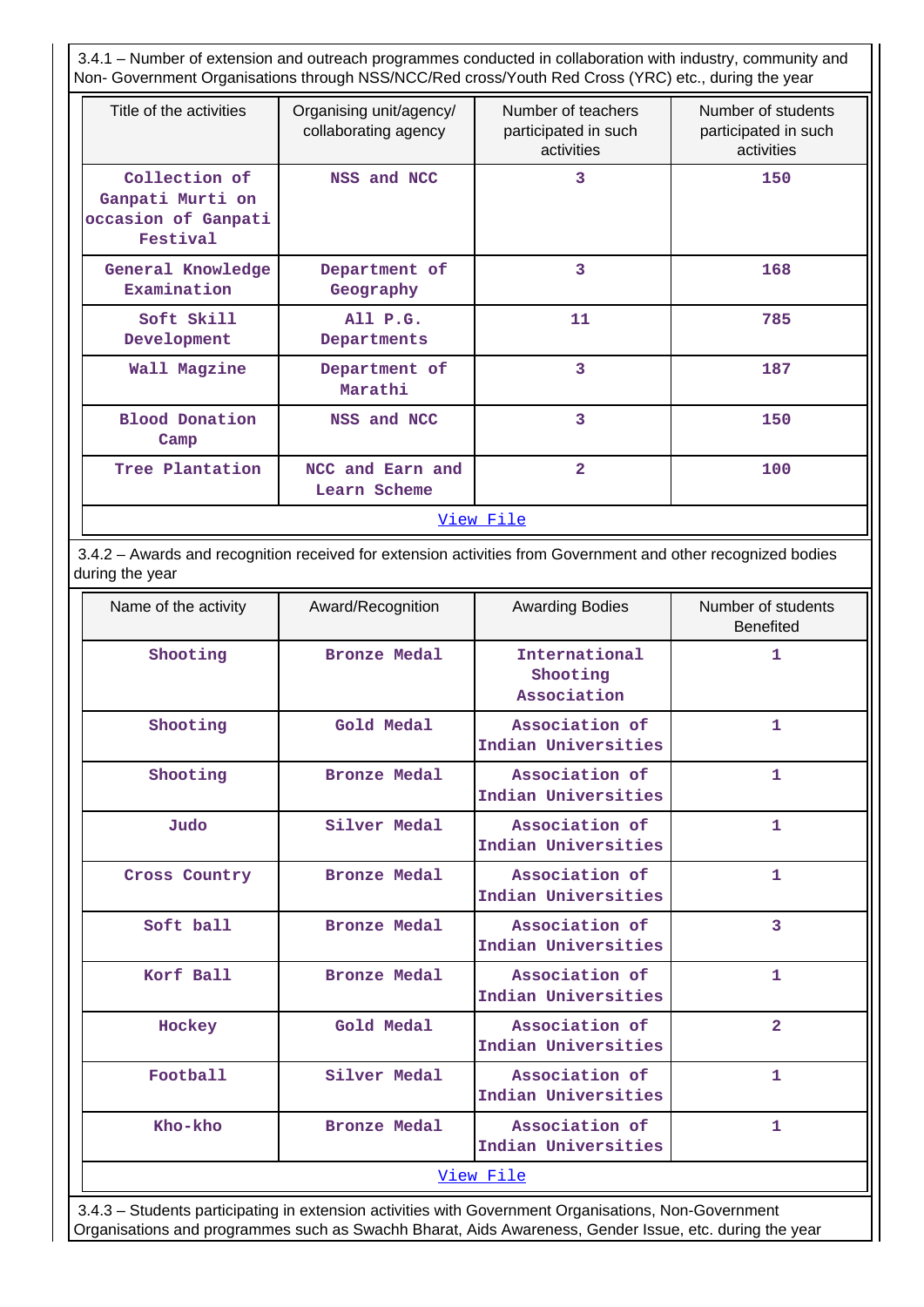3.4.1 – Number of extension and outreach programmes conducted in collaboration with industry, community and Non- Government Organisations through NSS/NCC/Red cross/Youth Red Cross (YRC) etc., during the year

| Title of the activities                                                                      | Organising unit/agency/<br>collaborating agency | Number of teachers<br>participated in such<br>activities | Number of students<br>participated in such<br>activities |
|----------------------------------------------------------------------------------------------|-------------------------------------------------|----------------------------------------------------------|----------------------------------------------------------|
| Collection of<br>Ganpati Murti on<br>occasion of Ganpati<br>Festival                         | NSS and NCC                                     | 3                                                        | 150                                                      |
| General Knowledge<br>Examination                                                             | Department of<br>Geography                      | 3                                                        | 168                                                      |
| Soft Skill<br>Development                                                                    | AllP.G.<br>Departments                          | 11                                                       | 785                                                      |
| Wall Magzine                                                                                 | Department of<br>Marathi                        | 3                                                        | 187                                                      |
| Blood Donation<br>NSS and NCC<br>Camp<br>Tree Plantation<br>NCC and Earn and<br>Learn Scheme |                                                 | 3                                                        | 150                                                      |
|                                                                                              |                                                 | $\overline{2}$                                           | 100                                                      |
|                                                                                              |                                                 | View File                                                |                                                          |

 3.4.2 – Awards and recognition received for extension activities from Government and other recognized bodies during the year

| Name of the activity | Award/Recognition   | <b>Awarding Bodies</b>                   | Number of students<br><b>Benefited</b> |
|----------------------|---------------------|------------------------------------------|----------------------------------------|
| Shooting             | <b>Bronze Medal</b> | International<br>Shooting<br>Association | $\mathbf{1}$                           |
| Shooting             | Gold Medal          | Association of<br>Indian Universities    | 1                                      |
| Shooting             | <b>Bronze Medal</b> | Association of<br>Indian Universities    | 1                                      |
| Judo                 | Silver Medal        | Association of<br>Indian Universities    | 1                                      |
| Cross Country        | <b>Bronze Medal</b> | Association of<br>Indian Universities    | $\mathbf{1}$                           |
| Soft ball            | <b>Bronze Medal</b> | Association of<br>Indian Universities    | 3                                      |
| Korf Ball            | <b>Bronze Medal</b> | Association of<br>Indian Universities    | $\mathbf{1}$                           |
| Hockey               | Gold Medal          | Association of<br>Indian Universities    | $\overline{2}$                         |
| Football             | Silver Medal        | Association of<br>Indian Universities    | 1                                      |
| Kho-kho              | <b>Bronze Medal</b> | Association of<br>Indian Universities    | $\mathbf{1}$                           |
|                      |                     | View File                                |                                        |

 3.4.3 – Students participating in extension activities with Government Organisations, Non-Government Organisations and programmes such as Swachh Bharat, Aids Awareness, Gender Issue, etc. during the year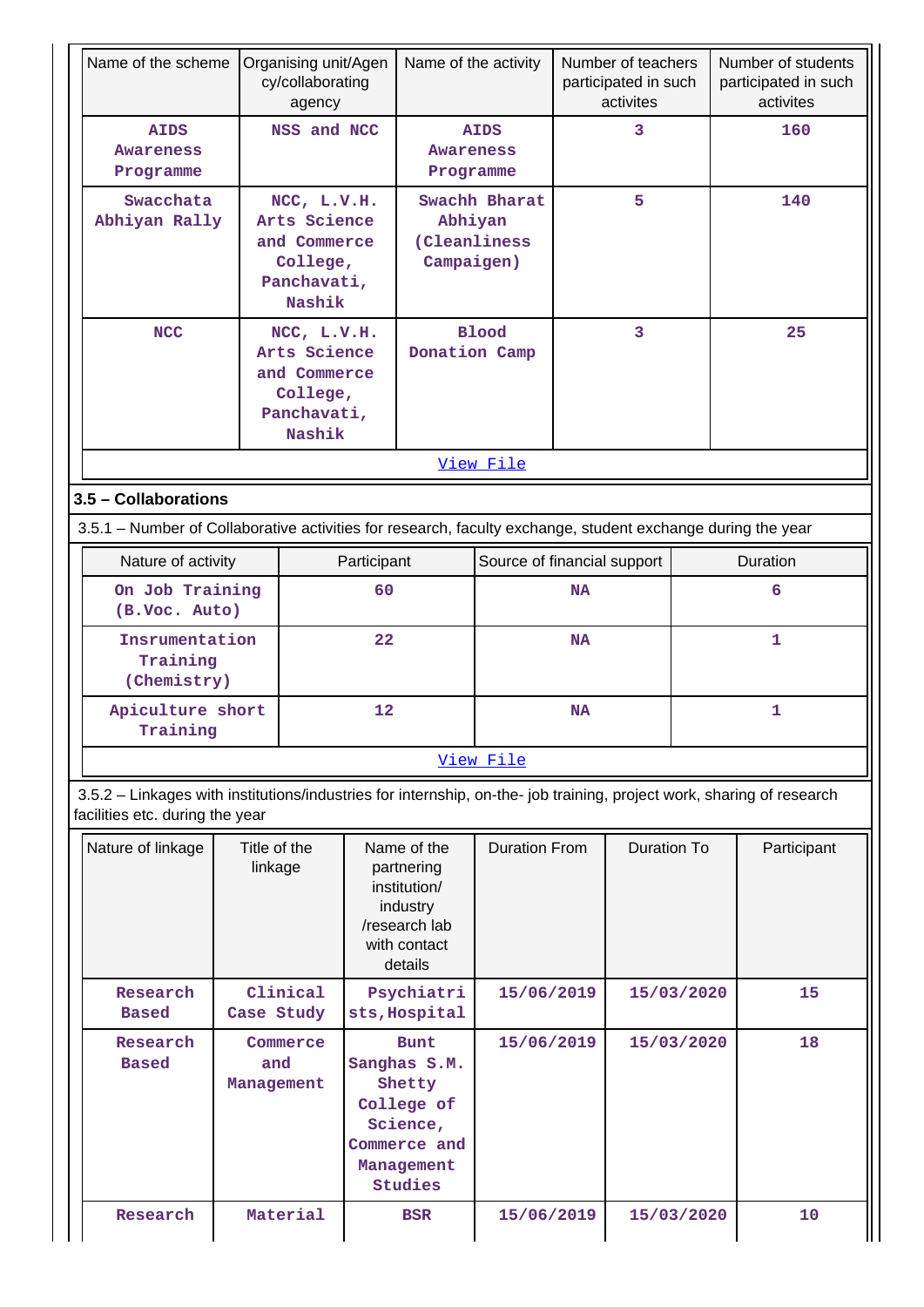| Name of the scheme                                                                                                                                       |                         | Organising unit/Agen<br>cy/collaborating<br>agency                               |             |                                                                                                          | Name of the activity        |           | Number of teachers<br>participated in such<br>activites |            | Number of students<br>participated in such<br>activites |  |
|----------------------------------------------------------------------------------------------------------------------------------------------------------|-------------------------|----------------------------------------------------------------------------------|-------------|----------------------------------------------------------------------------------------------------------|-----------------------------|-----------|---------------------------------------------------------|------------|---------------------------------------------------------|--|
| <b>AIDS</b><br><b>Awareness</b><br>Programme                                                                                                             |                         | NSS and NCC                                                                      |             | <b>AIDS</b><br><b>Awareness</b><br>Programme                                                             |                             | 3         |                                                         |            | 160                                                     |  |
| Swacchata<br>Abhiyan Rally                                                                                                                               |                         | NCC, L.V.H.<br>Arts Science<br>and Commerce<br>College,<br>Panchavati,<br>Nashik |             | Swachh Bharat<br>Abhiyan<br>(Cleanliness<br>Campaigen)                                                   |                             | 5         |                                                         |            | 140                                                     |  |
| <b>NCC</b>                                                                                                                                               |                         | NCC, L.V.H.<br>Arts Science<br>and Commerce<br>College,<br>Panchavati,<br>Nashik |             | Donation Camp                                                                                            | <b>Blood</b>                |           | 3                                                       |            | 25                                                      |  |
|                                                                                                                                                          |                         |                                                                                  |             |                                                                                                          | View File                   |           |                                                         |            |                                                         |  |
| 3.5 - Collaborations                                                                                                                                     |                         |                                                                                  |             |                                                                                                          |                             |           |                                                         |            |                                                         |  |
| 3.5.1 – Number of Collaborative activities for research, faculty exchange, student exchange during the year                                              |                         |                                                                                  |             |                                                                                                          |                             |           |                                                         |            |                                                         |  |
| Nature of activity                                                                                                                                       |                         |                                                                                  | Participant |                                                                                                          | Source of financial support |           |                                                         | Duration   |                                                         |  |
| On Job Training<br>(B.Voc. Auto)                                                                                                                         |                         |                                                                                  | 60          |                                                                                                          |                             | <b>NA</b> |                                                         |            | 6                                                       |  |
| Insrumentation<br>Training<br>(Chemistry)                                                                                                                |                         |                                                                                  | 22          |                                                                                                          |                             | <b>NA</b> |                                                         |            | $\mathbf{1}$                                            |  |
| Apiculture short<br>Training                                                                                                                             |                         |                                                                                  | 12          |                                                                                                          |                             | <b>NA</b> |                                                         |            | $\mathbf{1}$                                            |  |
|                                                                                                                                                          |                         |                                                                                  |             |                                                                                                          | View File                   |           |                                                         |            |                                                         |  |
| 3.5.2 - Linkages with institutions/industries for internship, on-the- job training, project work, sharing of research<br>facilities etc. during the year |                         |                                                                                  |             |                                                                                                          |                             |           |                                                         |            |                                                         |  |
| Nature of linkage                                                                                                                                        | Title of the<br>linkage |                                                                                  |             | Name of the<br>partnering<br>institution/<br>industry<br>/research lab<br>with contact<br>details        | <b>Duration From</b>        |           | <b>Duration To</b>                                      |            | Participant                                             |  |
| Research<br><b>Based</b>                                                                                                                                 | Case Study              | Clinical                                                                         |             | Psychiatri<br>sts, Hospital                                                                              | 15/06/2019                  |           |                                                         | 15/03/2020 | 15                                                      |  |
| Research<br><b>Based</b>                                                                                                                                 | and<br>Management       | Commerce                                                                         |             | <b>Bunt</b><br>Sanghas S.M.<br>Shetty<br>College of<br>Science,<br>Commerce and<br>Management<br>Studies | 15/06/2019                  |           |                                                         | 15/03/2020 | 18                                                      |  |
| Research                                                                                                                                                 |                         | Material                                                                         |             | <b>BSR</b>                                                                                               | 15/06/2019                  |           |                                                         | 15/03/2020 | 10                                                      |  |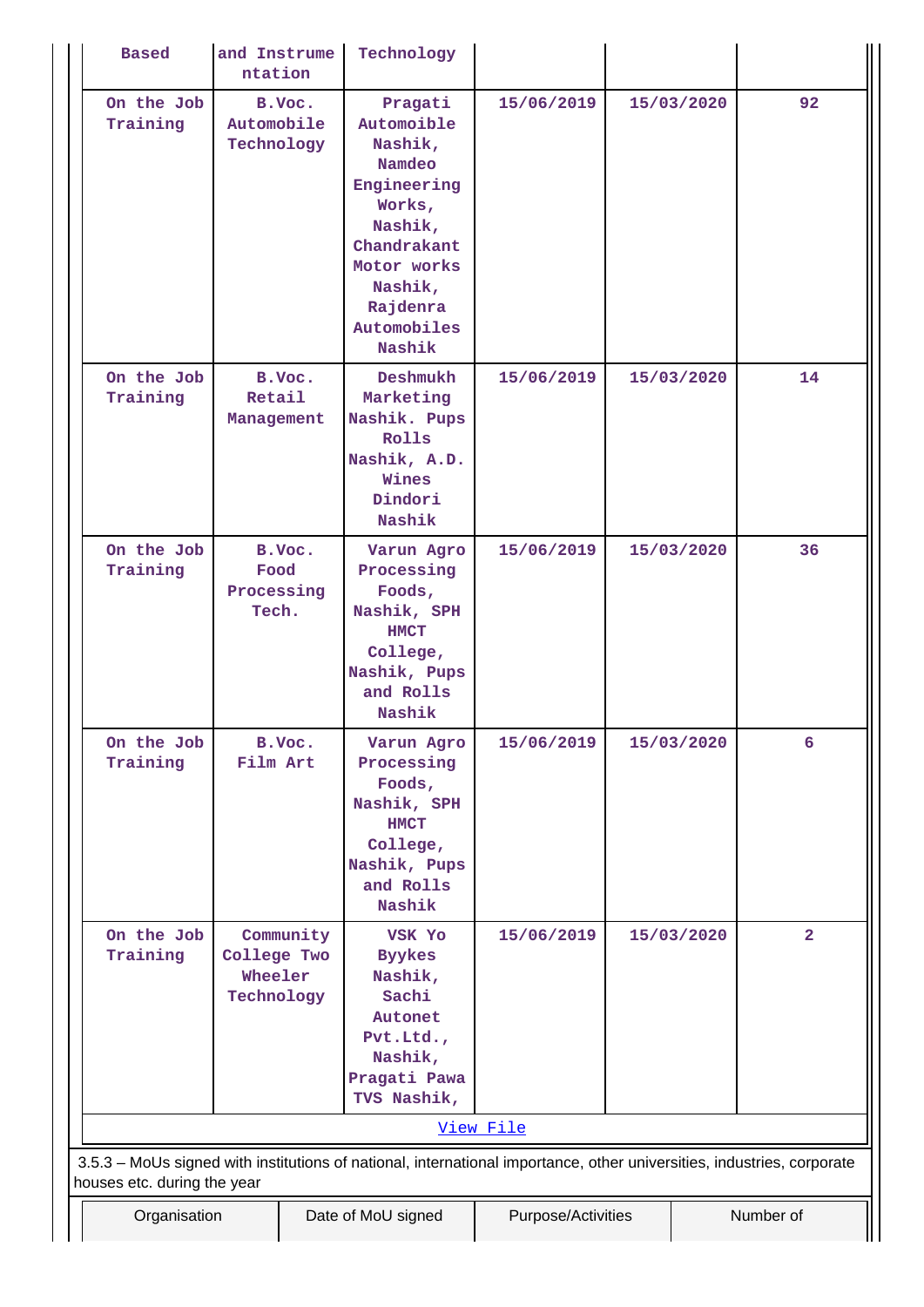| <b>Based</b>                                                                                                           | and Instrume<br>ntation              |           | Technology                                                                                                                                                   |                    |            |                         |
|------------------------------------------------------------------------------------------------------------------------|--------------------------------------|-----------|--------------------------------------------------------------------------------------------------------------------------------------------------------------|--------------------|------------|-------------------------|
| On the Job<br>Training                                                                                                 | Automobile<br>Technology             | B.Voc.    | Pragati<br>Automoible<br>Nashik,<br>Namdeo<br>Engineering<br>Works,<br>Nashik,<br>Chandrakant<br>Motor works<br>Nashik,<br>Rajdenra<br>Automobiles<br>Nashik | 15/06/2019         | 15/03/2020 | 92                      |
| On the Job<br>Training                                                                                                 | Retail<br>Management                 | B.Voc.    | Deshmukh<br>Marketing<br>Nashik. Pups<br>Rolls<br>Nashik, A.D.<br>Wines<br>Dindori<br>Nashik                                                                 | 15/06/2019         | 15/03/2020 | 14                      |
| On the Job<br>Training                                                                                                 | Food<br>Processing<br>Tech.          | B.Voc.    | Varun Agro<br>Processing<br>Foods,<br>Nashik, SPH<br><b>HMCT</b><br>College,<br>Nashik, Pups<br>and Rolls<br>Nashik                                          | 15/06/2019         | 15/03/2020 | 36                      |
| On the Job<br>Training                                                                                                 | Film Art                             | B.Voc.    | Varun Agro<br>Processing<br>Foods,<br>Nashik, SPH<br><b>HMCT</b><br>College,<br>Nashik, Pups<br>and Rolls<br>Nashik                                          | 15/06/2019         | 15/03/2020 | 6                       |
| On the Job<br>Training                                                                                                 | College Two<br>Wheeler<br>Technology | Community | VSK Yo<br><b>Byykes</b><br>Nashik,<br>Sachi<br>Autonet<br>Pvt.Ltd.<br>Nashik,<br>Pragati Pawa<br>TVS Nashik,                                                 | 15/06/2019         | 15/03/2020 | $\overline{\mathbf{2}}$ |
| 3.5.3 - MoUs signed with institutions of national, international importance, other universities, industries, corporate |                                      |           |                                                                                                                                                              | View File          |            |                         |
| houses etc. during the year<br>Organisation                                                                            |                                      |           | Date of MoU signed                                                                                                                                           | Purpose/Activities |            | Number of               |
|                                                                                                                        |                                      |           |                                                                                                                                                              |                    |            |                         |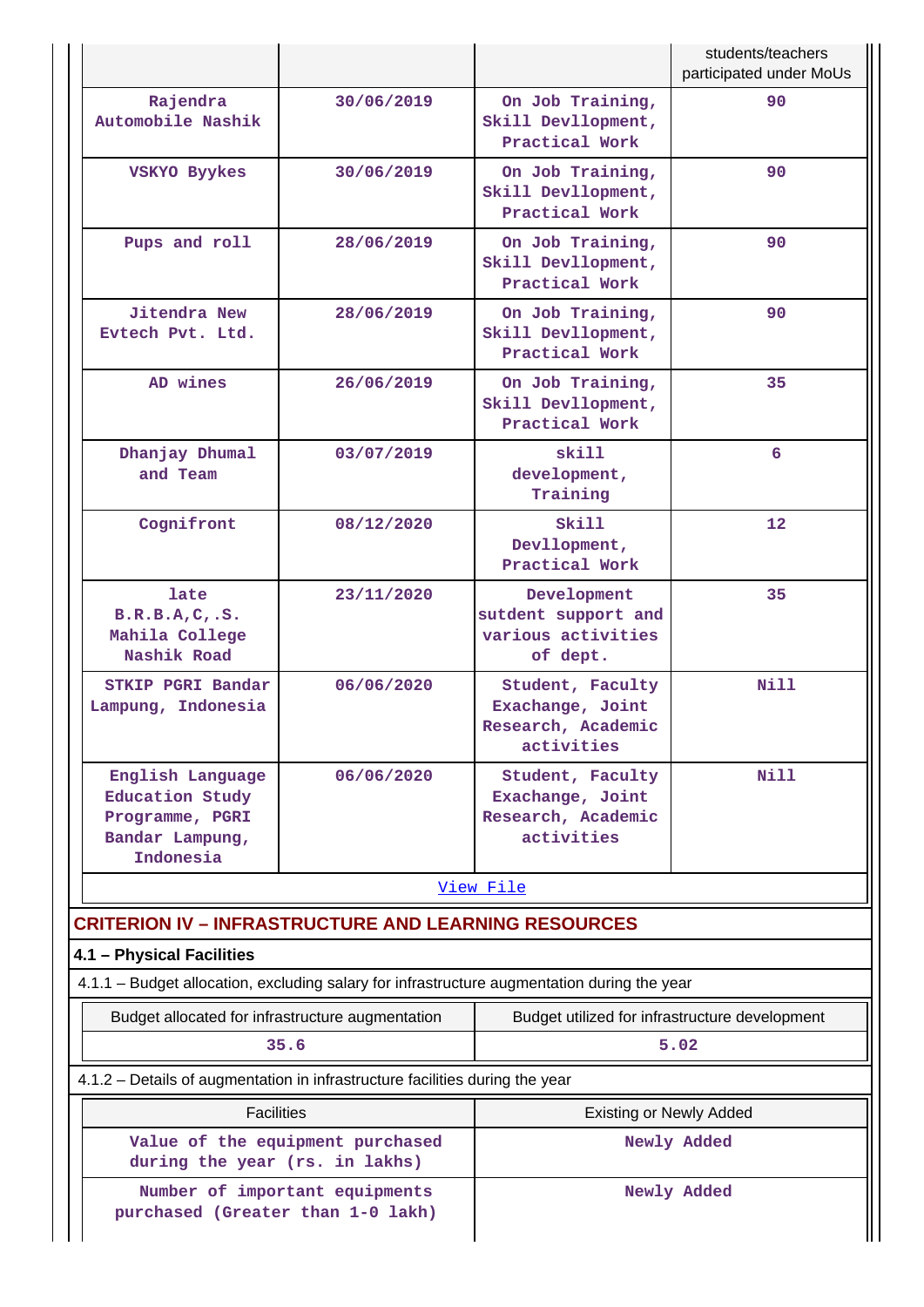|                                                                                               |            |                                                                          | students/teachers<br>participated under MoUs |
|-----------------------------------------------------------------------------------------------|------------|--------------------------------------------------------------------------|----------------------------------------------|
| Rajendra<br>Automobile Nashik                                                                 | 30/06/2019 | On Job Training,<br>Skill Devllopment,<br>Practical Work                 | 90                                           |
| 30/06/2019<br>VSKYO Byykes                                                                    |            | On Job Training,<br>Skill Devllopment,<br>Practical Work                 | 90                                           |
| Pups and roll                                                                                 | 28/06/2019 | On Job Training,<br>Skill Devllopment,<br>Practical Work                 | 90                                           |
| <b>Jitendra New</b><br>Evtech Pvt. Ltd.                                                       | 28/06/2019 | On Job Training,<br>Skill Devllopment,<br>Practical Work                 | 90                                           |
| AD wines                                                                                      | 26/06/2019 | On Job Training,<br>Skill Devllopment,<br>Practical Work                 | 35                                           |
| Dhanjay Dhumal<br>and Team                                                                    | 03/07/2019 | skill<br>development,<br>Training                                        | 6                                            |
| Cognifront                                                                                    | 08/12/2020 | Skill<br>Devllopment,<br>Practical Work                                  | 12                                           |
| late<br>B.R.B.A,C. S.<br>Mahila College<br>Nashik Road                                        | 23/11/2020 | Development<br>sutdent support and<br>various activities<br>of dept.     | 35                                           |
| STKIP PGRI Bandar<br>Lampung, Indonesia                                                       | 06/06/2020 | Student, Faculty<br>Exachange, Joint<br>Research, Academic<br>activities | Nill                                         |
| English Language<br><b>Education Study</b><br>Programme, PGRI<br>Bandar Lampung,<br>Indonesia | 06/06/2020 | Student, Faculty<br>Exachange, Joint<br>Research, Academic<br>activities | Nill                                         |
|                                                                                               |            | View File                                                                |                                              |
| <b>CRITERION IV - INFRASTRUCTURE AND LEARNING RESOURCES</b>                                   |            |                                                                          |                                              |
| 4.1 - Physical Facilities                                                                     |            |                                                                          |                                              |
| 4.1.1 - Budget allocation, excluding salary for infrastructure augmentation during the year   |            |                                                                          |                                              |
| Budget allocated for infrastructure augmentation<br>35.6                                      |            | Budget utilized for infrastructure development                           | 5.02                                         |
| 4.1.2 - Details of augmentation in infrastructure facilities during the year                  |            |                                                                          |                                              |
| <b>Facilities</b>                                                                             |            | <b>Existing or Newly Added</b>                                           |                                              |
| Value of the equipment purchased<br>during the year (rs. in lakhs)                            |            |                                                                          | Newly Added                                  |
| Number of important equipments<br>purchased (Greater than 1-0 lakh)                           |            |                                                                          | Newly Added                                  |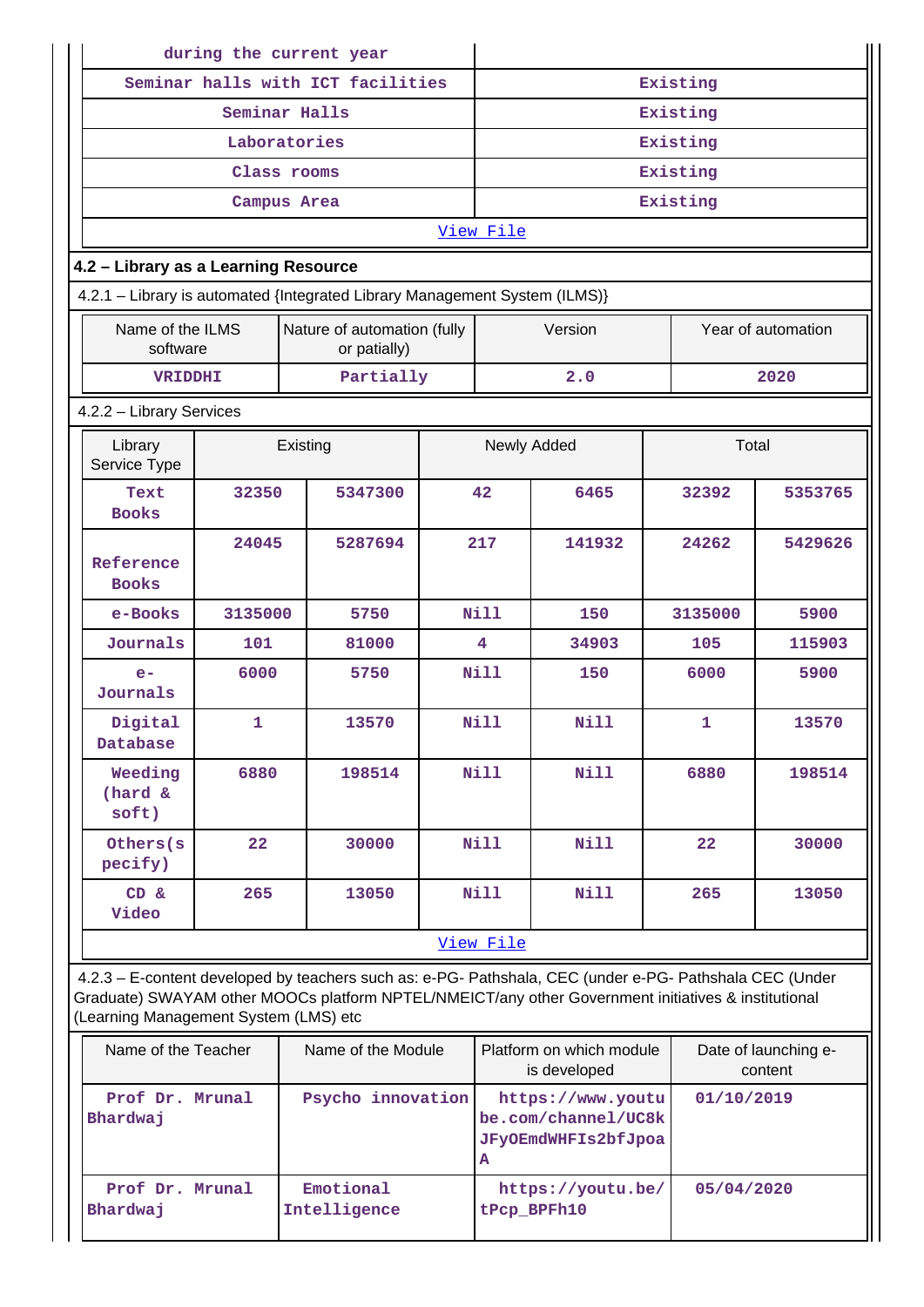| during the current year               |                  |          |                                                                                                                                                                                                                |                   |             |                                                                 |            |                                 |  |  |
|---------------------------------------|------------------|----------|----------------------------------------------------------------------------------------------------------------------------------------------------------------------------------------------------------------|-------------------|-------------|-----------------------------------------------------------------|------------|---------------------------------|--|--|
| Seminar halls with ICT facilities     |                  |          |                                                                                                                                                                                                                |                   |             | Existing                                                        |            |                                 |  |  |
| Seminar Halls                         |                  |          |                                                                                                                                                                                                                |                   |             | Existing                                                        |            |                                 |  |  |
|                                       | Laboratories     |          |                                                                                                                                                                                                                |                   |             | Existing                                                        |            |                                 |  |  |
|                                       | Class rooms      |          |                                                                                                                                                                                                                |                   |             |                                                                 | Existing   |                                 |  |  |
|                                       | Campus Area      |          |                                                                                                                                                                                                                |                   |             |                                                                 | Existing   |                                 |  |  |
|                                       |                  |          |                                                                                                                                                                                                                |                   | View File   |                                                                 |            |                                 |  |  |
| 4.2 - Library as a Learning Resource  |                  |          |                                                                                                                                                                                                                |                   |             |                                                                 |            |                                 |  |  |
|                                       |                  |          | 4.2.1 - Library is automated {Integrated Library Management System (ILMS)}                                                                                                                                     |                   |             |                                                                 |            |                                 |  |  |
| Name of the ILMS<br>software          |                  |          | Nature of automation (fully<br>or patially)                                                                                                                                                                    |                   |             | Version                                                         |            | Year of automation              |  |  |
| <b>VRIDDHI</b>                        |                  |          | Partially                                                                                                                                                                                                      |                   |             | 2.0                                                             |            | 2020                            |  |  |
| 4.2.2 - Library Services              |                  |          |                                                                                                                                                                                                                |                   |             |                                                                 |            |                                 |  |  |
| Library<br>Service Type               |                  | Existing |                                                                                                                                                                                                                |                   | Newly Added |                                                                 | Total      |                                 |  |  |
| Text<br><b>Books</b>                  | 32350            |          | 5347300                                                                                                                                                                                                        | 42                |             | 6465                                                            | 32392      | 5353765                         |  |  |
| Reference<br><b>Books</b>             | 24045<br>5287694 |          |                                                                                                                                                                                                                | 217<br>141932     |             | 24262                                                           | 5429626    |                                 |  |  |
| e-Books                               | 3135000          |          | 5750                                                                                                                                                                                                           |                   | Nill        | 150                                                             | 3135000    | 5900                            |  |  |
| Journals                              | 101              |          | 81000                                                                                                                                                                                                          | 4                 |             | 34903                                                           | 105        | 115903                          |  |  |
| $e-$<br>Journals                      | 6000             |          | 5750                                                                                                                                                                                                           | N <sub>i</sub> 11 |             | 150                                                             | 6000       | 5900                            |  |  |
| Digital<br>Database                   | $\mathbf{1}$     |          | 13570                                                                                                                                                                                                          |                   | <b>Nill</b> | Nill                                                            | 1          | 13570                           |  |  |
| Weeding<br>(hard &<br>soft)           | 6880             |          | 198514                                                                                                                                                                                                         |                   | Nill        | Nill                                                            | 6880       | 198514                          |  |  |
| Others (s<br>pecify)                  | 22               |          | 30000                                                                                                                                                                                                          |                   | <b>Nill</b> | <b>Nill</b>                                                     | 22         | 30000                           |  |  |
| CD &<br>Video                         | 265              |          | 13050                                                                                                                                                                                                          |                   | Nill        | <b>Nill</b>                                                     | 265        | 13050                           |  |  |
|                                       |                  |          |                                                                                                                                                                                                                |                   | View File   |                                                                 |            |                                 |  |  |
| (Learning Management System (LMS) etc |                  |          | 4.2.3 - E-content developed by teachers such as: e-PG- Pathshala, CEC (under e-PG- Pathshala CEC (Under<br>Graduate) SWAYAM other MOOCs platform NPTEL/NMEICT/any other Government initiatives & institutional |                   |             |                                                                 |            |                                 |  |  |
| Name of the Teacher                   |                  |          | Name of the Module                                                                                                                                                                                             |                   |             | Platform on which module<br>is developed                        |            | Date of launching e-<br>content |  |  |
| Prof Dr. Mrunal<br>Bhardwaj           |                  |          | Psycho innovation                                                                                                                                                                                              |                   | Α           | https://www.youtu<br>be.com/channel/UC8k<br>JFyOEmdWHFIs2bfJpoa |            | 01/10/2019                      |  |  |
| Prof Dr. Mrunal                       |                  |          | Emotional                                                                                                                                                                                                      |                   |             | https://youtu.be/                                               | 05/04/2020 |                                 |  |  |

**tPcp\_BPFh10**

**Bhardwaj**

**Intelligence**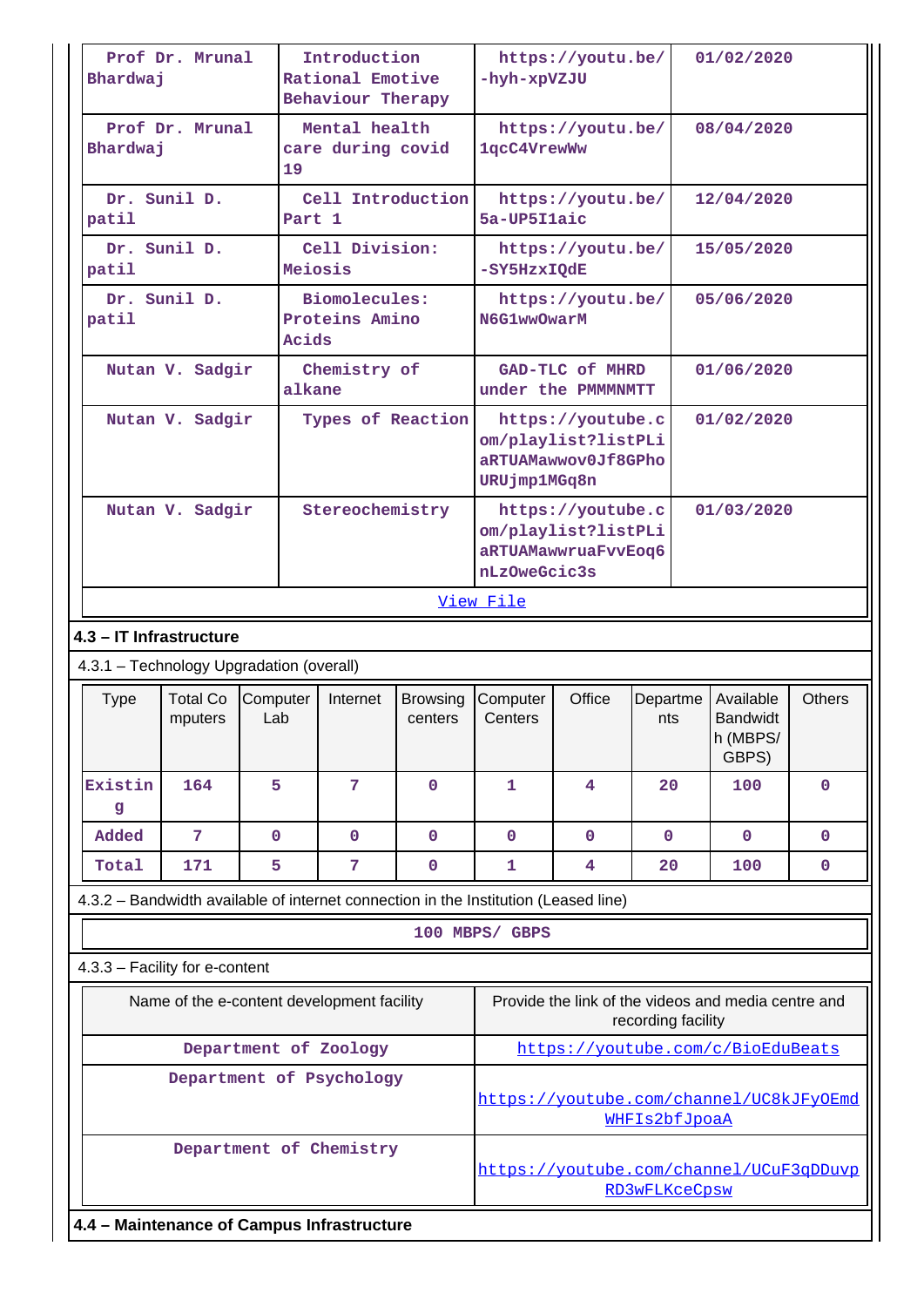| Bhardwaj                                   | Prof Dr. Mrunal                            |                 | Introduction<br>Rational Emotive<br>Behaviour Therapy |                     |                                                                                               | https://youtu.be/<br>-hyh-xpVZJU |                    | 01/02/2020                                          |               |
|--------------------------------------------|--------------------------------------------|-----------------|-------------------------------------------------------|---------------------|-----------------------------------------------------------------------------------------------|----------------------------------|--------------------|-----------------------------------------------------|---------------|
| Bhardwaj                                   | Prof Dr. Mrunal                            | 19              | Mental health<br>care during covid                    |                     | https://youtu.be/<br>08/04/2020<br>1qcC4VrewWw                                                |                                  |                    |                                                     |               |
| patil                                      | Dr. Sunil D.                               |                 | Cell Introduction<br>Part 1                           |                     | 5a-UP5Ilaic                                                                                   | https://youtu.be/                |                    | 12/04/2020                                          |               |
| patil                                      | Dr. Sunil D.                               |                 | Cell Division:<br>Meiosis                             |                     | -SY5HzxIQdE                                                                                   | https://youtu.be/                |                    | 15/05/2020                                          |               |
| patil                                      | Dr. Sunil D.                               | Acids           | Biomolecules:<br>Proteins Amino                       |                     | N6G1wwOwarM                                                                                   | https://youtu.be/                |                    | 05/06/2020                                          |               |
|                                            | Nutan V. Sadgir                            |                 | Chemistry of<br>alkane                                |                     | under the PMMMNMTT                                                                            | GAD-TLC of MHRD                  |                    | 01/06/2020                                          |               |
|                                            | Nutan V. Sadgir                            |                 | Types of Reaction                                     |                     | 01/02/2020<br>https://youtube.c<br>om/playlist?listPLi<br>aRTUAMawwov0Jf8GPho<br>URUjmp1MGq8n |                                  |                    |                                                     |               |
|                                            | Nutan V. Sadgir                            |                 | Stereochemistry                                       |                     | https://youtube.c<br>om/playlist?listPLi<br>aRTUAMawwruaFvvEoq6<br>nLzOweGcic3s               |                                  |                    | 01/03/2020                                          |               |
|                                            |                                            |                 |                                                       |                     | View File                                                                                     |                                  |                    |                                                     |               |
| 4.3 - IT Infrastructure                    |                                            |                 |                                                       |                     |                                                                                               |                                  |                    |                                                     |               |
|                                            | 4.3.1 - Technology Upgradation (overall)   |                 |                                                       |                     |                                                                                               |                                  |                    |                                                     |               |
| Type                                       | <b>Total Co</b><br>mputers                 | Computer<br>Lab | Internet                                              | Browsing<br>centers | Computer<br>Centers                                                                           | Office                           | Departme<br>nts    | Available<br><b>Bandwidt</b><br>h (MBPS/<br>GBPS)   | <b>Others</b> |
| Existin<br>g                               | 164                                        | 5               | 7                                                     | $\mathbf{0}$        | $\mathbf{1}$                                                                                  | $\overline{4}$                   | 20                 | 100                                                 | $\mathbf 0$   |
| Added                                      | 7                                          | $\mathbf 0$     | $\mathbf 0$                                           | $\mathbf 0$         | $\mathbf{0}$                                                                                  | $\mathbf 0$                      | 0                  | $\mathbf 0$                                         | 0             |
| Total                                      | 171                                        | 5               | 7                                                     | 0                   | 1                                                                                             | 4                                | 20                 | 100                                                 | 0             |
|                                            |                                            |                 |                                                       |                     | 4.3.2 - Bandwidth available of internet connection in the Institution (Leased line)           |                                  |                    |                                                     |               |
|                                            |                                            |                 |                                                       |                     | 100 MBPS/ GBPS                                                                                |                                  |                    |                                                     |               |
|                                            | 4.3.3 - Facility for e-content             |                 |                                                       |                     |                                                                                               |                                  |                    |                                                     |               |
|                                            | Name of the e-content development facility |                 |                                                       |                     |                                                                                               |                                  | recording facility | Provide the link of the videos and media centre and |               |
|                                            |                                            |                 | Department of Zoology                                 |                     |                                                                                               |                                  |                    | https://youtube.com/c/BioEduBeats                   |               |
|                                            |                                            |                 | Department of Psychology                              |                     |                                                                                               |                                  | WHFIs2bfJpoaA      | https://youtube.com/channel/UC8kJFyOEmd             |               |
|                                            |                                            |                 | Department of Chemistry                               |                     | https://youtube.com/channel/UCuF3qDDuvp<br>RD3wFLKceCpsw                                      |                                  |                    |                                                     |               |
| 4.4 - Maintenance of Campus Infrastructure |                                            |                 |                                                       |                     |                                                                                               |                                  |                    |                                                     |               |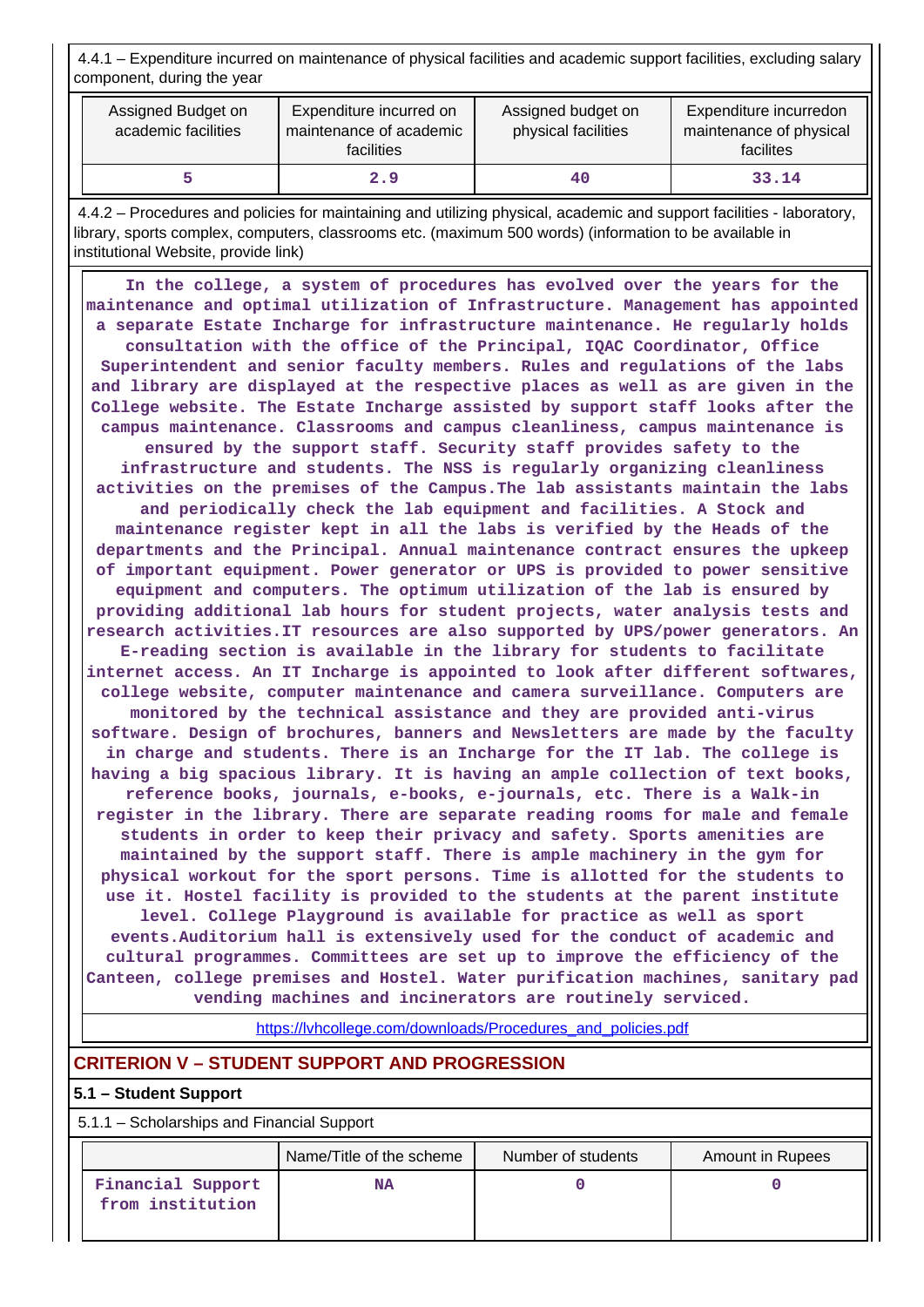4.4.1 – Expenditure incurred on maintenance of physical facilities and academic support facilities, excluding salary component, during the year

| Assigned Budget on<br>academic facilities | Expenditure incurred on<br>maintenance of academic<br><b>facilities</b> | Assigned budget on<br>physical facilities | Expenditure incurredon<br>maintenance of physical<br>facilites |
|-------------------------------------------|-------------------------------------------------------------------------|-------------------------------------------|----------------------------------------------------------------|
|                                           | 2.9                                                                     | 40                                        | 33.14                                                          |

 4.4.2 – Procedures and policies for maintaining and utilizing physical, academic and support facilities - laboratory, library, sports complex, computers, classrooms etc. (maximum 500 words) (information to be available in institutional Website, provide link)

 **In the college, a system of procedures has evolved over the years for the maintenance and optimal utilization of Infrastructure. Management has appointed a separate Estate Incharge for infrastructure maintenance. He regularly holds consultation with the office of the Principal, IQAC Coordinator, Office Superintendent and senior faculty members. Rules and regulations of the labs and library are displayed at the respective places as well as are given in the College website. The Estate Incharge assisted by support staff looks after the campus maintenance. Classrooms and campus cleanliness, campus maintenance is ensured by the support staff. Security staff provides safety to the infrastructure and students. The NSS is regularly organizing cleanliness activities on the premises of the Campus.The lab assistants maintain the labs and periodically check the lab equipment and facilities. A Stock and maintenance register kept in all the labs is verified by the Heads of the departments and the Principal. Annual maintenance contract ensures the upkeep of important equipment. Power generator or UPS is provided to power sensitive equipment and computers. The optimum utilization of the lab is ensured by providing additional lab hours for student projects, water analysis tests and research activities.IT resources are also supported by UPS/power generators. An E-reading section is available in the library for students to facilitate internet access. An IT Incharge is appointed to look after different softwares, college website, computer maintenance and camera surveillance. Computers are monitored by the technical assistance and they are provided anti-virus software. Design of brochures, banners and Newsletters are made by the faculty in charge and students. There is an Incharge for the IT lab. The college is having a big spacious library. It is having an ample collection of text books, reference books, journals, e-books, e-journals, etc. There is a Walk-in register in the library. There are separate reading rooms for male and female students in order to keep their privacy and safety. Sports amenities are maintained by the support staff. There is ample machinery in the gym for physical workout for the sport persons. Time is allotted for the students to use it. Hostel facility is provided to the students at the parent institute level. College Playground is available for practice as well as sport events.Auditorium hall is extensively used for the conduct of academic and cultural programmes. Committees are set up to improve the efficiency of the Canteen, college premises and Hostel. Water purification machines, sanitary pad vending machines and incinerators are routinely serviced.**

[https://lvhcollege.com/downloads/Procedures\\_and\\_policies.pdf](https://lvhcollege.com/downloads/Procedures_and_policies.pdf)

## **CRITERION V – STUDENT SUPPORT AND PROGRESSION**

## **5.1 – Student Support**

5.1.1 – Scholarships and Financial Support

|                                       | Name/Title of the scheme | Number of students | Amount in Rupees |
|---------------------------------------|--------------------------|--------------------|------------------|
| Financial Support<br>from institution | <b>NA</b>                |                    |                  |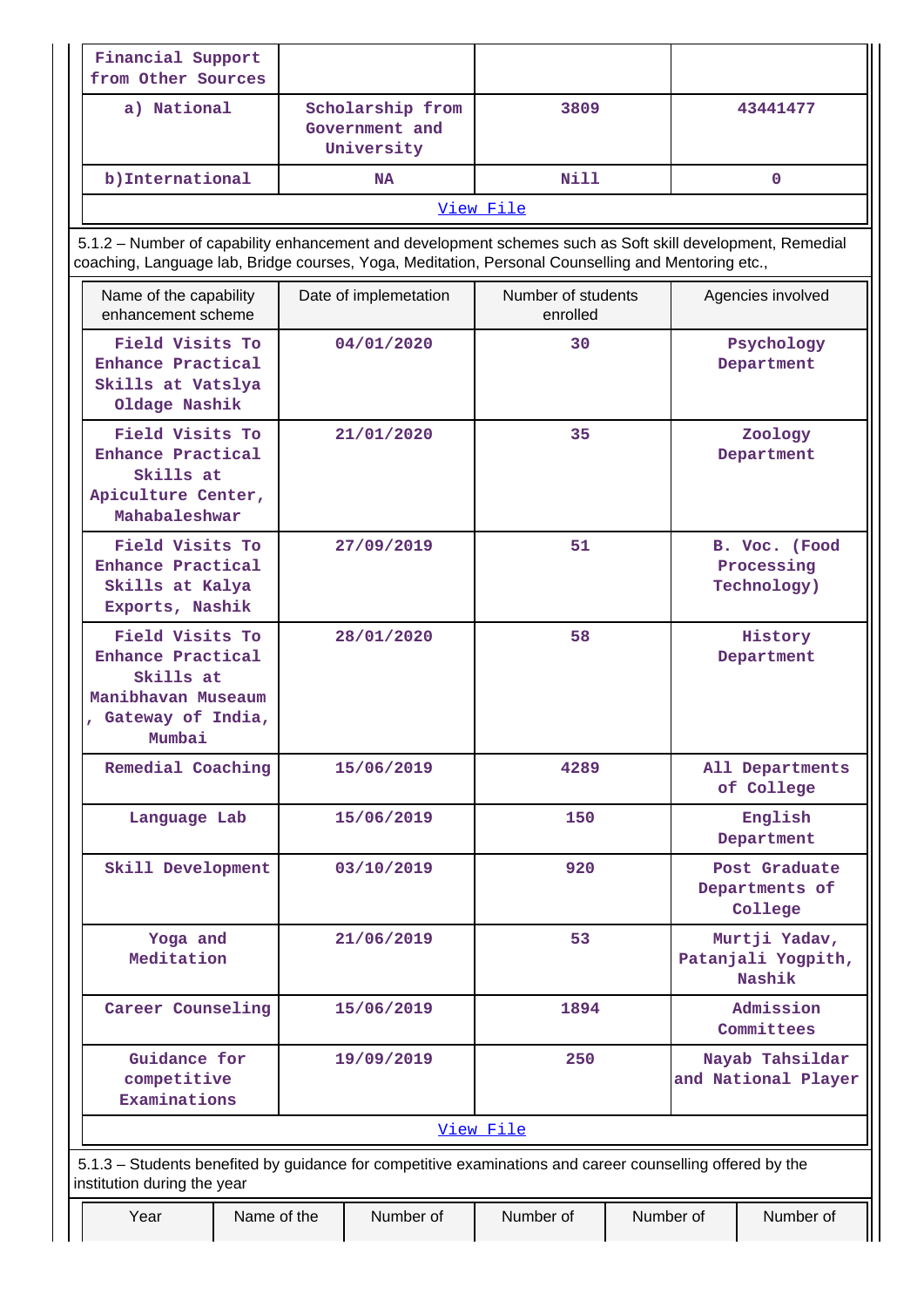| Financial Support<br>from Other Sources                                                                                                                                                                         |             |                                                  |                                |           |                                               |
|-----------------------------------------------------------------------------------------------------------------------------------------------------------------------------------------------------------------|-------------|--------------------------------------------------|--------------------------------|-----------|-----------------------------------------------|
| a) National                                                                                                                                                                                                     |             | Scholarship from<br>Government and<br>University | 3809                           |           | 43441477                                      |
| b) International                                                                                                                                                                                                |             | <b>NA</b>                                        | Nill                           |           | $\mathbf{0}$                                  |
|                                                                                                                                                                                                                 |             |                                                  | View File                      |           |                                               |
| 5.1.2 - Number of capability enhancement and development schemes such as Soft skill development, Remedial<br>coaching, Language lab, Bridge courses, Yoga, Meditation, Personal Counselling and Mentoring etc., |             |                                                  |                                |           |                                               |
| Name of the capability<br>enhancement scheme                                                                                                                                                                    |             | Date of implemetation                            | Number of students<br>enrolled |           | Agencies involved                             |
| Field Visits To<br>Enhance Practical<br>Skills at Vatslya<br>Oldage Nashik                                                                                                                                      |             | 04/01/2020                                       | 30                             |           | Psychology<br>Department                      |
| Field Visits To<br>Enhance Practical<br>Skills at<br>Apiculture Center,<br>Mahabaleshwar                                                                                                                        |             | 21/01/2020                                       | 35                             |           | Zoology<br>Department                         |
| Field Visits To<br>Enhance Practical<br>Skills at Kalya<br>Exports, Nashik                                                                                                                                      |             | 27/09/2019                                       | 51                             |           | B. Voc. (Food<br>Processing<br>Technology)    |
| Field Visits To<br>Enhance Practical<br>Skills at<br>Manibhavan Museaum<br>, Gateway of India,<br>Mumbai                                                                                                        |             | 28/01/2020                                       | 58                             |           | History<br>Department                         |
| Remedial Coaching                                                                                                                                                                                               |             | 15/06/2019                                       | 4289                           |           | All Departments<br>of College                 |
| Language Lab                                                                                                                                                                                                    |             | 15/06/2019                                       | 150                            |           | English<br>Department                         |
| Skill Development                                                                                                                                                                                               |             | 03/10/2019                                       | 920                            |           | Post Graduate<br>Departments of<br>College    |
| Yoga and<br>Meditation                                                                                                                                                                                          |             | 21/06/2019                                       | 53                             |           | Murtji Yadav,<br>Patanjali Yogpith,<br>Nashik |
| Career Counseling                                                                                                                                                                                               |             | 15/06/2019                                       | 1894                           |           | Admission<br>Committees                       |
| Guidance for<br>competitive<br>Examinations                                                                                                                                                                     |             | 19/09/2019                                       | 250                            |           | Nayab Tahsildar<br>and National Player        |
|                                                                                                                                                                                                                 |             |                                                  | View File                      |           |                                               |
| 5.1.3 – Students benefited by guidance for competitive examinations and career counselling offered by the<br>institution during the year                                                                        |             |                                                  |                                |           |                                               |
| Year                                                                                                                                                                                                            | Name of the | Number of                                        | Number of                      | Number of | Number of                                     |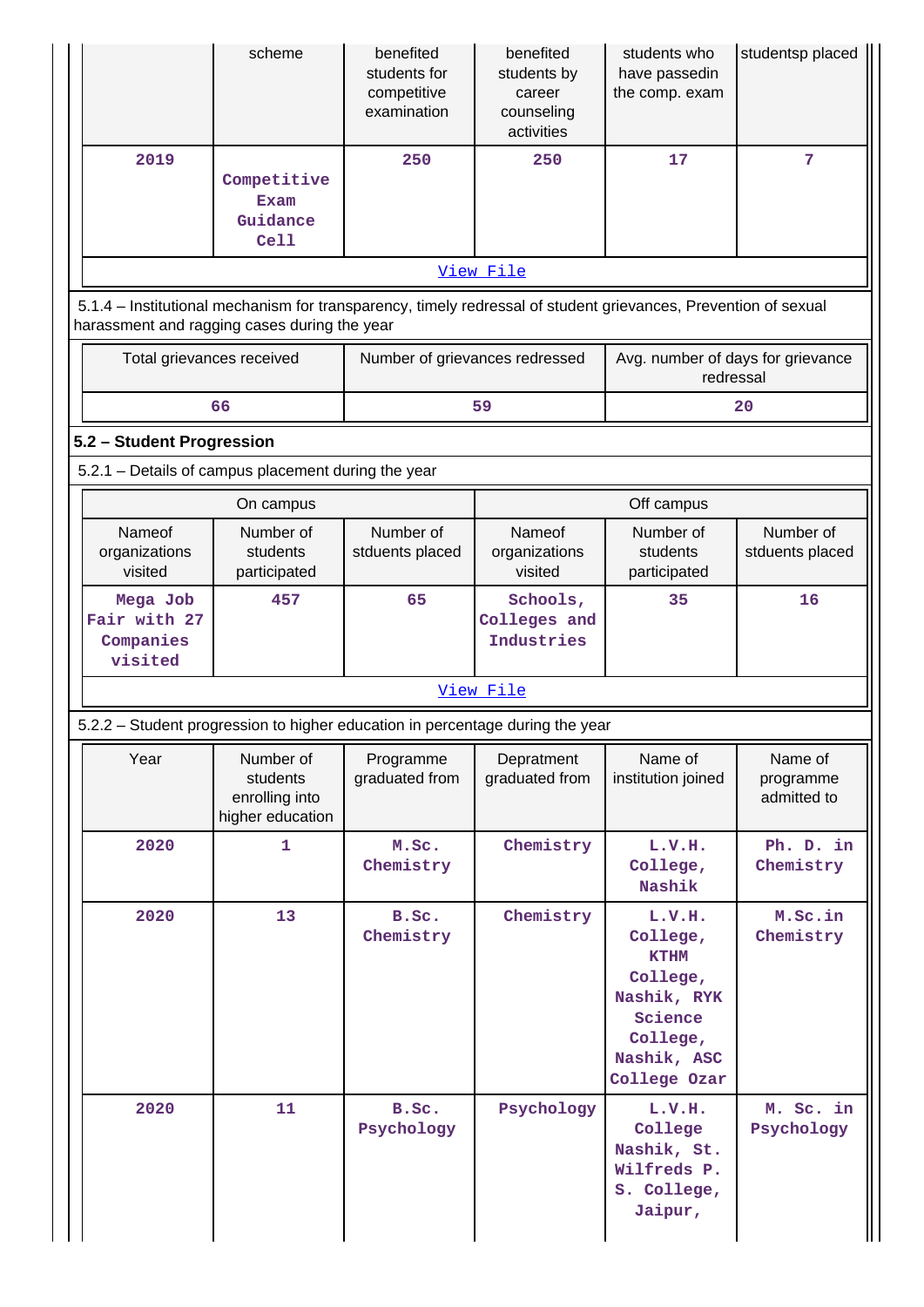|                                                                                                                                                                | scheme                                                      | benefited<br>students for<br>competitive<br>examination | benefited<br>students by<br>career<br>counseling<br>activities | students who<br>have passedin<br>the comp. exam                                                                    | studentsp placed                    |  |  |  |  |
|----------------------------------------------------------------------------------------------------------------------------------------------------------------|-------------------------------------------------------------|---------------------------------------------------------|----------------------------------------------------------------|--------------------------------------------------------------------------------------------------------------------|-------------------------------------|--|--|--|--|
| 2019                                                                                                                                                           | Competitive<br>Exam<br>Guidance<br>Cell                     | 250                                                     | 250                                                            | 17                                                                                                                 | 7                                   |  |  |  |  |
| View File                                                                                                                                                      |                                                             |                                                         |                                                                |                                                                                                                    |                                     |  |  |  |  |
| 5.1.4 – Institutional mechanism for transparency, timely redressal of student grievances, Prevention of sexual<br>harassment and ragging cases during the year |                                                             |                                                         |                                                                |                                                                                                                    |                                     |  |  |  |  |
|                                                                                                                                                                | Total grievances received                                   | Number of grievances redressed                          |                                                                | Avg. number of days for grievance<br>redressal                                                                     |                                     |  |  |  |  |
|                                                                                                                                                                | 66                                                          |                                                         | 59                                                             |                                                                                                                    | 20                                  |  |  |  |  |
| 5.2 - Student Progression                                                                                                                                      |                                                             |                                                         |                                                                |                                                                                                                    |                                     |  |  |  |  |
| 5.2.1 - Details of campus placement during the year                                                                                                            |                                                             |                                                         |                                                                |                                                                                                                    |                                     |  |  |  |  |
|                                                                                                                                                                | On campus                                                   |                                                         |                                                                | Off campus                                                                                                         |                                     |  |  |  |  |
| Nameof<br>organizations<br>visited                                                                                                                             | Number of<br>students<br>participated                       | Number of<br>stduents placed                            | Nameof<br>organizations<br>visited                             | Number of<br>students<br>participated                                                                              | Number of<br>stduents placed        |  |  |  |  |
| Mega Job<br>Fair with 27<br>Companies<br>visited                                                                                                               | 457                                                         | 65                                                      | Schools,<br>Colleges and<br>Industries                         | 35                                                                                                                 | 16                                  |  |  |  |  |
|                                                                                                                                                                |                                                             |                                                         | View File                                                      |                                                                                                                    |                                     |  |  |  |  |
| 5.2.2 - Student progression to higher education in percentage during the year                                                                                  |                                                             |                                                         |                                                                |                                                                                                                    |                                     |  |  |  |  |
| Year                                                                                                                                                           | Number of<br>students<br>enrolling into<br>higher education | Programme<br>graduated from                             | Depratment<br>graduated from                                   | Name of<br>institution joined                                                                                      | Name of<br>programme<br>admitted to |  |  |  |  |
| 2020                                                                                                                                                           | 1                                                           | M.Sc.<br>Chemistry                                      | Chemistry                                                      | L.V.H.<br>College,<br>Nashik                                                                                       | Ph. D. in<br>Chemistry              |  |  |  |  |
| 2020                                                                                                                                                           | 13                                                          | B.Sc.<br>Chemistry                                      | Chemistry                                                      | L.V.H.<br>College,<br><b>KTHM</b><br>College,<br>Nashik, RYK<br>Science<br>College,<br>Nashik, ASC<br>College Ozar | M.Sc.in<br>Chemistry                |  |  |  |  |
| 2020                                                                                                                                                           | 11                                                          | B.Sc.<br>Psychology                                     | Psychology                                                     | L.V.H.<br>College<br>Nashik, St.<br>Wilfreds P.<br>S. College,<br>Jaipur,                                          | M. Sc. in<br>Psychology             |  |  |  |  |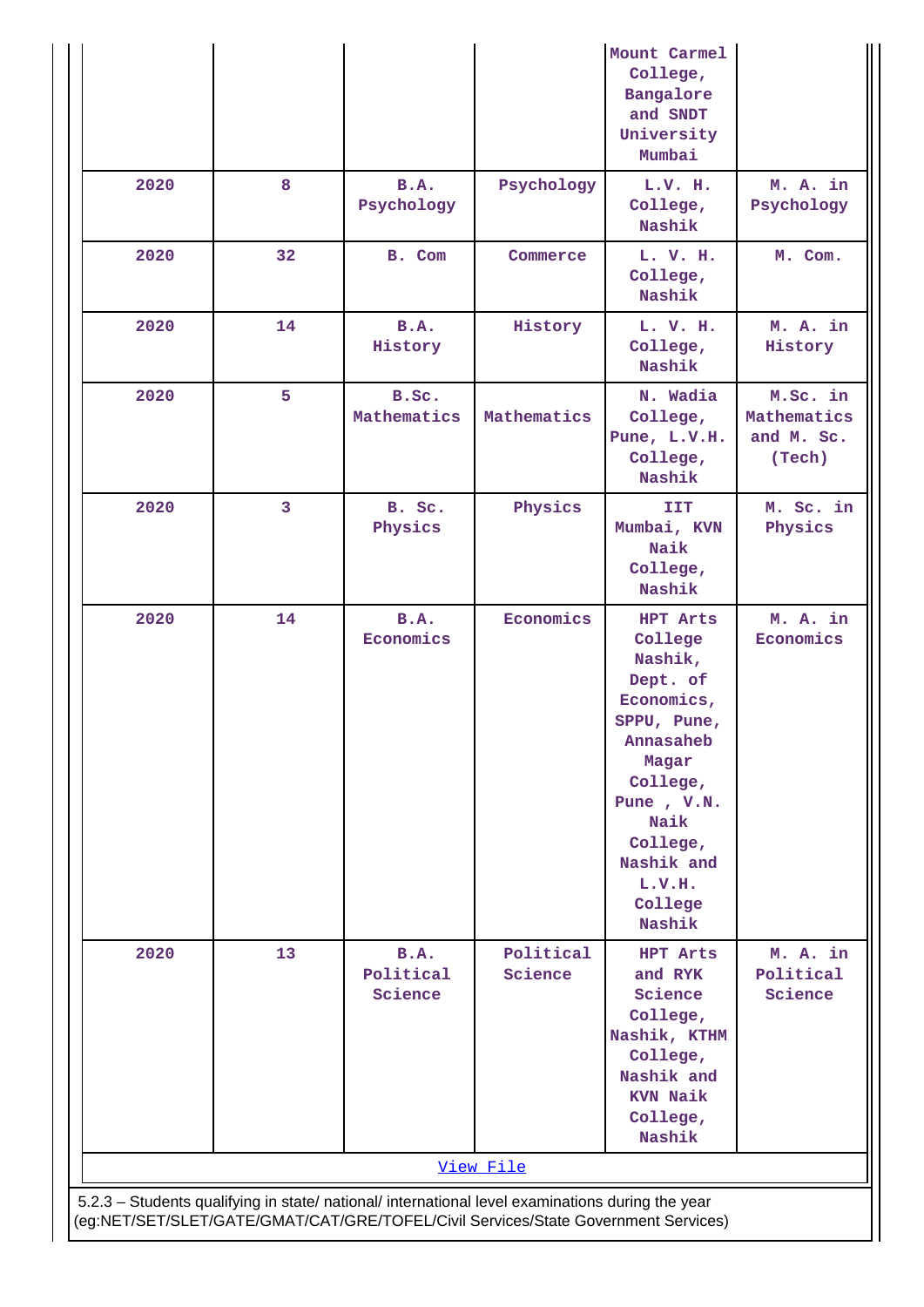|      |                         |                              |                                                                                                                                                                                        | Mount Carmel<br>College,<br>Bangalore<br>and SNDT<br>University<br>Mumbai                                                                                                                |                                                 |
|------|-------------------------|------------------------------|----------------------------------------------------------------------------------------------------------------------------------------------------------------------------------------|------------------------------------------------------------------------------------------------------------------------------------------------------------------------------------------|-------------------------------------------------|
| 2020 | 8                       | <b>B.A.</b><br>Psychology    | Psychology                                                                                                                                                                             | L.V. H.<br>College,<br>Nashik                                                                                                                                                            | M. A. in<br>Psychology                          |
| 2020 | 32                      | B. Com                       | Commerce                                                                                                                                                                               | L. V. H.<br>College,<br>Nashik                                                                                                                                                           | M. Com.                                         |
| 2020 | 14                      | B.A.<br>History              | History                                                                                                                                                                                | L. V. H.<br>College,<br>Nashik                                                                                                                                                           | M. A. in<br>History                             |
| 2020 | 5                       | B.Sc.<br>Mathematics         | Mathematics                                                                                                                                                                            | N. Wadia<br>College,<br>Pune, L.V.H.<br>College,<br>Nashik                                                                                                                               | M.Sc. in<br>Mathematics<br>and M. Sc.<br>(Tech) |
| 2020 | $\overline{\mathbf{3}}$ | B. Sc.<br>Physics            | Physics                                                                                                                                                                                | <b>IIT</b><br>Mumbai, KVN<br>Naik<br>College,<br>Nashik                                                                                                                                  | M. Sc. in<br>Physics                            |
| 2020 | 14                      | B.A.<br>Economics            | Economics                                                                                                                                                                              | HPT Arts<br>College<br>Nashik,<br>Dept. of<br>Economics,<br>SPPU, Pune,<br>Annasaheb<br>Magar<br>College,<br>Pune, V.N.<br>Naik<br>College,<br>Nashik and<br>L.V.H.<br>College<br>Nashik | M. A. in<br>Economics                           |
| 2020 | 13                      | B.A.<br>Political<br>Science | Political<br>Science                                                                                                                                                                   | HPT Arts<br>and RYK<br>Science<br>College,<br>Nashik, KTHM<br>College,<br>Nashik and<br><b>KVN Naik</b><br>College,<br>Nashik                                                            | M. A. in<br>Political<br>Science                |
|      |                         |                              | View File                                                                                                                                                                              |                                                                                                                                                                                          |                                                 |
|      |                         |                              | 5.2.3 - Students qualifying in state/ national/ international level examinations during the year<br>(eg:NET/SET/SLET/GATE/GMAT/CAT/GRE/TOFEL/Civil Services/State Government Services) |                                                                                                                                                                                          |                                                 |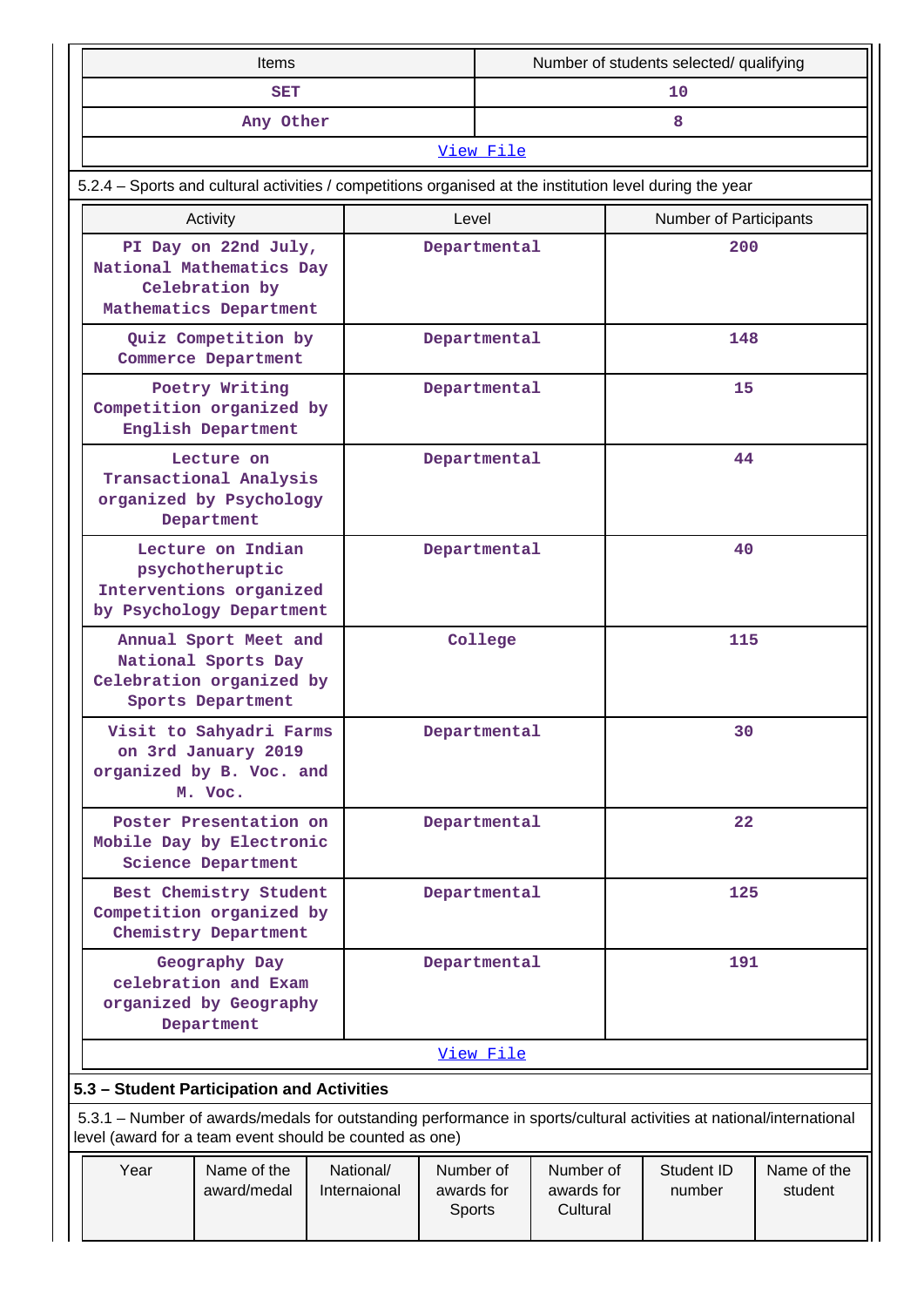|                                                                                                                                                                                | Items                                                                                         |                           |                                   | Number of students selected/ qualifying |                                     |     |                               |                        |
|--------------------------------------------------------------------------------------------------------------------------------------------------------------------------------|-----------------------------------------------------------------------------------------------|---------------------------|-----------------------------------|-----------------------------------------|-------------------------------------|-----|-------------------------------|------------------------|
|                                                                                                                                                                                | <b>SET</b>                                                                                    |                           |                                   | 10 <sup>°</sup>                         |                                     |     |                               |                        |
|                                                                                                                                                                                | Any Other                                                                                     |                           |                                   | 8                                       |                                     |     |                               |                        |
|                                                                                                                                                                                |                                                                                               |                           |                                   | View File                               |                                     |     |                               |                        |
| 5.2.4 - Sports and cultural activities / competitions organised at the institution level during the year                                                                       |                                                                                               |                           |                                   |                                         |                                     |     |                               |                        |
| Activity                                                                                                                                                                       |                                                                                               |                           | Level                             |                                         |                                     |     | <b>Number of Participants</b> |                        |
| National Mathematics Day<br>Mathematics Department                                                                                                                             | PI Day on 22nd July,<br>Celebration by                                                        |                           |                                   | Departmental                            |                                     | 200 |                               |                        |
|                                                                                                                                                                                | Quiz Competition by<br>Commerce Department                                                    |                           |                                   | Departmental                            |                                     |     | 148                           |                        |
| Competition organized by<br>English Department                                                                                                                                 | Poetry Writing                                                                                |                           |                                   | Departmental                            |                                     |     | 15                            |                        |
|                                                                                                                                                                                | Lecture on<br>Transactional Analysis<br>organized by Psychology<br>Department                 |                           |                                   | Departmental                            |                                     |     | 44                            |                        |
| Lecture on Indian<br>psychotheruptic<br>Interventions organized<br>by Psychology Department                                                                                    |                                                                                               |                           | Departmental                      |                                         | 40                                  |     |                               |                        |
|                                                                                                                                                                                | Annual Sport Meet and<br>National Sports Day<br>Celebration organized by<br>Sports Department |                           | College                           |                                         | 115                                 |     |                               |                        |
|                                                                                                                                                                                | Visit to Sahyadri Farms<br>on 3rd January 2019<br>organized by B. Voc. and<br>M. Voc.         |                           | Departmental                      |                                         | 30                                  |     |                               |                        |
| Mobile Day by Electronic                                                                                                                                                       | Poster Presentation on<br>Science Department                                                  |                           | Departmental                      |                                         | 22                                  |     |                               |                        |
|                                                                                                                                                                                | Best Chemistry Student<br>Competition organized by<br>Chemistry Department                    |                           | Departmental                      |                                         | 125                                 |     |                               |                        |
| Geography Day<br>celebration and Exam<br>organized by Geography<br>Department                                                                                                  |                                                                                               |                           | Departmental                      |                                         | 191                                 |     |                               |                        |
|                                                                                                                                                                                |                                                                                               |                           |                                   | View File                               |                                     |     |                               |                        |
| 5.3 - Student Participation and Activities                                                                                                                                     |                                                                                               |                           |                                   |                                         |                                     |     |                               |                        |
| 5.3.1 – Number of awards/medals for outstanding performance in sports/cultural activities at national/international<br>level (award for a team event should be counted as one) |                                                                                               |                           |                                   |                                         |                                     |     |                               |                        |
| Year                                                                                                                                                                           | Name of the<br>award/medal                                                                    | National/<br>Internaional | Number of<br>awards for<br>Sports |                                         | Number of<br>awards for<br>Cultural |     | Student ID<br>number          | Name of the<br>student |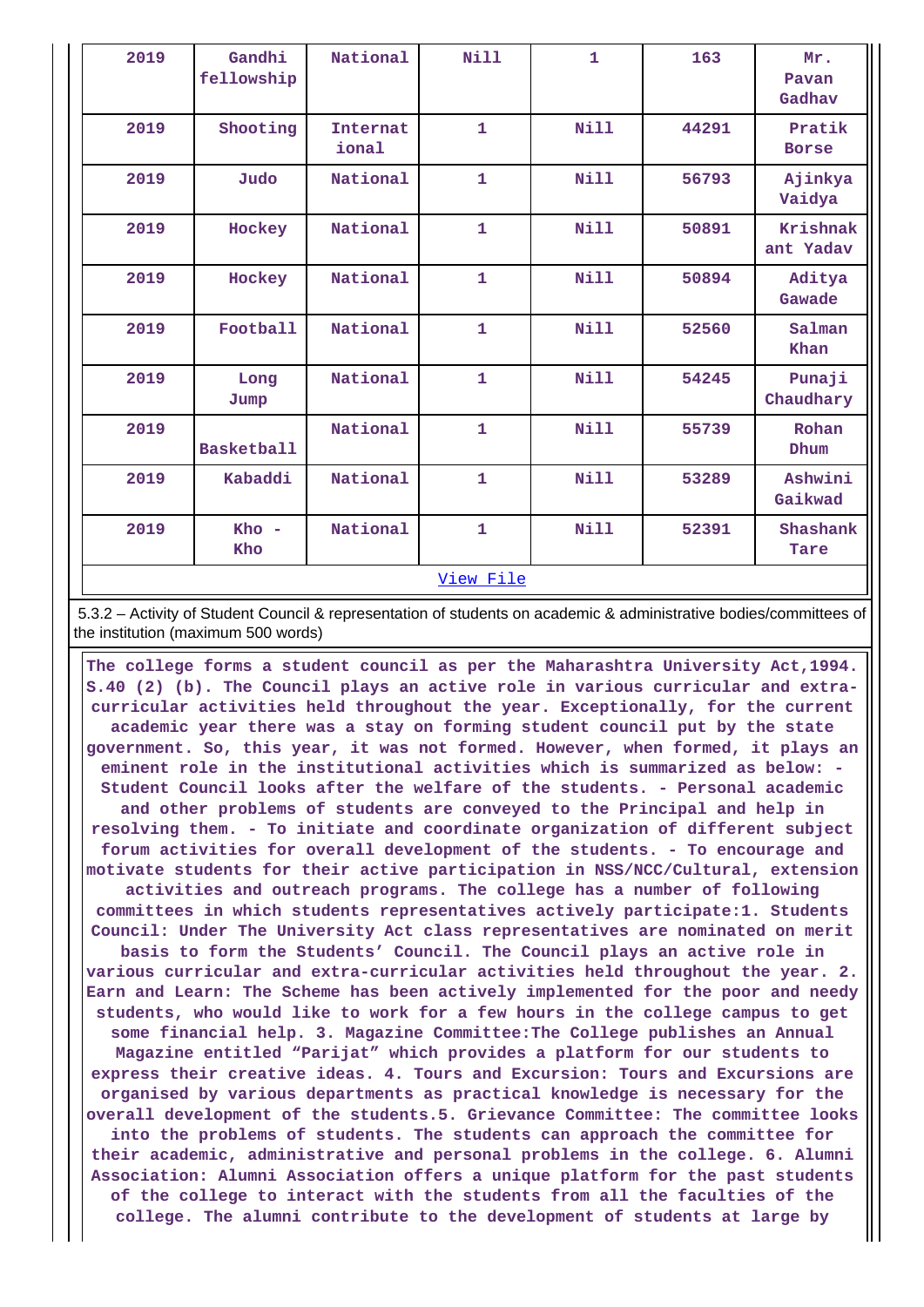| 2019 | Gandhi<br>fellowship | National                 | <b>Nill</b>  | $\mathbf{1}$ | 163   | Mr.<br>Pavan<br>Gadhav |
|------|----------------------|--------------------------|--------------|--------------|-------|------------------------|
| 2019 | Shooting             | <b>Internat</b><br>ional | 1            | <b>Nill</b>  | 44291 | Pratik<br><b>Borse</b> |
| 2019 | Judo                 | National                 | 1            | Nill         | 56793 | Ajinkya<br>Vaidya      |
| 2019 | Hockey               | National                 | 1            | <b>Nill</b>  | 50891 | Krishnak<br>ant Yadav  |
| 2019 | Hockey               | National                 | 1            | Nill         | 50894 | Aditya<br>Gawade       |
| 2019 | Football             | National                 | 1            | <b>Nill</b>  | 52560 | Salman<br>Khan         |
| 2019 | Long<br>Jump         | National                 | 1            | <b>Nill</b>  | 54245 | Punaji<br>Chaudhary    |
| 2019 | <b>Basketball</b>    | National                 | $\mathbf{1}$ | <b>Nill</b>  | 55739 | Rohan<br>Dhum          |
| 2019 | Kabaddi              | National                 | 1            | <b>Nill</b>  | 53289 | Ashwini<br>Gaikwad     |
| 2019 | $Kho -$<br>Kho       | National                 | $\mathbf{1}$ | <b>Nill</b>  | 52391 | Shashank<br>Tare       |
|      |                      |                          | View File    |              |       |                        |

 5.3.2 – Activity of Student Council & representation of students on academic & administrative bodies/committees of the institution (maximum 500 words)

 **The college forms a student council as per the Maharashtra University Act,1994. S.40 (2) (b). The Council plays an active role in various curricular and extracurricular activities held throughout the year. Exceptionally, for the current academic year there was a stay on forming student council put by the state government. So, this year, it was not formed. However, when formed, it plays an eminent role in the institutional activities which is summarized as below: - Student Council looks after the welfare of the students. - Personal academic and other problems of students are conveyed to the Principal and help in resolving them. - To initiate and coordinate organization of different subject forum activities for overall development of the students. - To encourage and motivate students for their active participation in NSS/NCC/Cultural, extension activities and outreach programs. The college has a number of following committees in which students representatives actively participate:1. Students Council: Under The University Act class representatives are nominated on merit basis to form the Students' Council. The Council plays an active role in various curricular and extra-curricular activities held throughout the year. 2. Earn and Learn: The Scheme has been actively implemented for the poor and needy students, who would like to work for a few hours in the college campus to get some financial help. 3. Magazine Committee:The College publishes an Annual Magazine entitled "Parijat" which provides a platform for our students to express their creative ideas. 4. Tours and Excursion: Tours and Excursions are organised by various departments as practical knowledge is necessary for the overall development of the students.5. Grievance Committee: The committee looks into the problems of students. The students can approach the committee for their academic, administrative and personal problems in the college. 6. Alumni Association: Alumni Association offers a unique platform for the past students of the college to interact with the students from all the faculties of the college. The alumni contribute to the development of students at large by**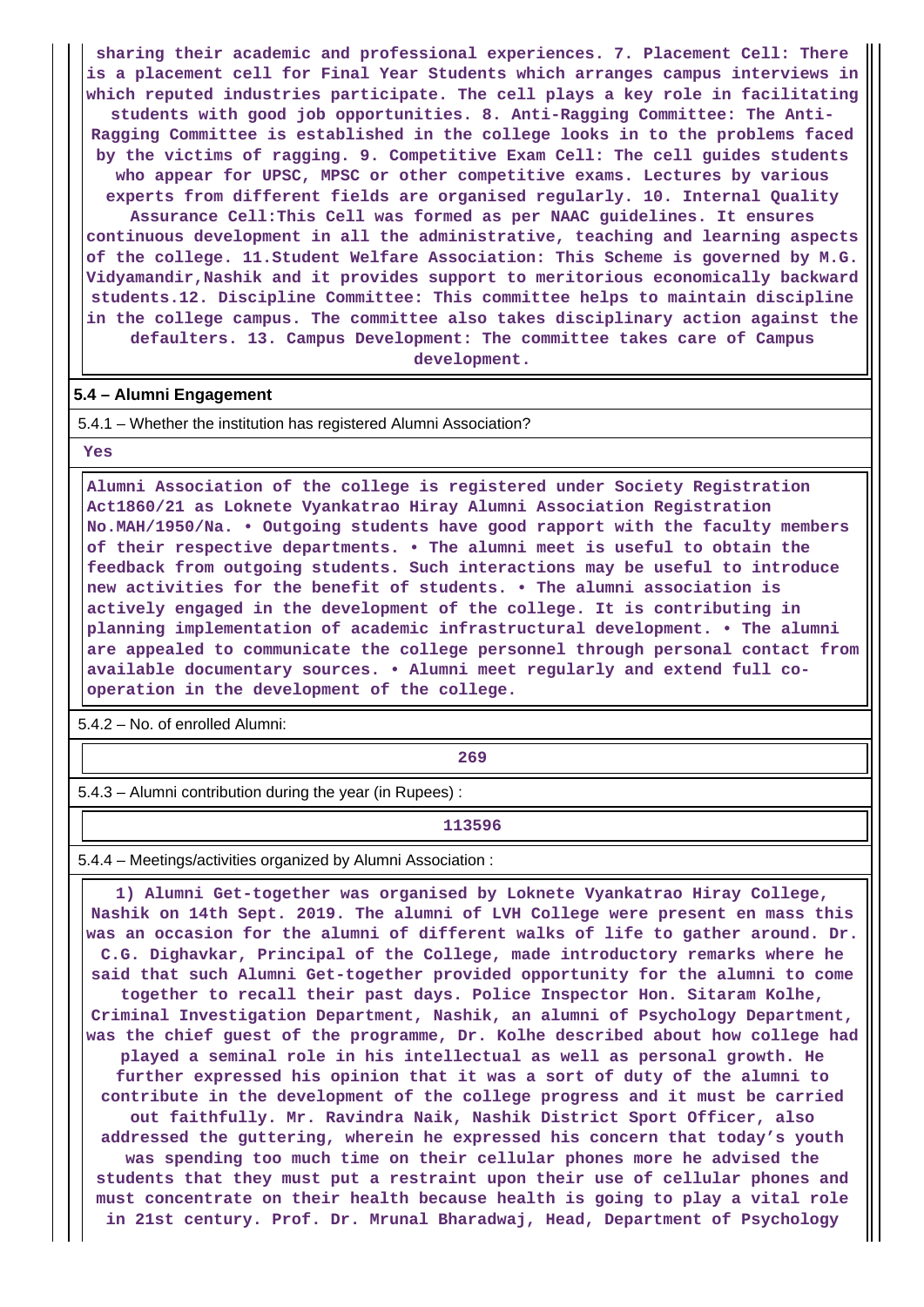**sharing their academic and professional experiences. 7. Placement Cell: There is a placement cell for Final Year Students which arranges campus interviews in which reputed industries participate. The cell plays a key role in facilitating students with good job opportunities. 8. Anti-Ragging Committee: The Anti-Ragging Committee is established in the college looks in to the problems faced by the victims of ragging. 9. Competitive Exam Cell: The cell guides students who appear for UPSC, MPSC or other competitive exams. Lectures by various experts from different fields are organised regularly. 10. Internal Quality Assurance Cell:This Cell was formed as per NAAC guidelines. It ensures continuous development in all the administrative, teaching and learning aspects of the college. 11.Student Welfare Association: This Scheme is governed by M.G. Vidyamandir,Nashik and it provides support to meritorious economically backward students.12. Discipline Committee: This committee helps to maintain discipline in the college campus. The committee also takes disciplinary action against the defaulters. 13. Campus Development: The committee takes care of Campus development.**

#### **5.4 – Alumni Engagement**

5.4.1 – Whether the institution has registered Alumni Association?

 **Yes**

 **Alumni Association of the college is registered under Society Registration Act1860/21 as Loknete Vyankatrao Hiray Alumni Association Registration No.MAH/1950/Na. • Outgoing students have good rapport with the faculty members of their respective departments. • The alumni meet is useful to obtain the feedback from outgoing students. Such interactions may be useful to introduce new activities for the benefit of students. • The alumni association is actively engaged in the development of the college. It is contributing in planning implementation of academic infrastructural development. • The alumni are appealed to communicate the college personnel through personal contact from available documentary sources. • Alumni meet regularly and extend full cooperation in the development of the college.**

5.4.2 – No. of enrolled Alumni:

**269**<br>269

5.4.3 – Alumni contribution during the year (in Rupees) :

**113596**

5.4.4 – Meetings/activities organized by Alumni Association :

 **1) Alumni Get-together was organised by Loknete Vyankatrao Hiray College, Nashik on 14th Sept. 2019. The alumni of LVH College were present en mass this was an occasion for the alumni of different walks of life to gather around. Dr. C.G. Dighavkar, Principal of the College, made introductory remarks where he said that such Alumni Get-together provided opportunity for the alumni to come together to recall their past days. Police Inspector Hon. Sitaram Kolhe, Criminal Investigation Department, Nashik, an alumni of Psychology Department, was the chief guest of the programme, Dr. Kolhe described about how college had played a seminal role in his intellectual as well as personal growth. He further expressed his opinion that it was a sort of duty of the alumni to contribute in the development of the college progress and it must be carried out faithfully. Mr. Ravindra Naik, Nashik District Sport Officer, also addressed the guttering, wherein he expressed his concern that today's youth was spending too much time on their cellular phones more he advised the students that they must put a restraint upon their use of cellular phones and must concentrate on their health because health is going to play a vital role in 21st century. Prof. Dr. Mrunal Bharadwaj, Head, Department of Psychology**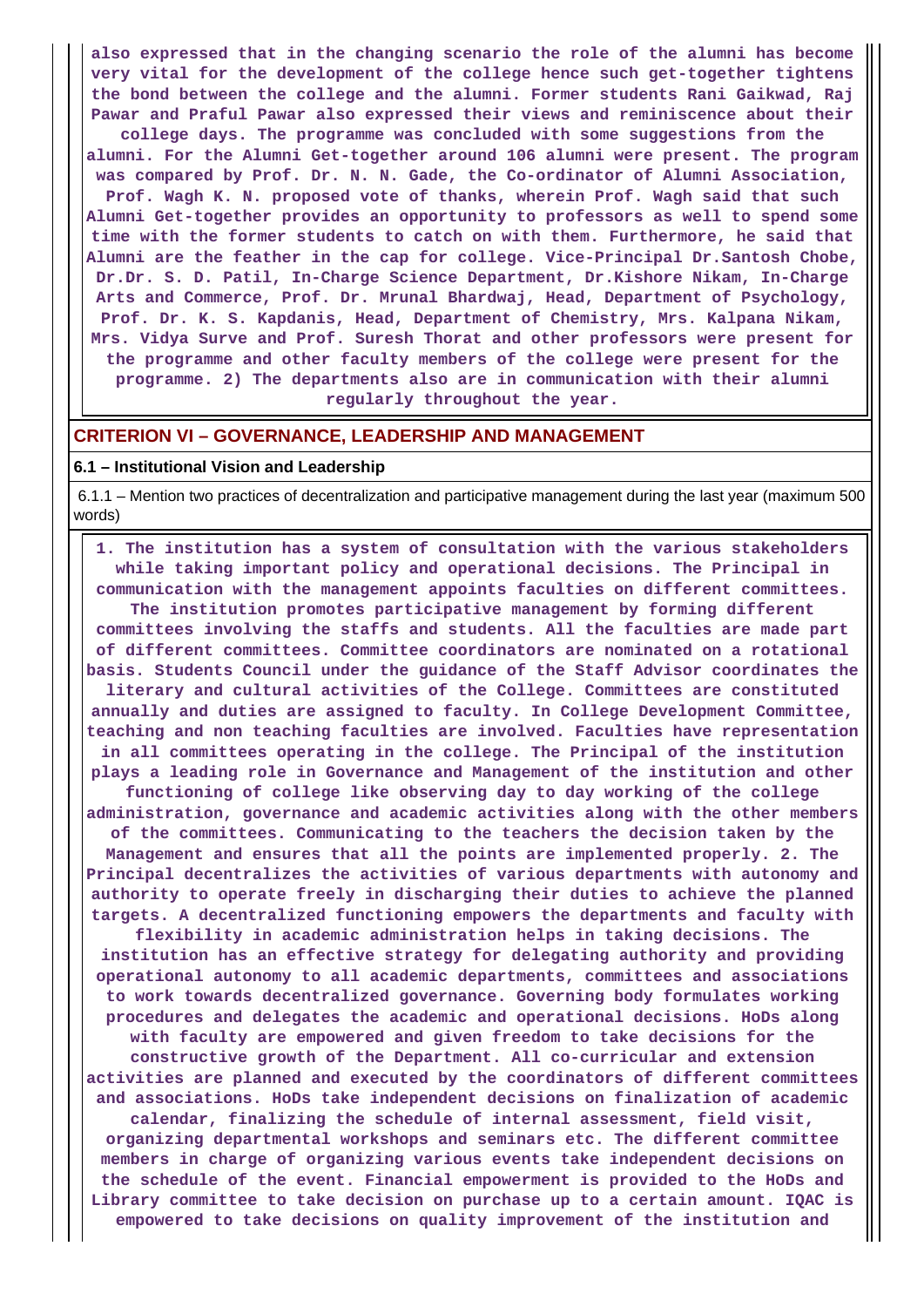**also expressed that in the changing scenario the role of the alumni has become very vital for the development of the college hence such get-together tightens the bond between the college and the alumni. Former students Rani Gaikwad, Raj Pawar and Praful Pawar also expressed their views and reminiscence about their college days. The programme was concluded with some suggestions from the alumni. For the Alumni Get-together around 106 alumni were present. The program was compared by Prof. Dr. N. N. Gade, the Co-ordinator of Alumni Association, Prof. Wagh K. N. proposed vote of thanks, wherein Prof. Wagh said that such Alumni Get-together provides an opportunity to professors as well to spend some time with the former students to catch on with them. Furthermore, he said that Alumni are the feather in the cap for college. Vice-Principal Dr.Santosh Chobe, Dr.Dr. S. D. Patil, In-Charge Science Department, Dr.Kishore Nikam, In-Charge Arts and Commerce, Prof. Dr. Mrunal Bhardwaj, Head, Department of Psychology, Prof. Dr. K. S. Kapdanis, Head, Department of Chemistry, Mrs. Kalpana Nikam, Mrs. Vidya Surve and Prof. Suresh Thorat and other professors were present for the programme and other faculty members of the college were present for the programme. 2) The departments also are in communication with their alumni regularly throughout the year.**

## **CRITERION VI – GOVERNANCE, LEADERSHIP AND MANAGEMENT**

#### **6.1 – Institutional Vision and Leadership**

 6.1.1 – Mention two practices of decentralization and participative management during the last year (maximum 500 words)

 **1. The institution has a system of consultation with the various stakeholders while taking important policy and operational decisions. The Principal in communication with the management appoints faculties on different committees. The institution promotes participative management by forming different committees involving the staffs and students. All the faculties are made part of different committees. Committee coordinators are nominated on a rotational basis. Students Council under the guidance of the Staff Advisor coordinates the literary and cultural activities of the College. Committees are constituted annually and duties are assigned to faculty. In College Development Committee, teaching and non teaching faculties are involved. Faculties have representation in all committees operating in the college. The Principal of the institution plays a leading role in Governance and Management of the institution and other functioning of college like observing day to day working of the college administration, governance and academic activities along with the other members of the committees. Communicating to the teachers the decision taken by the Management and ensures that all the points are implemented properly. 2. The Principal decentralizes the activities of various departments with autonomy and authority to operate freely in discharging their duties to achieve the planned targets. A decentralized functioning empowers the departments and faculty with flexibility in academic administration helps in taking decisions. The institution has an effective strategy for delegating authority and providing operational autonomy to all academic departments, committees and associations to work towards decentralized governance. Governing body formulates working procedures and delegates the academic and operational decisions. HoDs along with faculty are empowered and given freedom to take decisions for the constructive growth of the Department. All co-curricular and extension activities are planned and executed by the coordinators of different committees and associations. HoDs take independent decisions on finalization of academic calendar, finalizing the schedule of internal assessment, field visit, organizing departmental workshops and seminars etc. The different committee members in charge of organizing various events take independent decisions on the schedule of the event. Financial empowerment is provided to the HoDs and Library committee to take decision on purchase up to a certain amount. IQAC is empowered to take decisions on quality improvement of the institution and**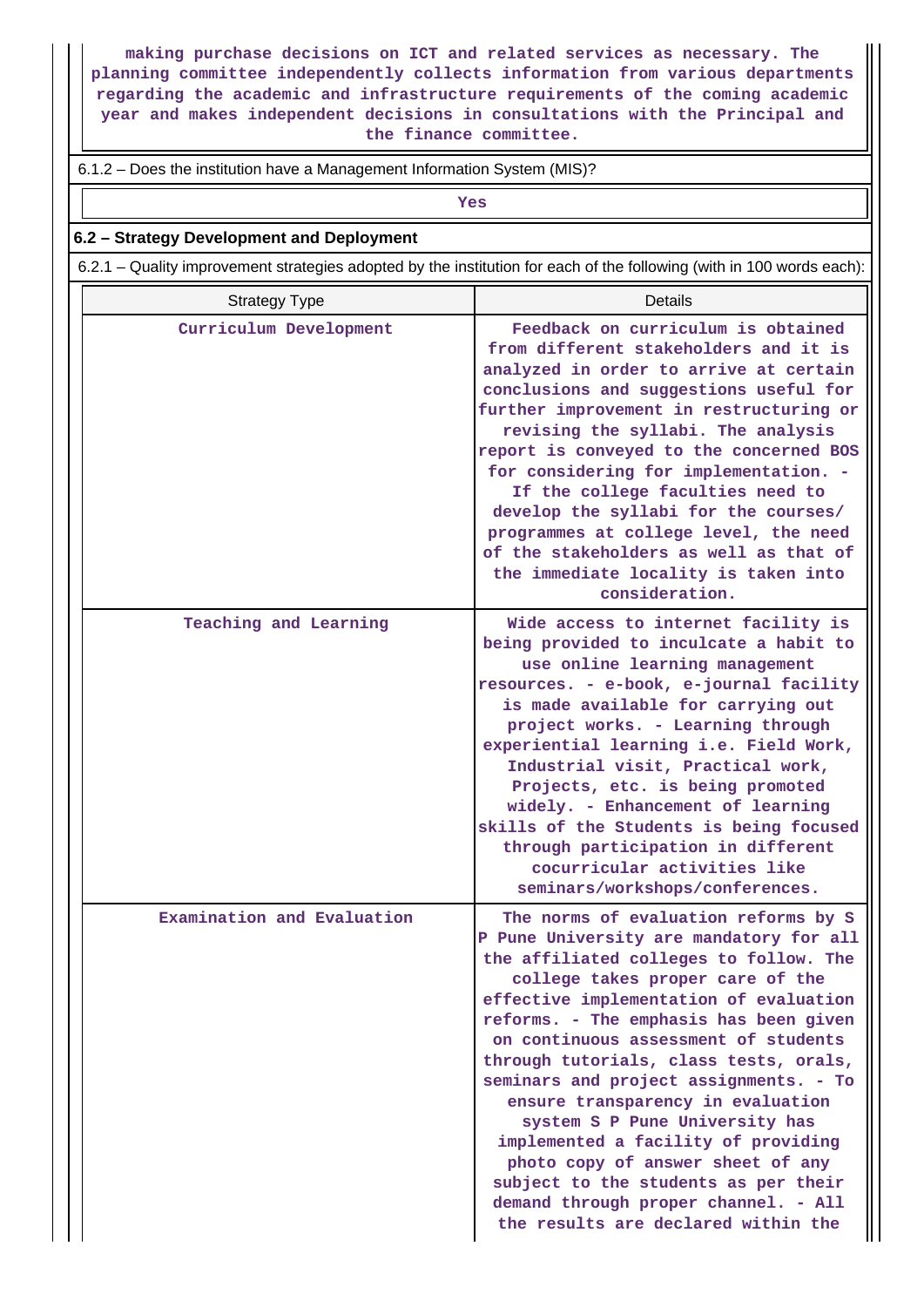**making purchase decisions on ICT and related services as necessary. The planning committee independently collects information from various departments regarding the academic and infrastructure requirements of the coming academic year and makes independent decisions in consultations with the Principal and the finance committee.**

#### 6.1.2 – Does the institution have a Management Information System (MIS)?

*Yes* 

## **6.2 – Strategy Development and Deployment**

6.2.1 – Quality improvement strategies adopted by the institution for each of the following (with in 100 words each):

| <b>Strategy Type</b>       | <b>Details</b>                                                                                                                                                                                                                                                                                                                                                                                                                                                                                                                                                                                                                                          |
|----------------------------|---------------------------------------------------------------------------------------------------------------------------------------------------------------------------------------------------------------------------------------------------------------------------------------------------------------------------------------------------------------------------------------------------------------------------------------------------------------------------------------------------------------------------------------------------------------------------------------------------------------------------------------------------------|
| Curriculum Development     | Feedback on curriculum is obtained<br>from different stakeholders and it is<br>analyzed in order to arrive at certain<br>conclusions and suggestions useful for<br>further improvement in restructuring or<br>revising the syllabi. The analysis<br>report is conveyed to the concerned BOS<br>for considering for implementation. -<br>If the college faculties need to<br>develop the syllabi for the courses/<br>programmes at college level, the need<br>of the stakeholders as well as that of<br>the immediate locality is taken into<br>consideration.                                                                                           |
| Teaching and Learning      | Wide access to internet facility is<br>being provided to inculcate a habit to<br>use online learning management<br>resources. - e-book, e-journal facility<br>is made available for carrying out<br>project works. - Learning through<br>experiential learning i.e. Field Work,<br>Industrial visit, Practical work,<br>Projects, etc. is being promoted<br>widely. - Enhancement of learning<br>skills of the Students is being focused<br>through participation in different<br>cocurricular activities like<br>seminars/workshops/conferences.                                                                                                       |
| Examination and Evaluation | The norms of evaluation reforms by S<br>P Pune University are mandatory for all<br>the affiliated colleges to follow. The<br>college takes proper care of the<br>effective implementation of evaluation<br>reforms. - The emphasis has been given<br>on continuous assessment of students<br>through tutorials, class tests, orals,<br>seminars and project assignments. - To<br>ensure transparency in evaluation<br>system S P Pune University has<br>implemented a facility of providing<br>photo copy of answer sheet of any<br>subject to the students as per their<br>demand through proper channel. - All<br>the results are declared within the |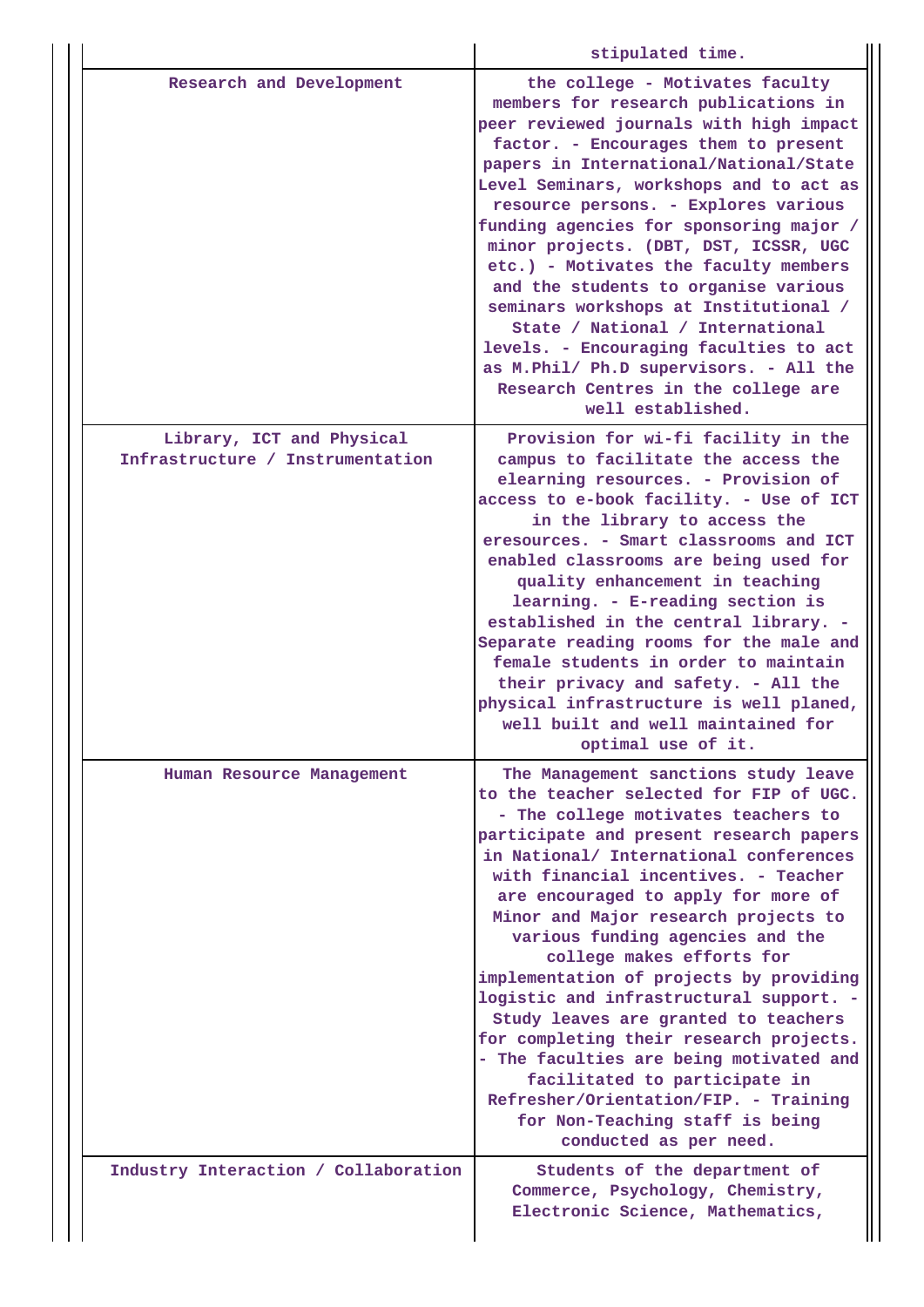|                                                               | stipulated time.                                                                                                                                                                                                                                                                                                                                                                                                                                                                                                                                                                                                                                                                                                                                               |
|---------------------------------------------------------------|----------------------------------------------------------------------------------------------------------------------------------------------------------------------------------------------------------------------------------------------------------------------------------------------------------------------------------------------------------------------------------------------------------------------------------------------------------------------------------------------------------------------------------------------------------------------------------------------------------------------------------------------------------------------------------------------------------------------------------------------------------------|
| Research and Development                                      | the college - Motivates faculty<br>members for research publications in<br>peer reviewed journals with high impact<br>factor. - Encourages them to present<br>papers in International/National/State<br>Level Seminars, workshops and to act as<br>resource persons. - Explores various<br>funding agencies for sponsoring major /<br>minor projects. (DBT, DST, ICSSR, UGC<br>etc.) - Motivates the faculty members<br>and the students to organise various<br>seminars workshops at Institutional /<br>State / National / International<br>levels. - Encouraging faculties to act<br>as M. Phil/ Ph.D supervisors. - All the<br>Research Centres in the college are<br>well established.                                                                     |
| Library, ICT and Physical<br>Infrastructure / Instrumentation | Provision for wi-fi facility in the<br>campus to facilitate the access the<br>elearning resources. - Provision of<br>access to e-book facility. - Use of ICT<br>in the library to access the<br>eresources. - Smart classrooms and ICT<br>enabled classrooms are being used for<br>quality enhancement in teaching<br>learning. - E-reading section is<br>established in the central library. -<br>Separate reading rooms for the male and<br>female students in order to maintain<br>their privacy and safety. - All the<br>physical infrastructure is well planed,<br>well built and well maintained for<br>optimal use of it.                                                                                                                               |
| Human Resource Management                                     | The Management sanctions study leave<br>to the teacher selected for FIP of UGC.<br>- The college motivates teachers to<br>participate and present research papers<br>in National/ International conferences<br>with financial incentives. - Teacher<br>are encouraged to apply for more of<br>Minor and Major research projects to<br>various funding agencies and the<br>college makes efforts for<br>implementation of projects by providing<br>logistic and infrastructural support. -<br>Study leaves are granted to teachers<br>for completing their research projects.<br>- The faculties are being motivated and<br>facilitated to participate in<br>Refresher/Orientation/FIP. - Training<br>for Non-Teaching staff is being<br>conducted as per need. |
| Industry Interaction / Collaboration                          | Students of the department of<br>Commerce, Psychology, Chemistry,<br>Electronic Science, Mathematics,                                                                                                                                                                                                                                                                                                                                                                                                                                                                                                                                                                                                                                                          |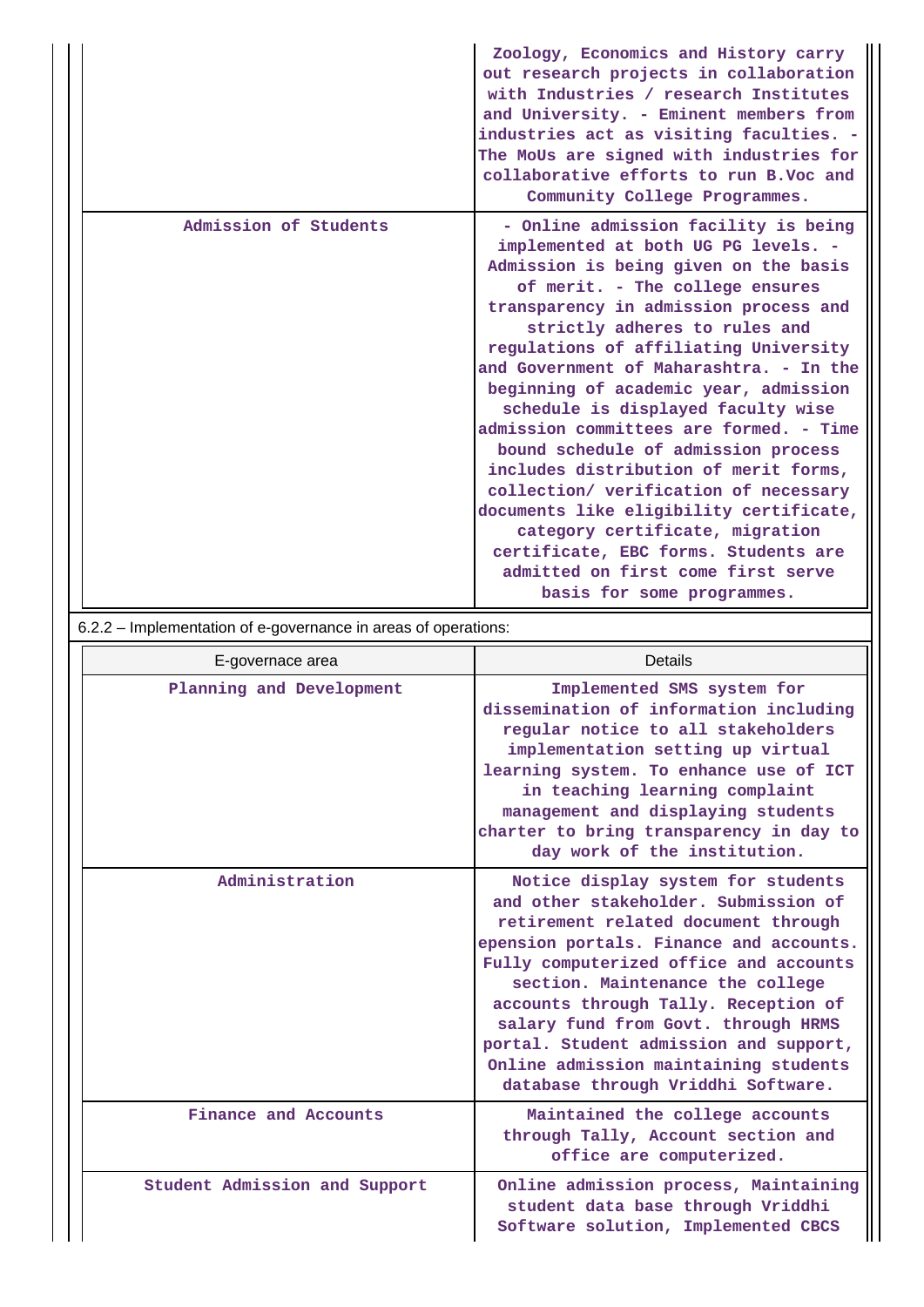|                       | Zoology, Economics and History carry<br>out research projects in collaboration<br>with Industries / research Institutes<br>and University. - Eminent members from<br>industries act as visiting faculties. -<br>The MoUs are signed with industries for<br>collaborative efforts to run B.Voc and<br>Community College Programmes.                                                                                                                                                                                                                                                                                                                                                                                                                                 |
|-----------------------|--------------------------------------------------------------------------------------------------------------------------------------------------------------------------------------------------------------------------------------------------------------------------------------------------------------------------------------------------------------------------------------------------------------------------------------------------------------------------------------------------------------------------------------------------------------------------------------------------------------------------------------------------------------------------------------------------------------------------------------------------------------------|
| Admission of Students | - Online admission facility is being<br>implemented at both UG PG levels. -<br>Admission is being given on the basis<br>of merit. - The college ensures<br>transparency in admission process and<br>strictly adheres to rules and<br>regulations of affiliating University<br>and Government of Maharashtra. - In the<br>beginning of academic year, admission<br>schedule is displayed faculty wise<br>admission committees are formed. - Time<br>bound schedule of admission process<br>includes distribution of merit forms,<br>collection/ verification of necessary<br>documents like eligibility certificate,<br>category certificate, migration<br>certificate, EBC forms. Students are<br>admitted on first come first serve<br>basis for some programmes. |

# 6.2.2 – Implementation of e-governance in areas of operations:

| E-governace area              | Details                                                                                                                                                                                                                                                                                                                                                                                                                                            |
|-------------------------------|----------------------------------------------------------------------------------------------------------------------------------------------------------------------------------------------------------------------------------------------------------------------------------------------------------------------------------------------------------------------------------------------------------------------------------------------------|
| Planning and Development      | Implemented SMS system for<br>dissemination of information including<br>regular notice to all stakeholders<br>implementation setting up virtual<br>learning system. To enhance use of ICT<br>in teaching learning complaint<br>management and displaying students<br>charter to bring transparency in day to<br>day work of the institution.                                                                                                       |
| Administration                | Notice display system for students<br>and other stakeholder. Submission of<br>retirement related document through<br>epension portals. Finance and accounts.<br>Fully computerized office and accounts<br>section. Maintenance the college<br>accounts through Tally. Reception of<br>salary fund from Govt. through HRMS<br>portal. Student admission and support,<br>Online admission maintaining students<br>database through Vriddhi Software. |
| Finance and Accounts          | Maintained the college accounts<br>through Tally, Account section and<br>office are computerized.                                                                                                                                                                                                                                                                                                                                                  |
| Student Admission and Support | Online admission process, Maintaining<br>student data base through Vriddhi<br>Software solution, Implemented CBCS                                                                                                                                                                                                                                                                                                                                  |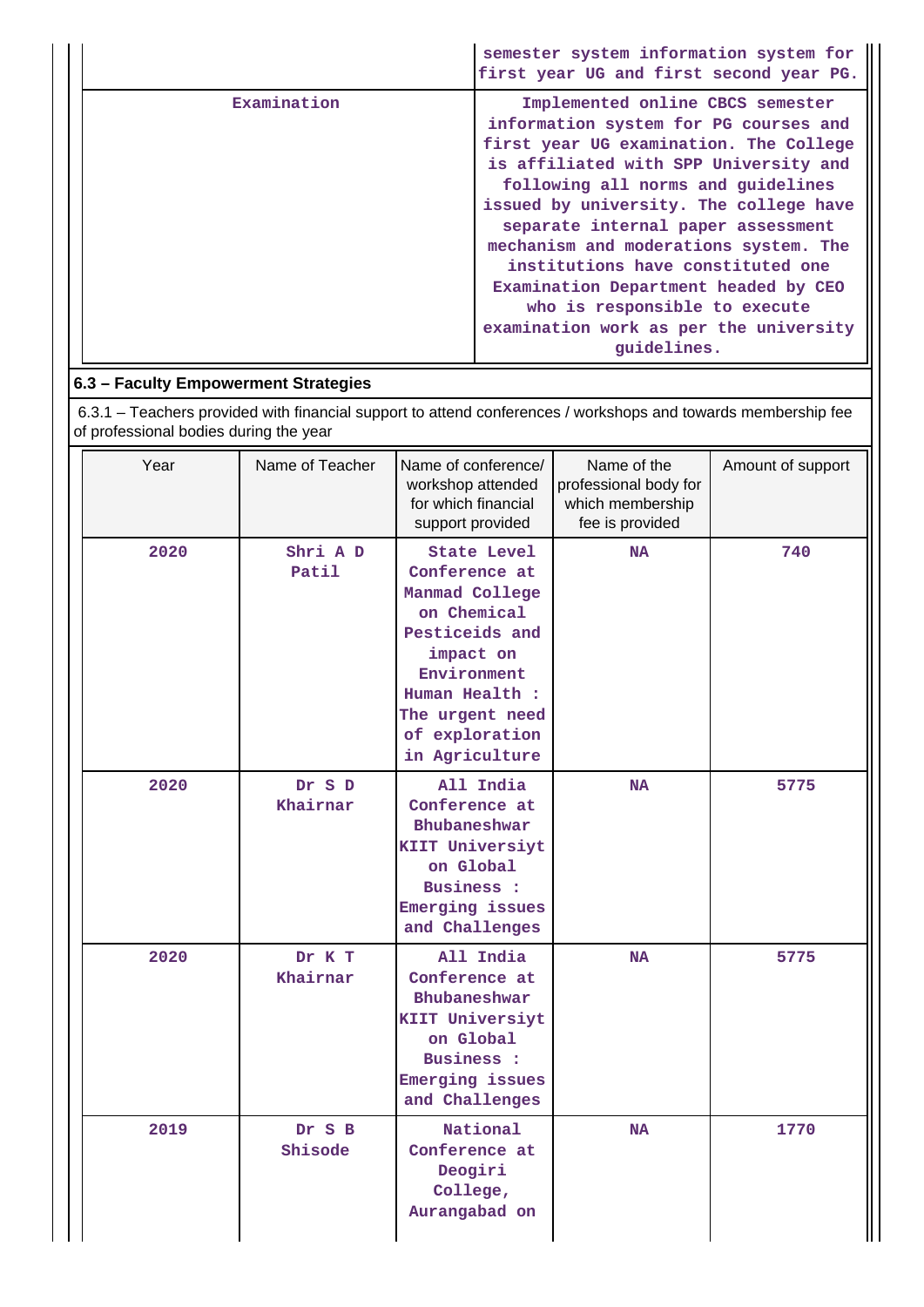|  |             | semester system information system for<br>first year UG and first second year PG.                                                                                                                                                                                                                                                                                                                                                                                                                  |
|--|-------------|----------------------------------------------------------------------------------------------------------------------------------------------------------------------------------------------------------------------------------------------------------------------------------------------------------------------------------------------------------------------------------------------------------------------------------------------------------------------------------------------------|
|  | Examination | Implemented online CBCS semester<br>information system for PG courses and<br>first year UG examination. The College<br>is affiliated with SPP University and<br>following all norms and guidelines<br>issued by university. The college have<br>separate internal paper assessment<br>mechanism and moderations system. The<br>institutions have constituted one<br>Examination Department headed by CEO<br>who is responsible to execute<br>examination work as per the university<br>quidelines. |
|  |             |                                                                                                                                                                                                                                                                                                                                                                                                                                                                                                    |

## **6.3 – Faculty Empowerment Strategies**

 6.3.1 – Teachers provided with financial support to attend conferences / workshops and towards membership fee of professional bodies during the year

| Year | Name of Teacher    | Name of conference/<br>workshop attended<br>for which financial<br>support provided                                                                                                         | Name of the<br>professional body for<br>which membership<br>fee is provided | Amount of support |
|------|--------------------|---------------------------------------------------------------------------------------------------------------------------------------------------------------------------------------------|-----------------------------------------------------------------------------|-------------------|
| 2020 | Shri A D<br>Patil  | <b>State Level</b><br>Conference at<br>Manmad College<br>on Chemical<br>Pesticeids and<br>impact on<br>Environment<br>Human Health :<br>The urgent need<br>of exploration<br>in Agriculture | <b>NA</b>                                                                   | 740               |
| 2020 | Dr S D<br>Khairnar | All India<br>Conference at<br>Bhubaneshwar<br>KIIT Universiyt<br>on Global<br>Business :<br>Emerging issues<br>and Challenges                                                               | <b>NA</b>                                                                   | 5775              |
| 2020 | Dr K T<br>Khairnar | All India<br>Conference at<br>Bhubaneshwar<br>KIIT Universiyt<br>on Global<br><b>Business:</b><br>Emerging issues<br>and Challenges                                                         | <b>NA</b>                                                                   | 5775              |
| 2019 | Dr S B<br>Shisode  | National<br>Conference at<br>Deogiri<br>College,<br>Aurangabad on                                                                                                                           | <b>NA</b>                                                                   | 1770              |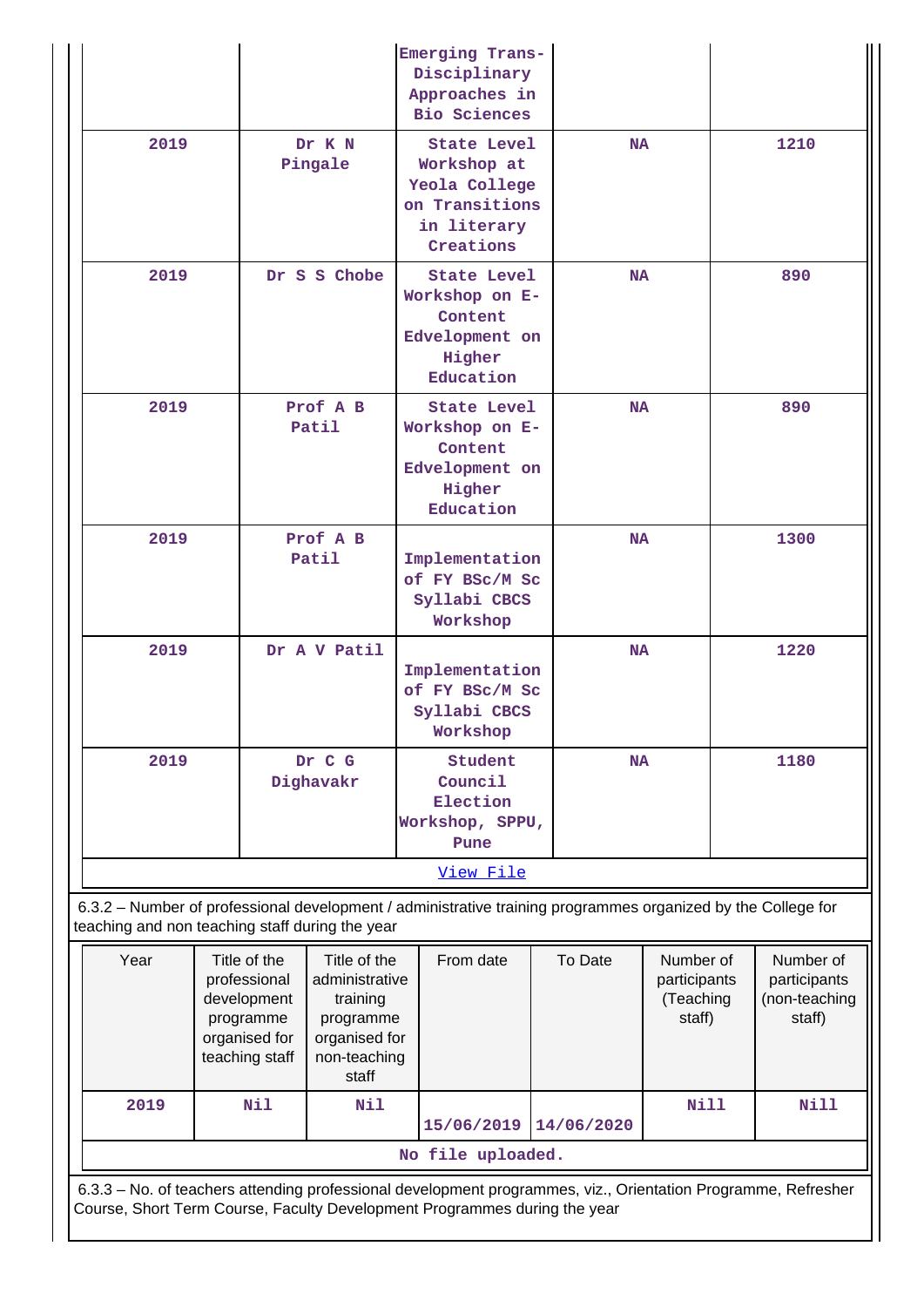|                                                 |                                                                                                                                                       |                     | Emerging Trans-<br>Disciplinary<br>Approaches in<br><b>Bio Sciences</b>                                      |           |                                                  |  |                                                      |
|-------------------------------------------------|-------------------------------------------------------------------------------------------------------------------------------------------------------|---------------------|--------------------------------------------------------------------------------------------------------------|-----------|--------------------------------------------------|--|------------------------------------------------------|
| 2019                                            | Dr K N<br>Pingale                                                                                                                                     |                     | <b>State Level</b><br>Workshop at<br>Yeola College<br>on Transitions<br>in literary<br>Creations             |           | <b>NA</b>                                        |  | 1210                                                 |
| 2019                                            | Dr S S Chobe                                                                                                                                          |                     | State Level<br>Workshop on E-<br>Content<br>Edvelopment on<br>Higher<br>Education                            |           | <b>NA</b>                                        |  | 890                                                  |
| 2019                                            | Prof A B<br>Patil                                                                                                                                     |                     | <b>State Level</b><br>Workshop on E-<br>Content<br>Edvelopment on<br>Higher<br>Education                     |           | <b>NA</b>                                        |  | 890                                                  |
| 2019                                            | Prof A B<br>Patil                                                                                                                                     |                     | Implementation<br>of FY BSc/M Sc<br>Syllabi CBCS<br>Workshop                                                 | <b>NA</b> |                                                  |  | 1300                                                 |
| 2019                                            |                                                                                                                                                       | Dr A V Patil        | Implementation<br>of FY BSc/M Sc<br>Syllabi CBCS<br>Workshop                                                 |           | <b>NA</b>                                        |  | 1220                                                 |
| 2019                                            |                                                                                                                                                       | Dr C G<br>Dighavakr | Student<br>Council<br>Election<br>Workshop, SPPU,<br>Pune                                                    |           | <b>NA</b>                                        |  | 1180                                                 |
|                                                 |                                                                                                                                                       |                     | View File                                                                                                    |           |                                                  |  |                                                      |
| teaching and non teaching staff during the year |                                                                                                                                                       |                     | 6.3.2 - Number of professional development / administrative training programmes organized by the College for |           |                                                  |  |                                                      |
| Year                                            | Title of the<br>Title of the<br>professional<br>administrative<br>development<br>training<br>programme<br>programme<br>organised for<br>organised for |                     | From date                                                                                                    | To Date   | Number of<br>participants<br>(Teaching<br>staff) |  | Number of<br>participants<br>(non-teaching<br>staff) |

|                   | organised for<br>teaching staff | I organised for<br>non-teaching<br>staff |                       |                                                                                                     |      |      |  |  |  |
|-------------------|---------------------------------|------------------------------------------|-----------------------|-----------------------------------------------------------------------------------------------------|------|------|--|--|--|
| 2019              | Nil                             | Nil                                      | 15/06/2019 14/06/2020 |                                                                                                     | Nill | Nill |  |  |  |
| No file uploaded. |                                 |                                          |                       |                                                                                                     |      |      |  |  |  |
|                   |                                 |                                          |                       | 622 No of topohors attending professional development programmes viz Orientation Programme Petrophe |      |      |  |  |  |

 6.3.3 – No. of teachers attending professional development programmes, viz., Orientation Programme, Refresher Course, Short Term Course, Faculty Development Programmes during the year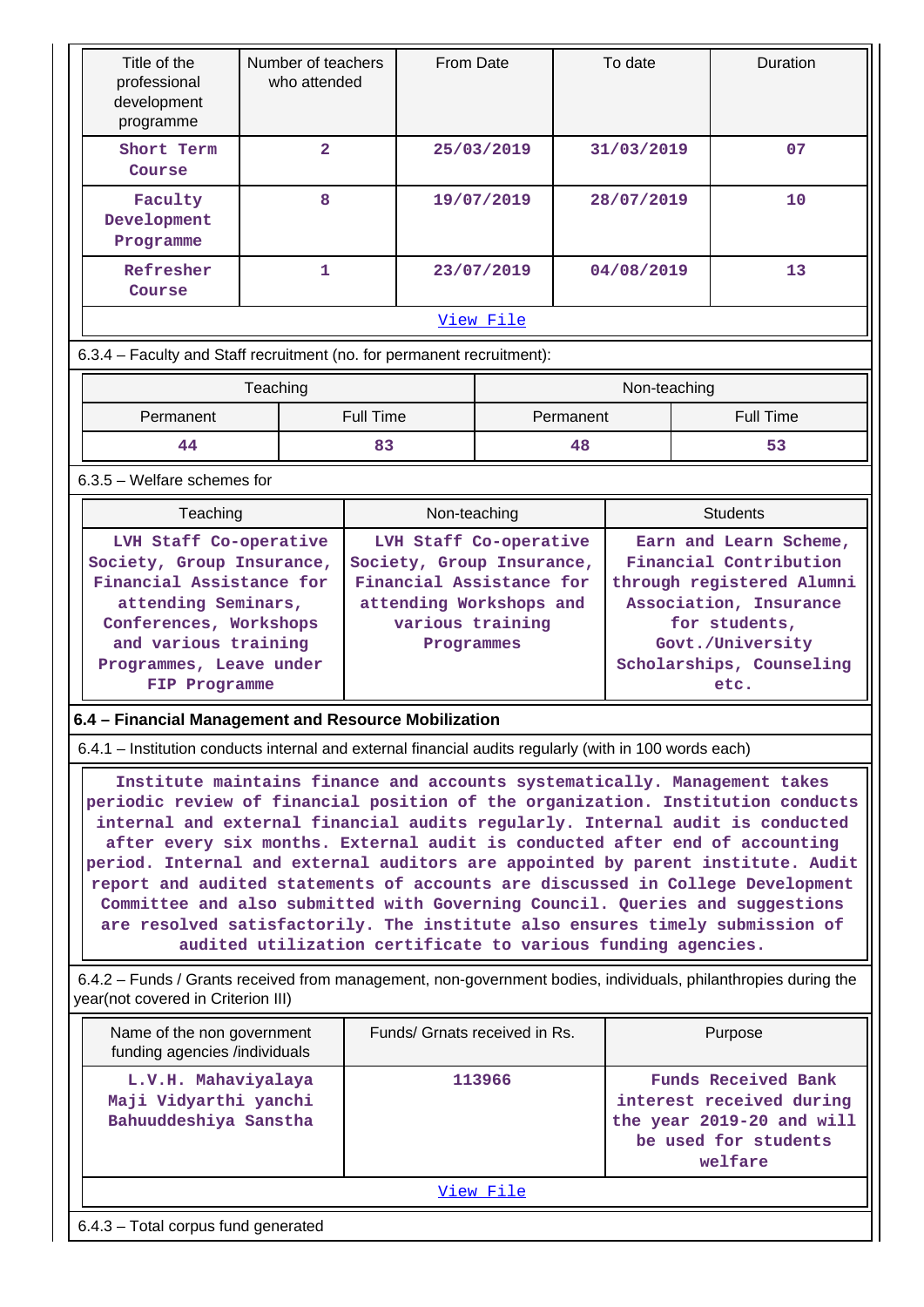| Title of the<br>professional<br>development<br>programme                                                                                                                                                                                                                                                                                                                                                                                                                                                                                                                                                                                                                                                                          | Number of teachers<br>who attended |                |                                                                                                                                              | From Date                     |            | To date                                                                                                                                                                          |              |                                                                                                                        | Duration         |
|-----------------------------------------------------------------------------------------------------------------------------------------------------------------------------------------------------------------------------------------------------------------------------------------------------------------------------------------------------------------------------------------------------------------------------------------------------------------------------------------------------------------------------------------------------------------------------------------------------------------------------------------------------------------------------------------------------------------------------------|------------------------------------|----------------|----------------------------------------------------------------------------------------------------------------------------------------------|-------------------------------|------------|----------------------------------------------------------------------------------------------------------------------------------------------------------------------------------|--------------|------------------------------------------------------------------------------------------------------------------------|------------------|
| Short Term<br>Course                                                                                                                                                                                                                                                                                                                                                                                                                                                                                                                                                                                                                                                                                                              |                                    | $\overline{2}$ |                                                                                                                                              |                               | 25/03/2019 |                                                                                                                                                                                  | 31/03/2019   |                                                                                                                        | 07               |
| Faculty<br>Development<br>Programme                                                                                                                                                                                                                                                                                                                                                                                                                                                                                                                                                                                                                                                                                               |                                    | 8              |                                                                                                                                              |                               | 19/07/2019 |                                                                                                                                                                                  | 28/07/2019   |                                                                                                                        | 10               |
| Refresher<br>Course                                                                                                                                                                                                                                                                                                                                                                                                                                                                                                                                                                                                                                                                                                               |                                    | 1.             |                                                                                                                                              |                               | 23/07/2019 |                                                                                                                                                                                  | 04/08/2019   |                                                                                                                        | 13               |
| View File                                                                                                                                                                                                                                                                                                                                                                                                                                                                                                                                                                                                                                                                                                                         |                                    |                |                                                                                                                                              |                               |            |                                                                                                                                                                                  |              |                                                                                                                        |                  |
| 6.3.4 - Faculty and Staff recruitment (no. for permanent recruitment):                                                                                                                                                                                                                                                                                                                                                                                                                                                                                                                                                                                                                                                            |                                    |                |                                                                                                                                              |                               |            |                                                                                                                                                                                  |              |                                                                                                                        |                  |
|                                                                                                                                                                                                                                                                                                                                                                                                                                                                                                                                                                                                                                                                                                                                   | Teaching                           |                |                                                                                                                                              |                               |            |                                                                                                                                                                                  | Non-teaching |                                                                                                                        |                  |
| Permanent                                                                                                                                                                                                                                                                                                                                                                                                                                                                                                                                                                                                                                                                                                                         |                                    |                | <b>Full Time</b>                                                                                                                             |                               |            | Permanent                                                                                                                                                                        |              |                                                                                                                        | <b>Full Time</b> |
| 44                                                                                                                                                                                                                                                                                                                                                                                                                                                                                                                                                                                                                                                                                                                                |                                    |                | 83                                                                                                                                           |                               |            | 48                                                                                                                                                                               |              |                                                                                                                        | 53               |
| 6.3.5 - Welfare schemes for                                                                                                                                                                                                                                                                                                                                                                                                                                                                                                                                                                                                                                                                                                       |                                    |                |                                                                                                                                              |                               |            |                                                                                                                                                                                  |              |                                                                                                                        |                  |
| Teaching                                                                                                                                                                                                                                                                                                                                                                                                                                                                                                                                                                                                                                                                                                                          |                                    |                |                                                                                                                                              | Non-teaching                  |            |                                                                                                                                                                                  |              |                                                                                                                        | <b>Students</b>  |
| LVH Staff Co-operative<br>Society, Group Insurance,<br>Financial Assistance for<br>attending Seminars,<br>Conferences, Workshops<br>and various training<br>Programmes, Leave under<br>FIP Programme                                                                                                                                                                                                                                                                                                                                                                                                                                                                                                                              |                                    |                | LVH Staff Co-operative<br>Society, Group Insurance,<br>Financial Assistance for<br>attending Workshops and<br>various training<br>Programmes |                               |            | Earn and Learn Scheme,<br>Financial Contribution<br>through registered Alumni<br>Association, Insurance<br>for students,<br>Govt./University<br>Scholarships, Counseling<br>etc. |              |                                                                                                                        |                  |
| 6.4 - Financial Management and Resource Mobilization                                                                                                                                                                                                                                                                                                                                                                                                                                                                                                                                                                                                                                                                              |                                    |                |                                                                                                                                              |                               |            |                                                                                                                                                                                  |              |                                                                                                                        |                  |
| 6.4.1 - Institution conducts internal and external financial audits regularly (with in 100 words each)                                                                                                                                                                                                                                                                                                                                                                                                                                                                                                                                                                                                                            |                                    |                |                                                                                                                                              |                               |            |                                                                                                                                                                                  |              |                                                                                                                        |                  |
| Institute maintains finance and accounts systematically. Management takes<br>periodic review of financial position of the organization. Institution conducts<br>internal and external financial audits regularly. Internal audit is conducted<br>after every six months. External audit is conducted after end of accounting<br>period. Internal and external auditors are appointed by parent institute. Audit<br>report and audited statements of accounts are discussed in College Development<br>Committee and also submitted with Governing Council. Queries and suggestions<br>are resolved satisfactorily. The institute also ensures timely submission of<br>audited utilization certificate to various funding agencies. |                                    |                |                                                                                                                                              |                               |            |                                                                                                                                                                                  |              |                                                                                                                        |                  |
| 6.4.2 – Funds / Grants received from management, non-government bodies, individuals, philanthropies during the<br>year(not covered in Criterion III)                                                                                                                                                                                                                                                                                                                                                                                                                                                                                                                                                                              |                                    |                |                                                                                                                                              |                               |            |                                                                                                                                                                                  |              |                                                                                                                        |                  |
| Name of the non government<br>funding agencies /individuals                                                                                                                                                                                                                                                                                                                                                                                                                                                                                                                                                                                                                                                                       |                                    |                |                                                                                                                                              | Funds/ Grnats received in Rs. |            |                                                                                                                                                                                  |              |                                                                                                                        | Purpose          |
| L.V.H. Mahaviyalaya<br>Maji Vidyarthi yanchi<br>Bahuuddeshiya Sanstha                                                                                                                                                                                                                                                                                                                                                                                                                                                                                                                                                                                                                                                             |                                    |                |                                                                                                                                              | 113966                        |            |                                                                                                                                                                                  |              | <b>Funds Received Bank</b><br>interest received during<br>the year 2019-20 and will<br>be used for students<br>welfare |                  |
|                                                                                                                                                                                                                                                                                                                                                                                                                                                                                                                                                                                                                                                                                                                                   |                                    |                |                                                                                                                                              |                               | View File  |                                                                                                                                                                                  |              |                                                                                                                        |                  |
| 6.4.3 - Total corpus fund generated                                                                                                                                                                                                                                                                                                                                                                                                                                                                                                                                                                                                                                                                                               |                                    |                |                                                                                                                                              |                               |            |                                                                                                                                                                                  |              |                                                                                                                        |                  |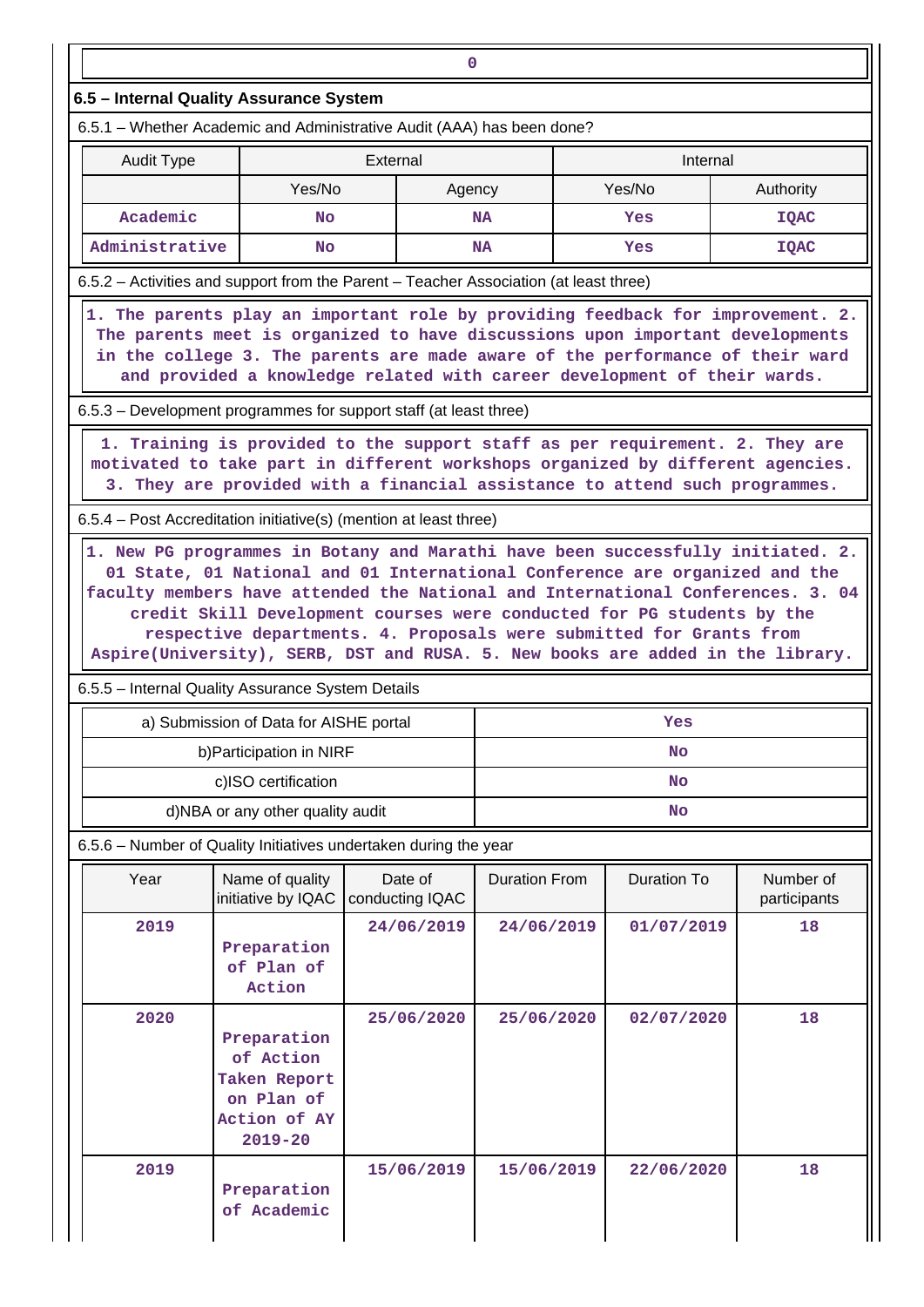|                                                                                                                                                                                                                                                                                                                               |                                                                                       | 0                          |                      |                    |                           |  |  |  |  |  |
|-------------------------------------------------------------------------------------------------------------------------------------------------------------------------------------------------------------------------------------------------------------------------------------------------------------------------------|---------------------------------------------------------------------------------------|----------------------------|----------------------|--------------------|---------------------------|--|--|--|--|--|
|                                                                                                                                                                                                                                                                                                                               | 6.5 - Internal Quality Assurance System                                               |                            |                      |                    |                           |  |  |  |  |  |
| 6.5.1 – Whether Academic and Administrative Audit (AAA) has been done?                                                                                                                                                                                                                                                        |                                                                                       |                            |                      |                    |                           |  |  |  |  |  |
| <b>Audit Type</b><br>External<br>Internal                                                                                                                                                                                                                                                                                     |                                                                                       |                            |                      |                    |                           |  |  |  |  |  |
| Yes/No<br>Yes/No<br>Authority<br>Agency                                                                                                                                                                                                                                                                                       |                                                                                       |                            |                      |                    |                           |  |  |  |  |  |
| Academic<br><b>No</b><br><b>NA</b><br>Yes<br><b>IOAC</b>                                                                                                                                                                                                                                                                      |                                                                                       |                            |                      |                    |                           |  |  |  |  |  |
| Administrative<br><b>IQAC</b><br><b>No</b><br><b>NA</b><br>Yes                                                                                                                                                                                                                                                                |                                                                                       |                            |                      |                    |                           |  |  |  |  |  |
| 6.5.2 - Activities and support from the Parent - Teacher Association (at least three)                                                                                                                                                                                                                                         |                                                                                       |                            |                      |                    |                           |  |  |  |  |  |
| 1. The parents play an important role by providing feedback for improvement. 2.<br>The parents meet is organized to have discussions upon important developments<br>in the college 3. The parents are made aware of the performance of their ward<br>and provided a knowledge related with career development of their wards. |                                                                                       |                            |                      |                    |                           |  |  |  |  |  |
|                                                                                                                                                                                                                                                                                                                               | 6.5.3 – Development programmes for support staff (at least three)                     |                            |                      |                    |                           |  |  |  |  |  |
| 1. Training is provided to the support staff as per requirement. 2. They are<br>motivated to take part in different workshops organized by different agencies.<br>3. They are provided with a financial assistance to attend such programmes.                                                                                 |                                                                                       |                            |                      |                    |                           |  |  |  |  |  |
|                                                                                                                                                                                                                                                                                                                               | 6.5.4 – Post Accreditation initiative(s) (mention at least three)                     |                            |                      |                    |                           |  |  |  |  |  |
| credit Skill Development courses were conducted for PG students by the<br>respective departments. 4. Proposals were submitted for Grants from<br>Aspire(University), SERB, DST and RUSA. 5. New books are added in the library.<br>6.5.5 - Internal Quality Assurance System Details                                          |                                                                                       |                            |                      |                    |                           |  |  |  |  |  |
|                                                                                                                                                                                                                                                                                                                               | a) Submission of Data for AISHE portal                                                |                            |                      | Yes                |                           |  |  |  |  |  |
|                                                                                                                                                                                                                                                                                                                               | b) Participation in NIRF                                                              |                            |                      | <b>No</b>          |                           |  |  |  |  |  |
|                                                                                                                                                                                                                                                                                                                               | c)ISO certification                                                                   |                            |                      | No                 |                           |  |  |  |  |  |
|                                                                                                                                                                                                                                                                                                                               | d)NBA or any other quality audit                                                      |                            |                      | No                 |                           |  |  |  |  |  |
|                                                                                                                                                                                                                                                                                                                               | 6.5.6 - Number of Quality Initiatives undertaken during the year                      |                            |                      |                    |                           |  |  |  |  |  |
| Year                                                                                                                                                                                                                                                                                                                          | Name of quality<br>initiative by IQAC                                                 | Date of<br>conducting IQAC | <b>Duration From</b> | <b>Duration To</b> | Number of<br>participants |  |  |  |  |  |
| 2019                                                                                                                                                                                                                                                                                                                          | Preparation<br>of Plan of<br>Action                                                   | 24/06/2019                 | 24/06/2019           | 01/07/2019         | 18                        |  |  |  |  |  |
| 2020                                                                                                                                                                                                                                                                                                                          | Preparation<br>of Action<br>Taken Report<br>on Plan of<br>Action of AY<br>$2019 - 20$ | 25/06/2020                 | 25/06/2020           | 02/07/2020         | 18                        |  |  |  |  |  |
| 2019                                                                                                                                                                                                                                                                                                                          | Preparation<br>of Academic                                                            | 15/06/2019                 | 15/06/2019           | 22/06/2020         | 18                        |  |  |  |  |  |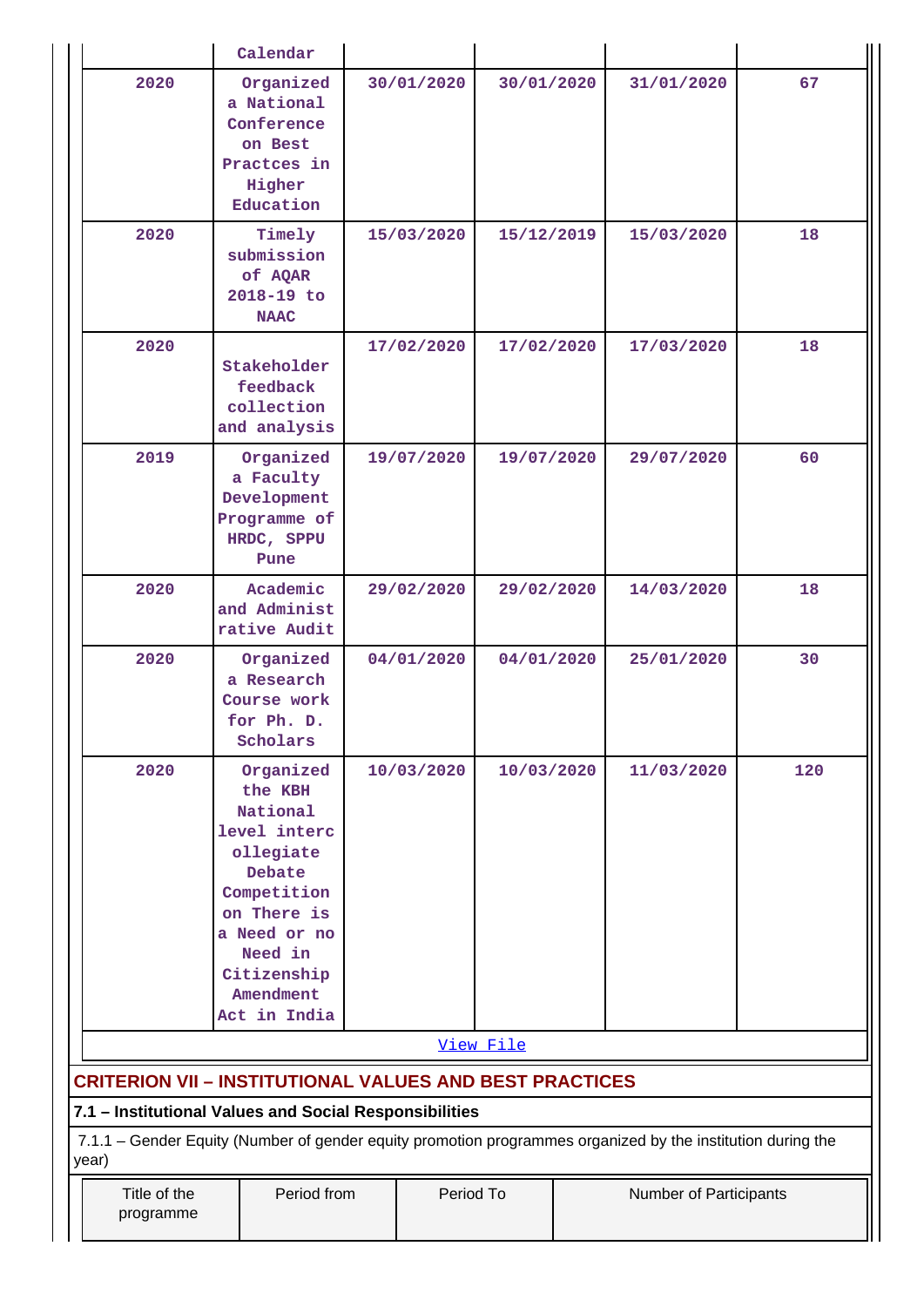|                                                                                                                                                                                | Calendar                                                                                                                                                                     |  |            |            |  |            |     |
|--------------------------------------------------------------------------------------------------------------------------------------------------------------------------------|------------------------------------------------------------------------------------------------------------------------------------------------------------------------------|--|------------|------------|--|------------|-----|
| 2020                                                                                                                                                                           | Organized<br>a National<br>Conference<br>on Best<br>Practces in<br>Higher<br>Education                                                                                       |  | 30/01/2020 | 30/01/2020 |  | 31/01/2020 | 67  |
| 2020                                                                                                                                                                           | Timely<br>submission<br>of AQAR<br>2018-19 to<br><b>NAAC</b>                                                                                                                 |  | 15/03/2020 | 15/12/2019 |  | 15/03/2020 | 18  |
| 2020                                                                                                                                                                           | Stakeholder<br>feedback<br>collection<br>and analysis                                                                                                                        |  | 17/02/2020 | 17/02/2020 |  | 17/03/2020 | 18  |
| 2019                                                                                                                                                                           | Organized<br>a Faculty<br>Development<br>Programme of<br>HRDC, SPPU<br>Pune                                                                                                  |  | 19/07/2020 | 19/07/2020 |  | 29/07/2020 | 60  |
| 2020                                                                                                                                                                           | Academic<br>and Administ<br>rative Audit                                                                                                                                     |  | 29/02/2020 | 29/02/2020 |  | 14/03/2020 | 18  |
| 2020                                                                                                                                                                           | Organized<br>a Research<br>Course work<br>for Ph. D.<br>Scholars                                                                                                             |  | 04/01/2020 | 04/01/2020 |  | 25/01/2020 | 30  |
| 2020                                                                                                                                                                           | Organized<br>the KBH<br>National<br>level interc<br>ollegiate<br>Debate<br>Competition<br>on There is<br>a Need or no<br>Need in<br>Citizenship<br>Amendment<br>Act in India |  | 10/03/2020 | 10/03/2020 |  | 11/03/2020 | 120 |
|                                                                                                                                                                                |                                                                                                                                                                              |  |            | View File  |  |            |     |
| <b>CRITERION VII - INSTITUTIONAL VALUES AND BEST PRACTICES</b>                                                                                                                 |                                                                                                                                                                              |  |            |            |  |            |     |
| 7.1 - Institutional Values and Social Responsibilities<br>7.1.1 – Gender Equity (Number of gender equity promotion programmes organized by the institution during the<br>year) |                                                                                                                                                                              |  |            |            |  |            |     |
| Title of the<br>programme                                                                                                                                                      | Period from<br>Period To<br>Number of Participants                                                                                                                           |  |            |            |  |            |     |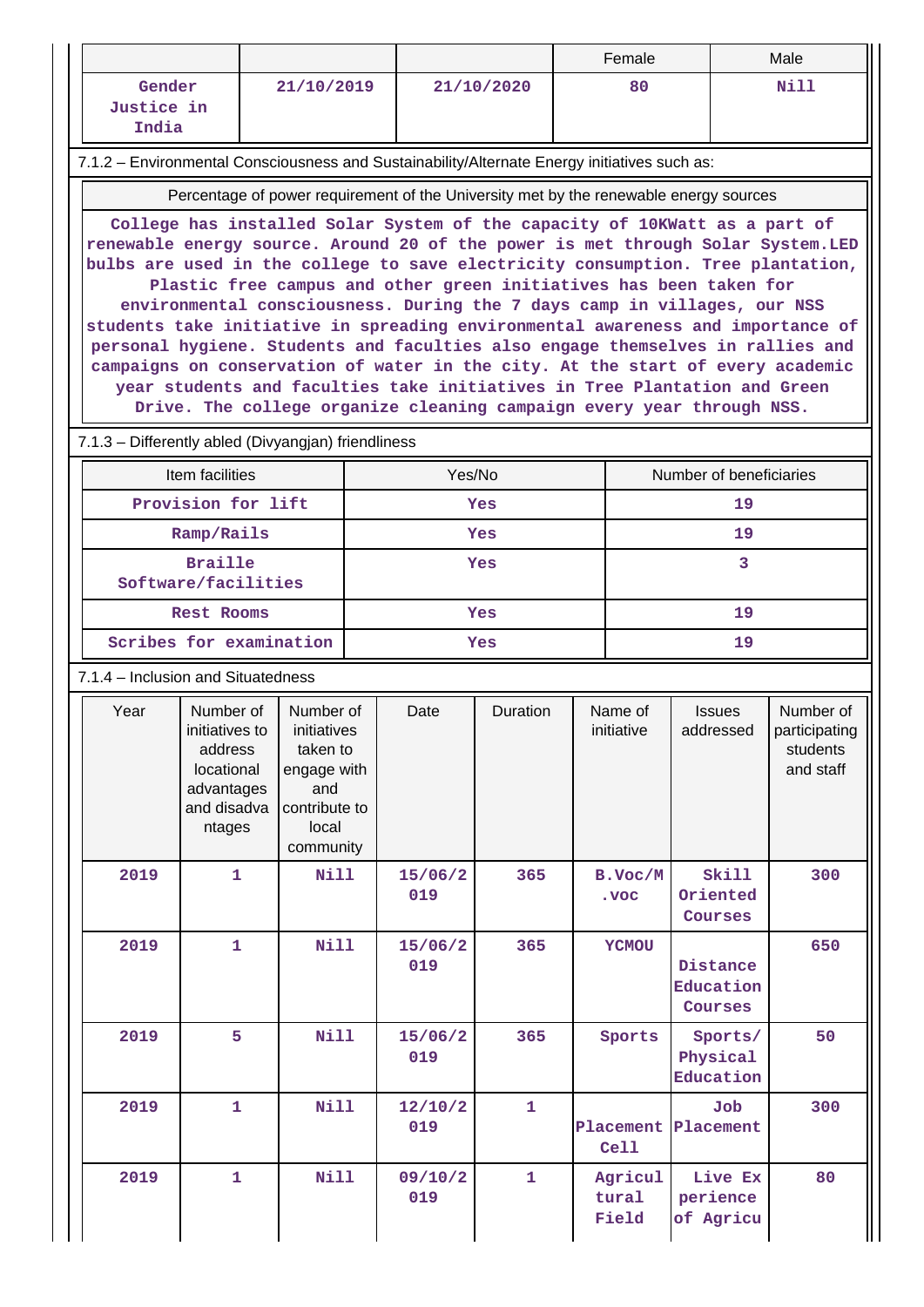|                                      |                                                                                                                                                       |                                       |                         |  |                |              |  | Female         |                                                                                                                                                                   | Male                  |  |
|--------------------------------------|-------------------------------------------------------------------------------------------------------------------------------------------------------|---------------------------------------|-------------------------|--|----------------|--------------|--|----------------|-------------------------------------------------------------------------------------------------------------------------------------------------------------------|-----------------------|--|
|                                      | Gender                                                                                                                                                |                                       | 21/10/2019              |  |                | 21/10/2020   |  | 80             |                                                                                                                                                                   | Nill                  |  |
|                                      | Justice in                                                                                                                                            |                                       |                         |  |                |              |  |                |                                                                                                                                                                   |                       |  |
|                                      | India                                                                                                                                                 |                                       |                         |  |                |              |  |                |                                                                                                                                                                   |                       |  |
|                                      | 7.1.2 - Environmental Consciousness and Sustainability/Alternate Energy initiatives such as:                                                          |                                       |                         |  |                |              |  |                |                                                                                                                                                                   |                       |  |
|                                      |                                                                                                                                                       |                                       |                         |  |                |              |  |                | Percentage of power requirement of the University met by the renewable energy sources                                                                             |                       |  |
|                                      |                                                                                                                                                       |                                       |                         |  |                |              |  |                | College has installed Solar System of the capacity of 10KWatt as a part of                                                                                        |                       |  |
|                                      | renewable energy source. Around 20 of the power is met through Solar System.LED                                                                       |                                       |                         |  |                |              |  |                |                                                                                                                                                                   |                       |  |
|                                      | bulbs are used in the college to save electricity consumption. Tree plantation,<br>Plastic free campus and other green initiatives has been taken for |                                       |                         |  |                |              |  |                |                                                                                                                                                                   |                       |  |
|                                      |                                                                                                                                                       |                                       |                         |  |                |              |  |                | environmental consciousness. During the 7 days camp in villages, our NSS                                                                                          |                       |  |
|                                      |                                                                                                                                                       |                                       |                         |  |                |              |  |                | students take initiative in spreading environmental awareness and importance of<br>personal hygiene. Students and faculties also engage themselves in rallies and |                       |  |
|                                      |                                                                                                                                                       |                                       |                         |  |                |              |  |                | campaigns on conservation of water in the city. At the start of every academic                                                                                    |                       |  |
|                                      |                                                                                                                                                       |                                       |                         |  |                |              |  |                | year students and faculties take initiatives in Tree Plantation and Green                                                                                         |                       |  |
|                                      |                                                                                                                                                       |                                       |                         |  |                |              |  |                | Drive. The college organize cleaning campaign every year through NSS.                                                                                             |                       |  |
|                                      | 7.1.3 - Differently abled (Divyangjan) friendliness                                                                                                   |                                       |                         |  |                |              |  |                |                                                                                                                                                                   |                       |  |
|                                      |                                                                                                                                                       | Item facilities                       |                         |  | Yes/No         |              |  |                | Number of beneficiaries                                                                                                                                           |                       |  |
|                                      |                                                                                                                                                       | Provision for lift                    |                         |  |                | Yes          |  |                | 19                                                                                                                                                                |                       |  |
|                                      |                                                                                                                                                       | Ramp/Rails                            |                         |  |                | Yes          |  |                | 19                                                                                                                                                                |                       |  |
|                                      |                                                                                                                                                       | <b>Braille</b><br>Software/facilities |                         |  |                | Yes          |  |                | 3                                                                                                                                                                 |                       |  |
|                                      |                                                                                                                                                       | <b>Rest Rooms</b>                     |                         |  |                | <b>Yes</b>   |  |                | 19                                                                                                                                                                |                       |  |
| Scribes for examination<br>19<br>Yes |                                                                                                                                                       |                                       |                         |  |                |              |  |                |                                                                                                                                                                   |                       |  |
|                                      | 7.1.4 – Inclusion and Situatedness                                                                                                                    |                                       |                         |  |                |              |  |                |                                                                                                                                                                   |                       |  |
|                                      | Year                                                                                                                                                  | Number of                             | Number of               |  | Date           | Duration     |  | Name of        | <b>Issues</b>                                                                                                                                                     | Number of             |  |
|                                      |                                                                                                                                                       | initiatives to                        | initiatives             |  |                |              |  | initiative     | addressed                                                                                                                                                         | participating         |  |
|                                      |                                                                                                                                                       | address<br>locational                 | taken to<br>engage with |  |                |              |  |                |                                                                                                                                                                   | students<br>and staff |  |
|                                      |                                                                                                                                                       | advantages                            | and                     |  |                |              |  |                |                                                                                                                                                                   |                       |  |
|                                      |                                                                                                                                                       | and disadva<br>ntages                 | contribute to<br>local  |  |                |              |  |                |                                                                                                                                                                   |                       |  |
|                                      |                                                                                                                                                       |                                       | community               |  |                |              |  |                |                                                                                                                                                                   |                       |  |
|                                      | 2019                                                                                                                                                  | $\mathbf{1}$                          | Nill                    |  | 15/06/2        | 365          |  | B.Voc/M        | Skill                                                                                                                                                             | 300                   |  |
|                                      |                                                                                                                                                       |                                       |                         |  | 019            |              |  | . voc          | Oriented                                                                                                                                                          |                       |  |
|                                      |                                                                                                                                                       |                                       |                         |  |                |              |  |                | Courses                                                                                                                                                           |                       |  |
|                                      | 2019                                                                                                                                                  | $\mathbf{1}$                          | <b>Nill</b>             |  | 15/06/2<br>019 | 365          |  | <b>YCMOU</b>   | Distance                                                                                                                                                          | 650                   |  |
|                                      |                                                                                                                                                       |                                       |                         |  |                |              |  |                | Education                                                                                                                                                         |                       |  |
|                                      |                                                                                                                                                       |                                       |                         |  |                |              |  |                | Courses                                                                                                                                                           |                       |  |
|                                      | 2019                                                                                                                                                  | 5                                     | Nill                    |  | 15/06/2        | 365          |  | Sports         | Sports/                                                                                                                                                           | 50                    |  |
|                                      |                                                                                                                                                       |                                       |                         |  | 019            |              |  |                | Physical<br>Education                                                                                                                                             |                       |  |
|                                      | 2019                                                                                                                                                  | $\mathbf{1}$                          | Nill                    |  | 12/10/2        | $\mathbf{1}$ |  |                | Job                                                                                                                                                               | 300                   |  |
|                                      |                                                                                                                                                       |                                       |                         |  | 019            |              |  | Placement      | Placement                                                                                                                                                         |                       |  |
|                                      |                                                                                                                                                       |                                       |                         |  |                |              |  | Cell           |                                                                                                                                                                   |                       |  |
|                                      | 2019                                                                                                                                                  | $\mathbf{1}$                          | Nill                    |  | 09/10/2        | 1            |  | Agricul        | Live Ex                                                                                                                                                           | 80                    |  |
|                                      |                                                                                                                                                       |                                       |                         |  | 019            |              |  | tural<br>Field | perience<br>of Agricu                                                                                                                                             |                       |  |
|                                      |                                                                                                                                                       |                                       |                         |  |                |              |  |                |                                                                                                                                                                   |                       |  |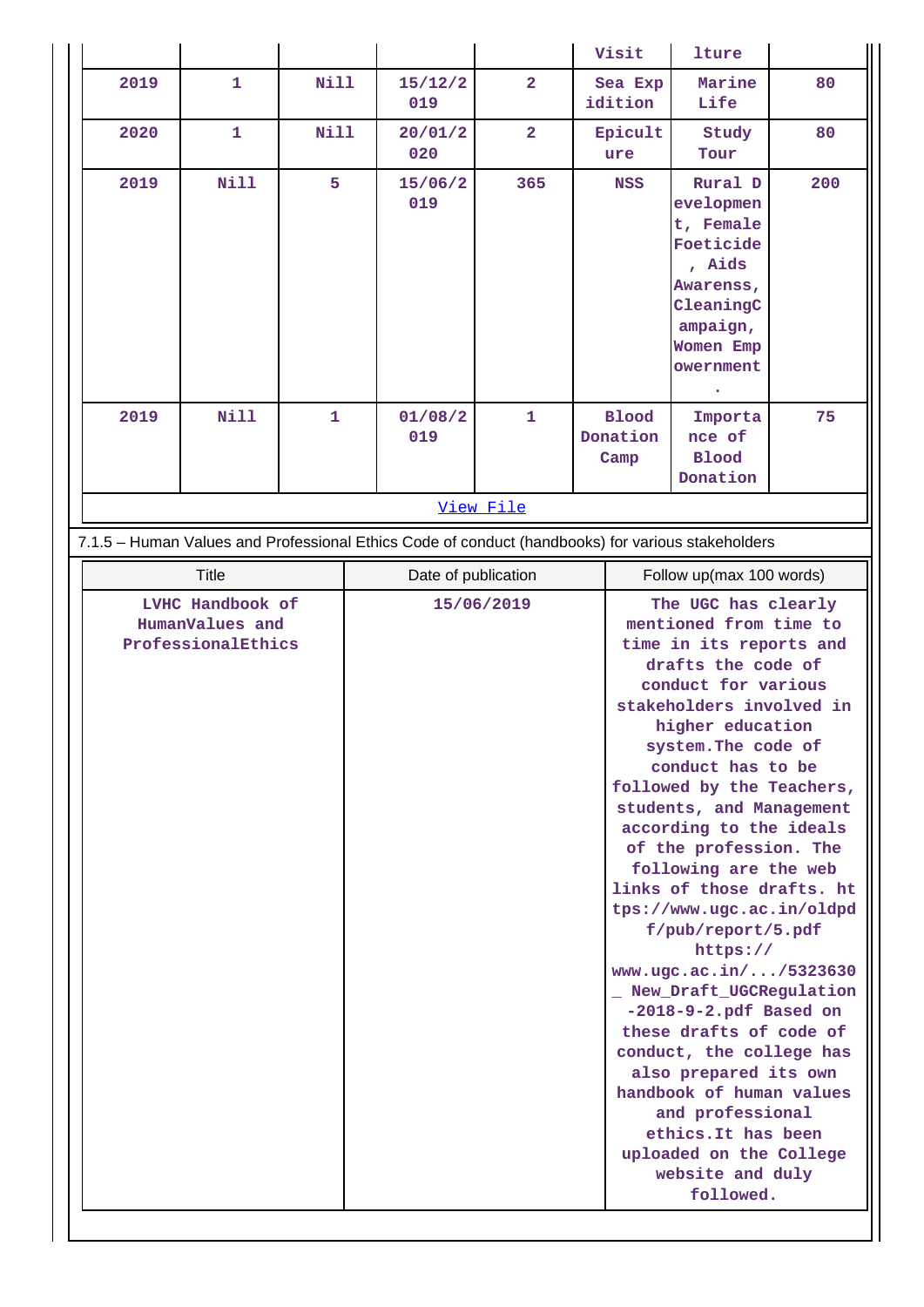|                                                                 |                                                                                                   |             |              |  |                |                |            | Visit                            | lture                                                                                                                                                                                                                                                                                                                                                                                                                                                                                                                                                                                                                                                                                                                                                    |     |
|-----------------------------------------------------------------|---------------------------------------------------------------------------------------------------|-------------|--------------|--|----------------|----------------|------------|----------------------------------|----------------------------------------------------------------------------------------------------------------------------------------------------------------------------------------------------------------------------------------------------------------------------------------------------------------------------------------------------------------------------------------------------------------------------------------------------------------------------------------------------------------------------------------------------------------------------------------------------------------------------------------------------------------------------------------------------------------------------------------------------------|-----|
|                                                                 | 2019                                                                                              | 1           | Nill         |  | 15/12/2<br>019 | $\overline{a}$ |            | Sea Exp<br>idition               | Marine<br>Life                                                                                                                                                                                                                                                                                                                                                                                                                                                                                                                                                                                                                                                                                                                                           | 80  |
|                                                                 | 2020                                                                                              | 1           | Nill         |  | 20/01/2<br>020 | $\overline{a}$ |            | Epicult<br>ure                   | Study<br>Tour                                                                                                                                                                                                                                                                                                                                                                                                                                                                                                                                                                                                                                                                                                                                            | 80  |
|                                                                 | 2019                                                                                              | <b>Nill</b> | 5            |  | 15/06/2<br>019 | 365            | <b>NSS</b> |                                  | Rural D<br>evelopmen<br>t, Female<br>Foeticide<br>, Aids<br>Awarenss,<br>CleaningC<br>ampaign,<br>Women Emp<br>owernment<br>٠                                                                                                                                                                                                                                                                                                                                                                                                                                                                                                                                                                                                                            | 200 |
|                                                                 | 2019                                                                                              | <b>Nill</b> | $\mathbf{1}$ |  | 01/08/2<br>019 | $\mathbf{1}$   |            | <b>Blood</b><br>Donation<br>Camp | Importa<br>nce of<br><b>Blood</b><br>Donation                                                                                                                                                                                                                                                                                                                                                                                                                                                                                                                                                                                                                                                                                                            | 75  |
|                                                                 |                                                                                                   |             |              |  |                | View File      |            |                                  |                                                                                                                                                                                                                                                                                                                                                                                                                                                                                                                                                                                                                                                                                                                                                          |     |
|                                                                 | 7.1.5 - Human Values and Professional Ethics Code of conduct (handbooks) for various stakeholders |             |              |  |                |                |            |                                  |                                                                                                                                                                                                                                                                                                                                                                                                                                                                                                                                                                                                                                                                                                                                                          |     |
| <b>Title</b><br>Date of publication<br>Follow up(max 100 words) |                                                                                                   |             |              |  |                |                |            |                                  |                                                                                                                                                                                                                                                                                                                                                                                                                                                                                                                                                                                                                                                                                                                                                          |     |
|                                                                 | LVHC Handbook of<br>HumanValues and<br>ProfessionalEthics                                         |             |              |  |                | 15/06/2019     |            |                                  | The UGC has clearly<br>mentioned from time to<br>time in its reports and<br>drafts the code of<br>conduct for various<br>stakeholders involved in<br>higher education<br>system. The code of<br>conduct has to be<br>followed by the Teachers,<br>students, and Management<br>according to the ideals<br>of the profession. The<br>following are the web<br>links of those drafts. ht<br>tps://www.ugc.ac.in/oldpd<br>f/pub/report/5.pdf<br>https://<br>www.ugc.ac.in//5323630<br>New_Draft_UGCRegulation<br>$-2018-9-2.pdf$ Based on<br>these drafts of code of<br>conduct, the college has<br>also prepared its own<br>handbook of human values<br>and professional<br>ethics. It has been<br>uploaded on the College<br>website and duly<br>followed. |     |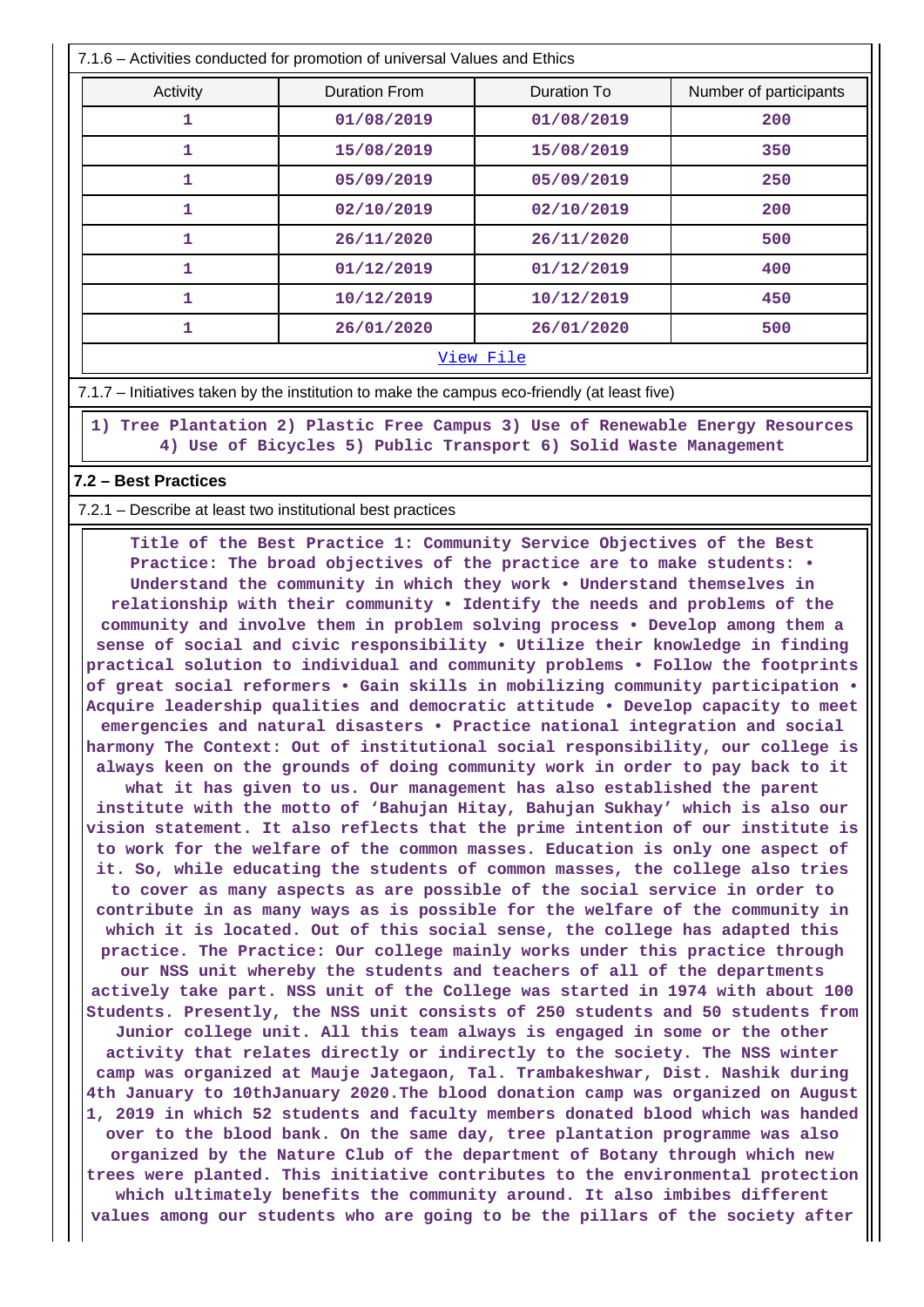| 7.1.6 – Activities conducted for promotion of universal Values and Ethics |                      |             |                        |  |  |  |  |  |  |
|---------------------------------------------------------------------------|----------------------|-------------|------------------------|--|--|--|--|--|--|
| Activity                                                                  | <b>Duration From</b> | Duration To | Number of participants |  |  |  |  |  |  |
| 1                                                                         | 01/08/2019           | 01/08/2019  | 200                    |  |  |  |  |  |  |
| 1                                                                         | 15/08/2019           | 15/08/2019  | 350                    |  |  |  |  |  |  |
| 1                                                                         | 05/09/2019           | 05/09/2019  | 250                    |  |  |  |  |  |  |
| 1                                                                         | 02/10/2019           | 02/10/2019  | 200                    |  |  |  |  |  |  |
| 1                                                                         | 26/11/2020           | 26/11/2020  | 500                    |  |  |  |  |  |  |
| 1                                                                         | 01/12/2019           | 01/12/2019  | 400                    |  |  |  |  |  |  |
| 1                                                                         | 10/12/2019           | 10/12/2019  | 450                    |  |  |  |  |  |  |
| 1                                                                         | 26/01/2020           | 26/01/2020  | 500                    |  |  |  |  |  |  |
| View File                                                                 |                      |             |                        |  |  |  |  |  |  |

7.1.7 – Initiatives taken by the institution to make the campus eco-friendly (at least five)

 **1) Tree Plantation 2) Plastic Free Campus 3) Use of Renewable Energy Resources 4) Use of Bicycles 5) Public Transport 6) Solid Waste Management**

#### **7.2 – Best Practices**

7.2.1 – Describe at least two institutional best practices

 **Title of the Best Practice 1: Community Service Objectives of the Best Practice: The broad objectives of the practice are to make students: • Understand the community in which they work • Understand themselves in relationship with their community • Identify the needs and problems of the community and involve them in problem solving process • Develop among them a sense of social and civic responsibility • Utilize their knowledge in finding practical solution to individual and community problems • Follow the footprints of great social reformers • Gain skills in mobilizing community participation • Acquire leadership qualities and democratic attitude • Develop capacity to meet emergencies and natural disasters • Practice national integration and social harmony The Context: Out of institutional social responsibility, our college is always keen on the grounds of doing community work in order to pay back to it what it has given to us. Our management has also established the parent institute with the motto of 'Bahujan Hitay, Bahujan Sukhay' which is also our vision statement. It also reflects that the prime intention of our institute is to work for the welfare of the common masses. Education is only one aspect of it. So, while educating the students of common masses, the college also tries to cover as many aspects as are possible of the social service in order to contribute in as many ways as is possible for the welfare of the community in which it is located. Out of this social sense, the college has adapted this practice. The Practice: Our college mainly works under this practice through our NSS unit whereby the students and teachers of all of the departments actively take part. NSS unit of the College was started in 1974 with about 100 Students. Presently, the NSS unit consists of 250 students and 50 students from Junior college unit. All this team always is engaged in some or the other activity that relates directly or indirectly to the society. The NSS winter camp was organized at Mauje Jategaon, Tal. Trambakeshwar, Dist. Nashik during 4th January to 10thJanuary 2020.The blood donation camp was organized on August 1, 2019 in which 52 students and faculty members donated blood which was handed over to the blood bank. On the same day, tree plantation programme was also organized by the Nature Club of the department of Botany through which new trees were planted. This initiative contributes to the environmental protection which ultimately benefits the community around. It also imbibes different values among our students who are going to be the pillars of the society after**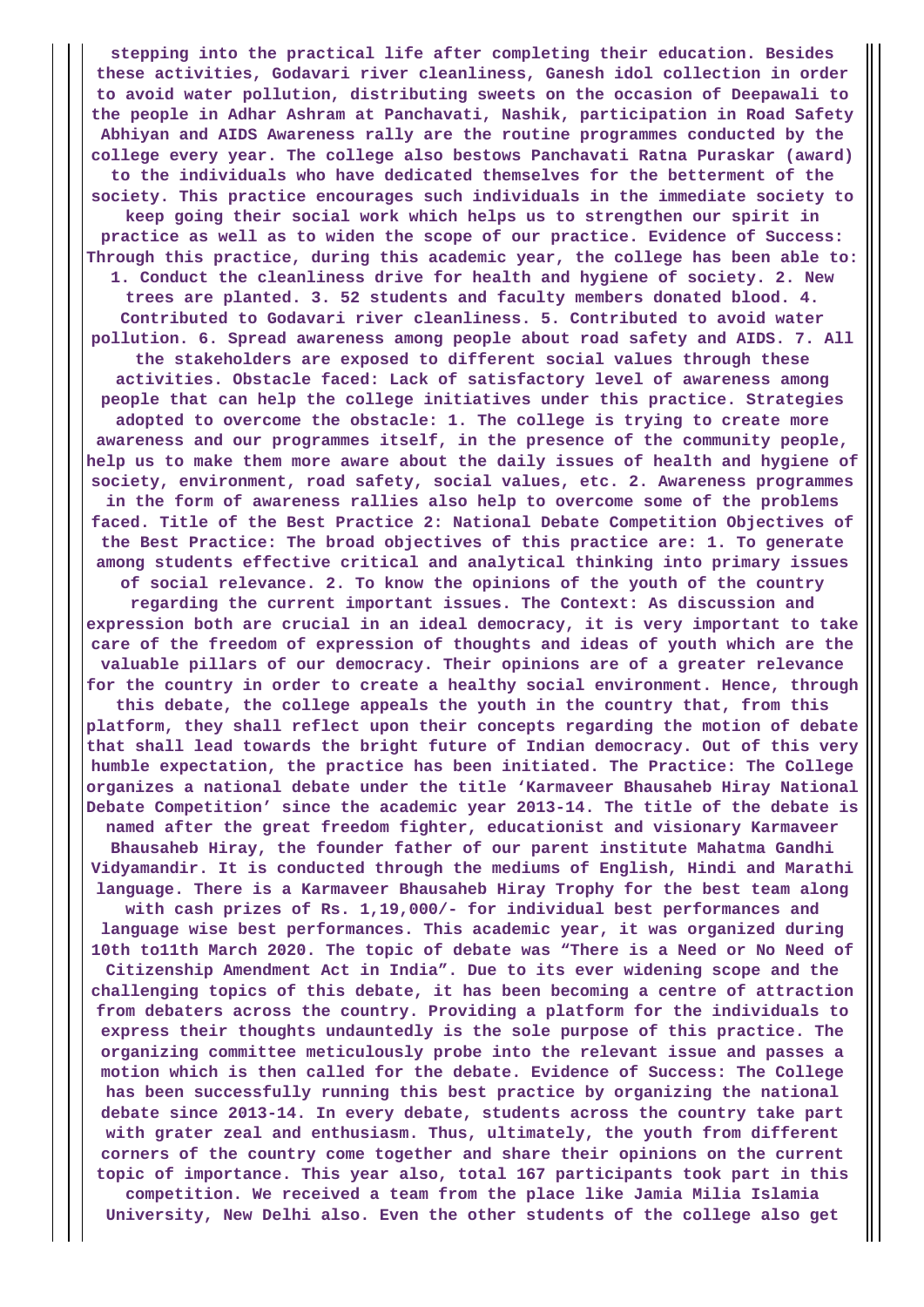**stepping into the practical life after completing their education. Besides these activities, Godavari river cleanliness, Ganesh idol collection in order to avoid water pollution, distributing sweets on the occasion of Deepawali to the people in Adhar Ashram at Panchavati, Nashik, participation in Road Safety Abhiyan and AIDS Awareness rally are the routine programmes conducted by the college every year. The college also bestows Panchavati Ratna Puraskar (award) to the individuals who have dedicated themselves for the betterment of the society. This practice encourages such individuals in the immediate society to keep going their social work which helps us to strengthen our spirit in practice as well as to widen the scope of our practice. Evidence of Success: Through this practice, during this academic year, the college has been able to: 1. Conduct the cleanliness drive for health and hygiene of society. 2. New trees are planted. 3. 52 students and faculty members donated blood. 4. Contributed to Godavari river cleanliness. 5. Contributed to avoid water pollution. 6. Spread awareness among people about road safety and AIDS. 7. All the stakeholders are exposed to different social values through these activities. Obstacle faced: Lack of satisfactory level of awareness among people that can help the college initiatives under this practice. Strategies adopted to overcome the obstacle: 1. The college is trying to create more awareness and our programmes itself, in the presence of the community people, help us to make them more aware about the daily issues of health and hygiene of society, environment, road safety, social values, etc. 2. Awareness programmes in the form of awareness rallies also help to overcome some of the problems faced. Title of the Best Practice 2: National Debate Competition Objectives of the Best Practice: The broad objectives of this practice are: 1. To generate among students effective critical and analytical thinking into primary issues of social relevance. 2. To know the opinions of the youth of the country regarding the current important issues. The Context: As discussion and expression both are crucial in an ideal democracy, it is very important to take care of the freedom of expression of thoughts and ideas of youth which are the valuable pillars of our democracy. Their opinions are of a greater relevance for the country in order to create a healthy social environment. Hence, through this debate, the college appeals the youth in the country that, from this platform, they shall reflect upon their concepts regarding the motion of debate that shall lead towards the bright future of Indian democracy. Out of this very humble expectation, the practice has been initiated. The Practice: The College organizes a national debate under the title 'Karmaveer Bhausaheb Hiray National Debate Competition' since the academic year 2013-14. The title of the debate is named after the great freedom fighter, educationist and visionary Karmaveer Bhausaheb Hiray, the founder father of our parent institute Mahatma Gandhi Vidyamandir. It is conducted through the mediums of English, Hindi and Marathi language. There is a Karmaveer Bhausaheb Hiray Trophy for the best team along with cash prizes of Rs. 1,19,000/- for individual best performances and language wise best performances. This academic year, it was organized during 10th to11th March 2020. The topic of debate was "There is a Need or No Need of Citizenship Amendment Act in India". Due to its ever widening scope and the challenging topics of this debate, it has been becoming a centre of attraction from debaters across the country. Providing a platform for the individuals to express their thoughts undauntedly is the sole purpose of this practice. The organizing committee meticulously probe into the relevant issue and passes a motion which is then called for the debate. Evidence of Success: The College has been successfully running this best practice by organizing the national debate since 2013-14. In every debate, students across the country take part with grater zeal and enthusiasm. Thus, ultimately, the youth from different corners of the country come together and share their opinions on the current topic of importance. This year also, total 167 participants took part in this competition. We received a team from the place like Jamia Milia Islamia**

**University, New Delhi also. Even the other students of the college also get**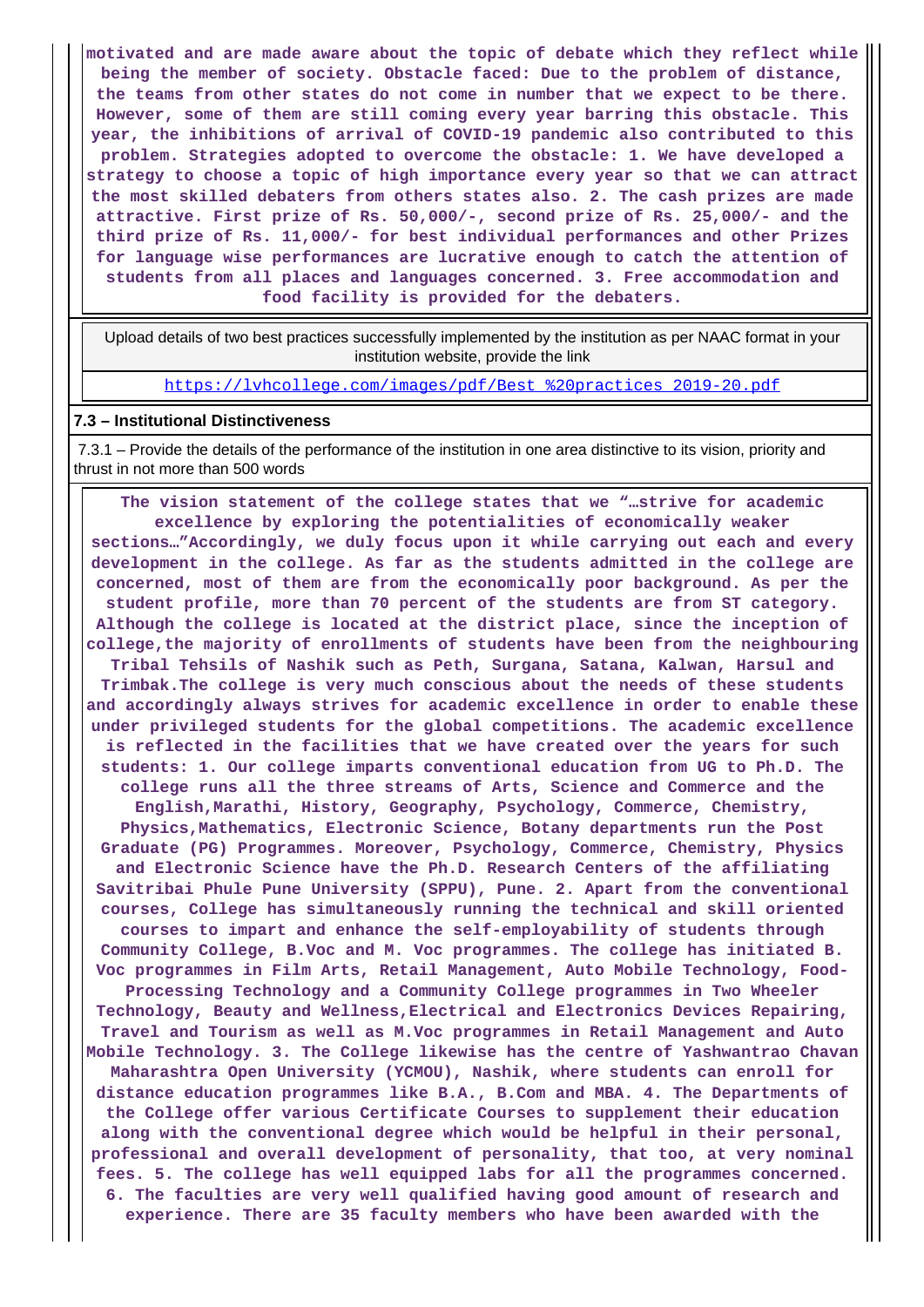**motivated and are made aware about the topic of debate which they reflect while being the member of society. Obstacle faced: Due to the problem of distance, the teams from other states do not come in number that we expect to be there. However, some of them are still coming every year barring this obstacle. This year, the inhibitions of arrival of COVID-19 pandemic also contributed to this problem. Strategies adopted to overcome the obstacle: 1. We have developed a strategy to choose a topic of high importance every year so that we can attract the most skilled debaters from others states also. 2. The cash prizes are made attractive. First prize of Rs. 50,000/-, second prize of Rs. 25,000/- and the third prize of Rs. 11,000/- for best individual performances and other Prizes for language wise performances are lucrative enough to catch the attention of students from all places and languages concerned. 3. Free accommodation and food facility is provided for the debaters.**

 Upload details of two best practices successfully implemented by the institution as per NAAC format in your institution website, provide the link

[https://lvhcollege.com/images/pdf/Best\\_%20practices\\_2019-20.pdf](https://lvhcollege.com/images/pdf/Best_%20practices_2019-20.pdf)

#### **7.3 – Institutional Distinctiveness**

 7.3.1 – Provide the details of the performance of the institution in one area distinctive to its vision, priority and thrust in not more than 500 words

 **The vision statement of the college states that we "…strive for academic excellence by exploring the potentialities of economically weaker sections…"Accordingly, we duly focus upon it while carrying out each and every development in the college. As far as the students admitted in the college are concerned, most of them are from the economically poor background. As per the student profile, more than 70 percent of the students are from ST category. Although the college is located at the district place, since the inception of college,the majority of enrollments of students have been from the neighbouring Tribal Tehsils of Nashik such as Peth, Surgana, Satana, Kalwan, Harsul and Trimbak.The college is very much conscious about the needs of these students and accordingly always strives for academic excellence in order to enable these under privileged students for the global competitions. The academic excellence is reflected in the facilities that we have created over the years for such students: 1. Our college imparts conventional education from UG to Ph.D. The college runs all the three streams of Arts, Science and Commerce and the English,Marathi, History, Geography, Psychology, Commerce, Chemistry, Physics,Mathematics, Electronic Science, Botany departments run the Post Graduate (PG) Programmes. Moreover, Psychology, Commerce, Chemistry, Physics and Electronic Science have the Ph.D. Research Centers of the affiliating Savitribai Phule Pune University (SPPU), Pune. 2. Apart from the conventional courses, College has simultaneously running the technical and skill oriented courses to impart and enhance the self-employability of students through Community College, B.Voc and M. Voc programmes. The college has initiated B. Voc programmes in Film Arts, Retail Management, Auto Mobile Technology, Food-Processing Technology and a Community College programmes in Two Wheeler Technology, Beauty and Wellness,Electrical and Electronics Devices Repairing, Travel and Tourism as well as M.Voc programmes in Retail Management and Auto Mobile Technology. 3. The College likewise has the centre of Yashwantrao Chavan Maharashtra Open University (YCMOU), Nashik, where students can enroll for distance education programmes like B.A., B.Com and MBA. 4. The Departments of the College offer various Certificate Courses to supplement their education along with the conventional degree which would be helpful in their personal, professional and overall development of personality, that too, at very nominal fees. 5. The college has well equipped labs for all the programmes concerned. 6. The faculties are very well qualified having good amount of research and experience. There are 35 faculty members who have been awarded with the**